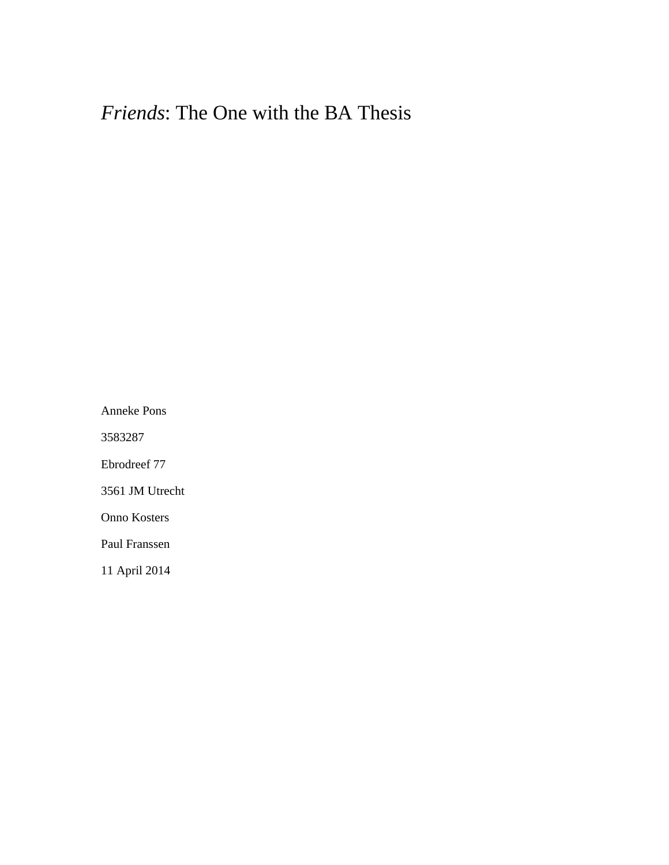# *Friends*: The One with the BA Thesis

Anneke Pons 3583287 Ebrodreef 77 3561 JM Utrecht Onno Kosters Paul Franssen

11 April 2014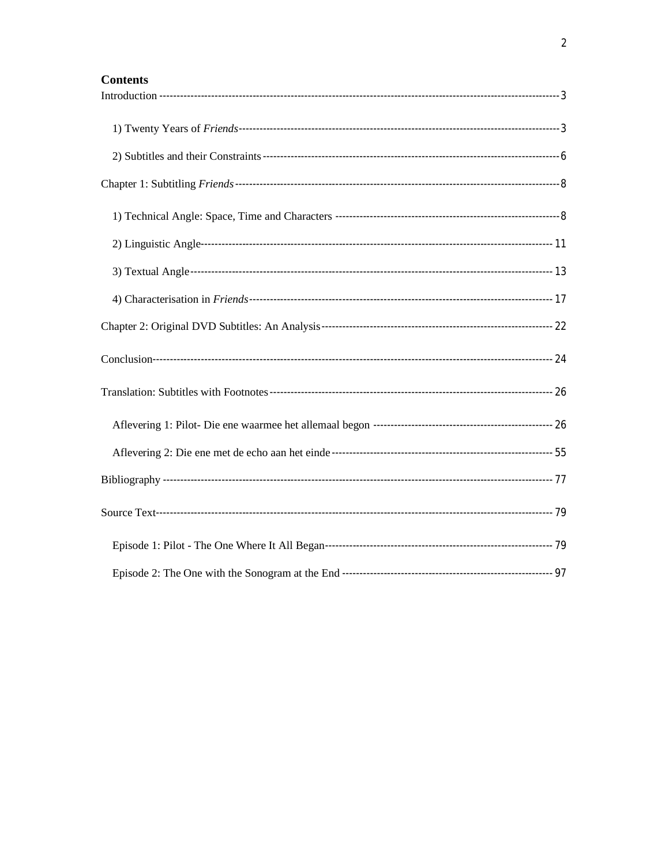## **Contents**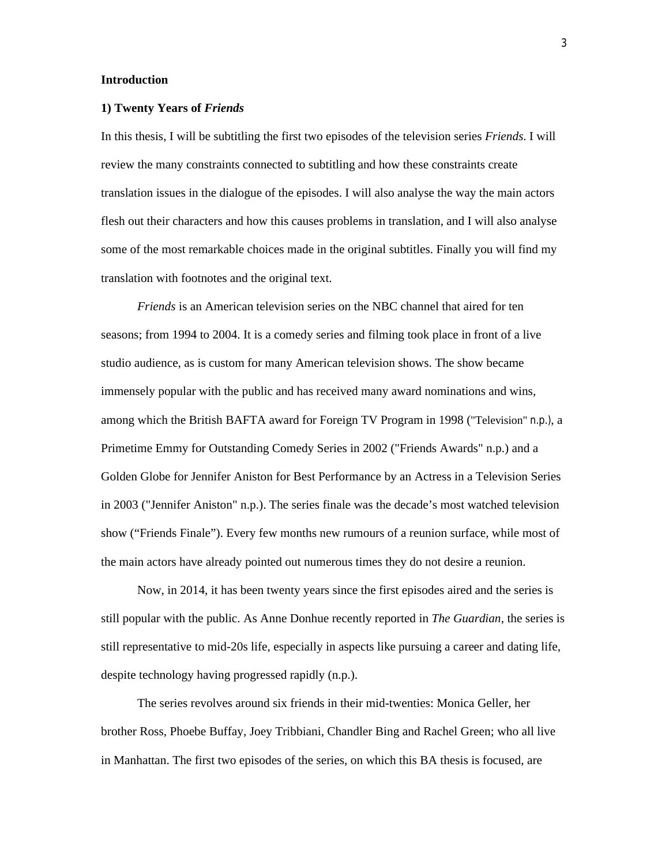#### **Introduction**

### **1) Twenty Years of** *Friends*

In this thesis, I will be subtitling the first two episodes of the television series *Friends*. I will review the many constraints connected to subtitling and how these constraints create translation issues in the dialogue of the episodes. I will also analyse the way the main actors flesh out their characters and how this causes problems in translation, and I will also analyse some of the most remarkable choices made in the original subtitles. Finally you will find my translation with footnotes and the original text.

*Friends* is an American television series on the NBC channel that aired for ten seasons; from 1994 to 2004. It is a comedy series and filming took place in front of a live studio audience, as is custom for many American television shows. The show became immensely popular with the public and has received many award nominations and wins, among which the British BAFTA award for Foreign TV Program in 1998 ("Television" n.p.), a Primetime Emmy for Outstanding Comedy Series in 2002 ("Friends Awards" n.p.) and a Golden Globe for Jennifer Aniston for Best Performance by an Actress in a Television Series in 2003 ("Jennifer Aniston" n.p.). The series finale was the decade's most watched television show ("Friends Finale"). Every few months new rumours of a reunion surface, while most of the main actors have already pointed out numerous times they do not desire a reunion.

Now, in 2014, it has been twenty years since the first episodes aired and the series is still popular with the public. As Anne Donhue recently reported in *The Guardian*, the series is still representative to mid-20s life, especially in aspects like pursuing a career and dating life, despite technology having progressed rapidly (n.p.).

The series revolves around six friends in their mid-twenties: Monica Geller, her brother Ross, Phoebe Buffay, Joey Tribbiani, Chandler Bing and Rachel Green; who all live in Manhattan. The first two episodes of the series, on which this BA thesis is focused, are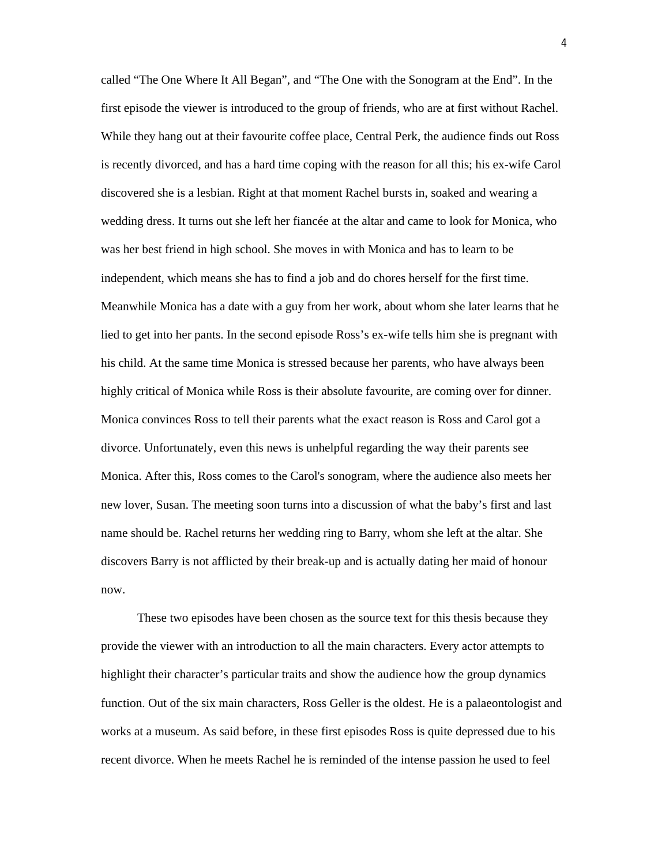called "The One Where It All Began", and "The One with the Sonogram at the End". In the first episode the viewer is introduced to the group of friends, who are at first without Rachel. While they hang out at their favourite coffee place, Central Perk, the audience finds out Ross is recently divorced, and has a hard time coping with the reason for all this; his ex-wife Carol discovered she is a lesbian. Right at that moment Rachel bursts in, soaked and wearing a wedding dress. It turns out she left her fiancée at the altar and came to look for Monica, who was her best friend in high school. She moves in with Monica and has to learn to be independent, which means she has to find a job and do chores herself for the first time. Meanwhile Monica has a date with a guy from her work, about whom she later learns that he lied to get into her pants. In the second episode Ross's ex-wife tells him she is pregnant with his child. At the same time Monica is stressed because her parents, who have always been highly critical of Monica while Ross is their absolute favourite, are coming over for dinner. Monica convinces Ross to tell their parents what the exact reason is Ross and Carol got a divorce. Unfortunately, even this news is unhelpful regarding the way their parents see Monica. After this, Ross comes to the Carol's sonogram, where the audience also meets her new lover, Susan. The meeting soon turns into a discussion of what the baby's first and last name should be. Rachel returns her wedding ring to Barry, whom she left at the altar. She discovers Barry is not afflicted by their break-up and is actually dating her maid of honour now.

These two episodes have been chosen as the source text for this thesis because they provide the viewer with an introduction to all the main characters. Every actor attempts to highlight their character's particular traits and show the audience how the group dynamics function. Out of the six main characters, Ross Geller is the oldest. He is a palaeontologist and works at a museum. As said before, in these first episodes Ross is quite depressed due to his recent divorce. When he meets Rachel he is reminded of the intense passion he used to feel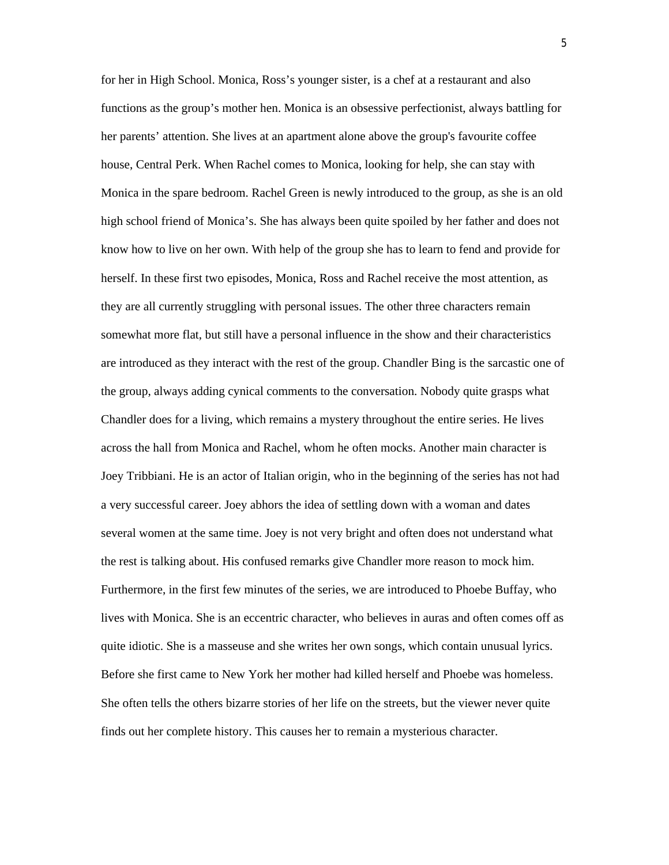for her in High School. Monica, Ross's younger sister, is a chef at a restaurant and also functions as the group's mother hen. Monica is an obsessive perfectionist, always battling for her parents' attention. She lives at an apartment alone above the group's favourite coffee house, Central Perk. When Rachel comes to Monica, looking for help, she can stay with Monica in the spare bedroom. Rachel Green is newly introduced to the group, as she is an old high school friend of Monica's. She has always been quite spoiled by her father and does not know how to live on her own. With help of the group she has to learn to fend and provide for herself. In these first two episodes, Monica, Ross and Rachel receive the most attention, as they are all currently struggling with personal issues. The other three characters remain somewhat more flat, but still have a personal influence in the show and their characteristics are introduced as they interact with the rest of the group. Chandler Bing is the sarcastic one of the group, always adding cynical comments to the conversation. Nobody quite grasps what Chandler does for a living, which remains a mystery throughout the entire series. He lives across the hall from Monica and Rachel, whom he often mocks. Another main character is Joey Tribbiani. He is an actor of Italian origin, who in the beginning of the series has not had a very successful career. Joey abhors the idea of settling down with a woman and dates several women at the same time. Joey is not very bright and often does not understand what the rest is talking about. His confused remarks give Chandler more reason to mock him. Furthermore, in the first few minutes of the series, we are introduced to Phoebe Buffay, who lives with Monica. She is an eccentric character, who believes in auras and often comes off as quite idiotic. She is a masseuse and she writes her own songs, which contain unusual lyrics. Before she first came to New York her mother had killed herself and Phoebe was homeless. She often tells the others bizarre stories of her life on the streets, but the viewer never quite finds out her complete history. This causes her to remain a mysterious character.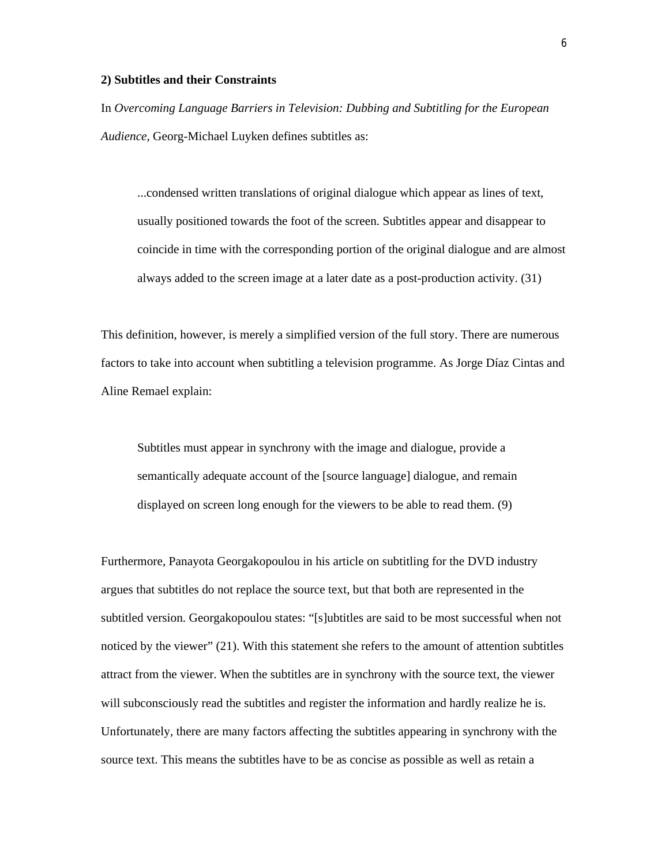#### **2) Subtitles and their Constraints**

In *Overcoming Language Barriers in Television: Dubbing and Subtitling for the European Audience*, Georg-Michael Luyken defines subtitles as:

...condensed written translations of original dialogue which appear as lines of text, usually positioned towards the foot of the screen. Subtitles appear and disappear to coincide in time with the corresponding portion of the original dialogue and are almost always added to the screen image at a later date as a post-production activity. (31)

This definition, however, is merely a simplified version of the full story. There are numerous factors to take into account when subtitling a television programme. As Jorge Díaz Cintas and Aline Remael explain:

Subtitles must appear in synchrony with the image and dialogue, provide a semantically adequate account of the [source language] dialogue, and remain displayed on screen long enough for the viewers to be able to read them. (9)

Furthermore, Panayota Georgakopoulou in his article on subtitling for the DVD industry argues that subtitles do not replace the source text, but that both are represented in the subtitled version. Georgakopoulou states: "[s]ubtitles are said to be most successful when not noticed by the viewer" (21). With this statement she refers to the amount of attention subtitles attract from the viewer. When the subtitles are in synchrony with the source text, the viewer will subconsciously read the subtitles and register the information and hardly realize he is. Unfortunately, there are many factors affecting the subtitles appearing in synchrony with the source text. This means the subtitles have to be as concise as possible as well as retain a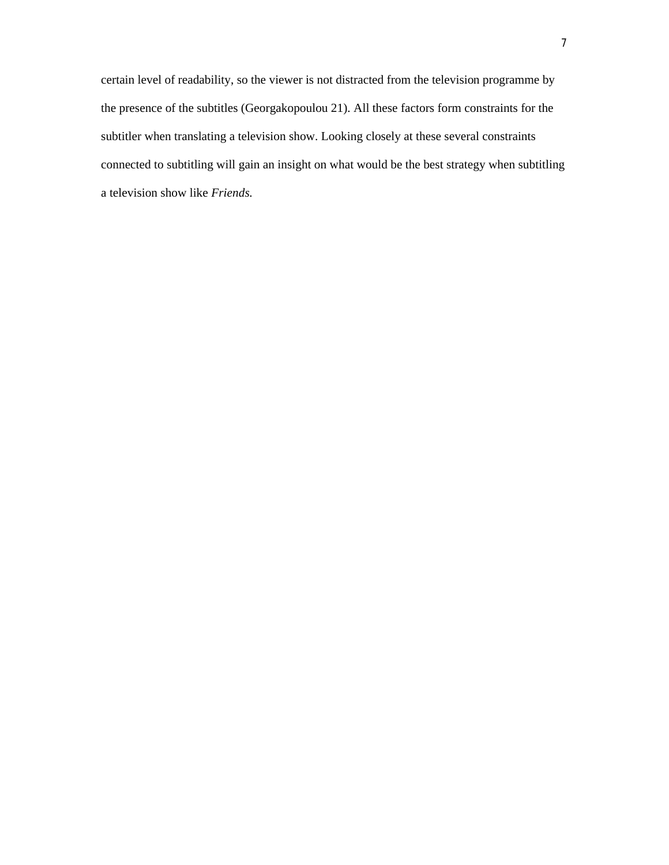certain level of readability, so the viewer is not distracted from the television programme by the presence of the subtitles (Georgakopoulou 21). All these factors form constraints for the subtitler when translating a television show. Looking closely at these several constraints connected to subtitling will gain an insight on what would be the best strategy when subtitling a television show like *Friends.*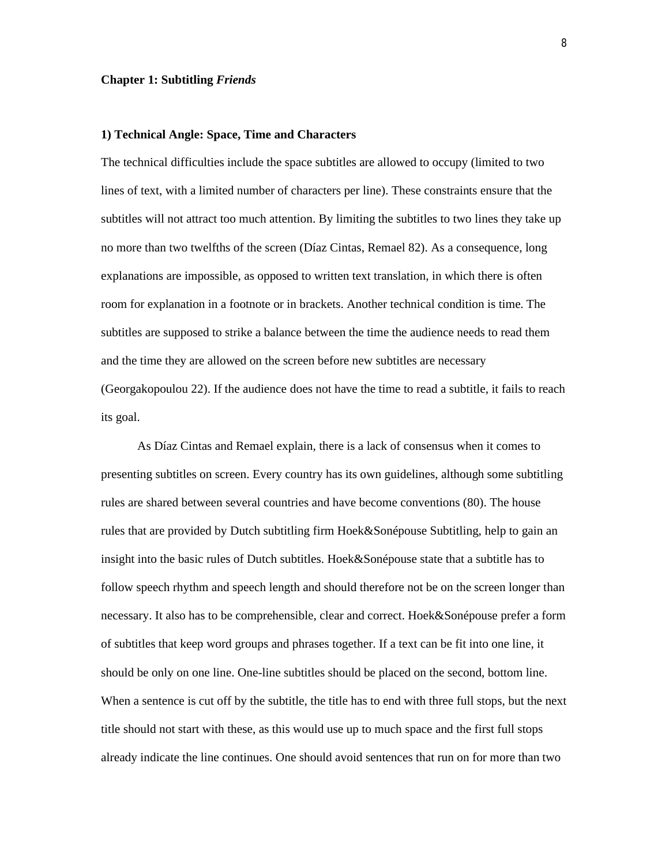#### **Chapter 1: Subtitling** *Friends*

#### **1) Technical Angle: Space, Time and Characters**

The technical difficulties include the space subtitles are allowed to occupy (limited to two lines of text, with a limited number of characters per line). These constraints ensure that the subtitles will not attract too much attention. By limiting the subtitles to two lines they take up no more than two twelfths of the screen (Díaz Cintas, Remael 82). As a consequence, long explanations are impossible, as opposed to written text translation, in which there is often room for explanation in a footnote or in brackets. Another technical condition is time. The subtitles are supposed to strike a balance between the time the audience needs to read them and the time they are allowed on the screen before new subtitles are necessary (Georgakopoulou 22). If the audience does not have the time to read a subtitle, it fails to reach its goal.

As Díaz Cintas and Remael explain, there is a lack of consensus when it comes to presenting subtitles on screen. Every country has its own guidelines, although some subtitling rules are shared between several countries and have become conventions (80). The house rules that are provided by Dutch subtitling firm Hoek&Sonépouse Subtitling, help to gain an insight into the basic rules of Dutch subtitles. Hoek&Sonépouse state that a subtitle has to follow speech rhythm and speech length and should therefore not be on the screen longer than necessary. It also has to be comprehensible, clear and correct. Hoek&Sonépouse prefer a form of subtitles that keep word groups and phrases together. If a text can be fit into one line, it should be only on one line. One-line subtitles should be placed on the second, bottom line. When a sentence is cut off by the subtitle, the title has to end with three full stops, but the next title should not start with these, as this would use up to much space and the first full stops already indicate the line continues. One should avoid sentences that run on for more than two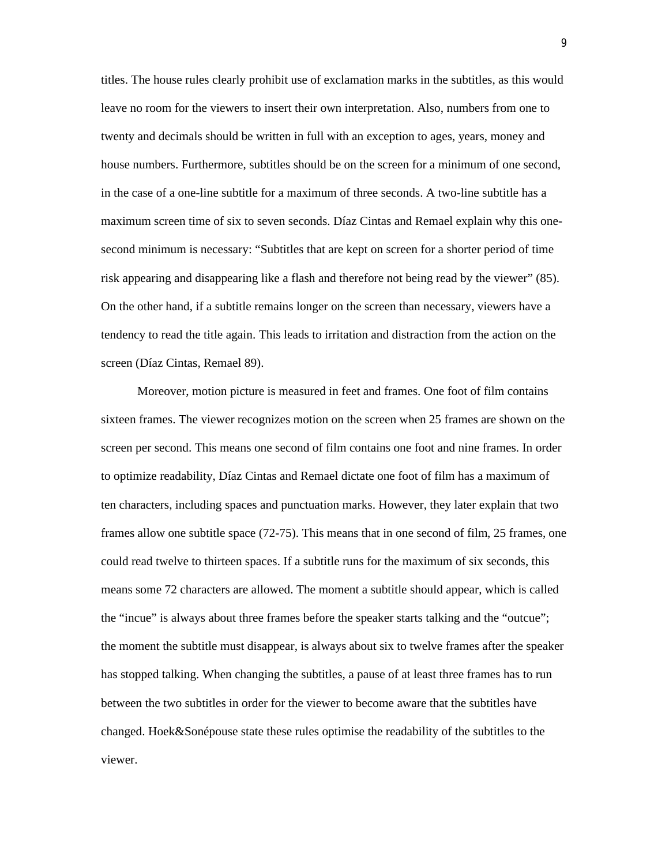titles. The house rules clearly prohibit use of exclamation marks in the subtitles, as this would leave no room for the viewers to insert their own interpretation. Also, numbers from one to twenty and decimals should be written in full with an exception to ages, years, money and house numbers. Furthermore, subtitles should be on the screen for a minimum of one second, in the case of a one-line subtitle for a maximum of three seconds. A two-line subtitle has a maximum screen time of six to seven seconds. Díaz Cintas and Remael explain why this onesecond minimum is necessary: "Subtitles that are kept on screen for a shorter period of time risk appearing and disappearing like a flash and therefore not being read by the viewer" (85). On the other hand, if a subtitle remains longer on the screen than necessary, viewers have a tendency to read the title again. This leads to irritation and distraction from the action on the screen (Díaz Cintas, Remael 89).

Moreover, motion picture is measured in feet and frames. One foot of film contains sixteen frames. The viewer recognizes motion on the screen when 25 frames are shown on the screen per second. This means one second of film contains one foot and nine frames. In order to optimize readability, Díaz Cintas and Remael dictate one foot of film has a maximum of ten characters, including spaces and punctuation marks. However, they later explain that two frames allow one subtitle space (72-75). This means that in one second of film, 25 frames, one could read twelve to thirteen spaces. If a subtitle runs for the maximum of six seconds, this means some 72 characters are allowed. The moment a subtitle should appear, which is called the "incue" is always about three frames before the speaker starts talking and the "outcue"; the moment the subtitle must disappear, is always about six to twelve frames after the speaker has stopped talking. When changing the subtitles, a pause of at least three frames has to run between the two subtitles in order for the viewer to become aware that the subtitles have changed. Hoek&Sonépouse state these rules optimise the readability of the subtitles to the viewer.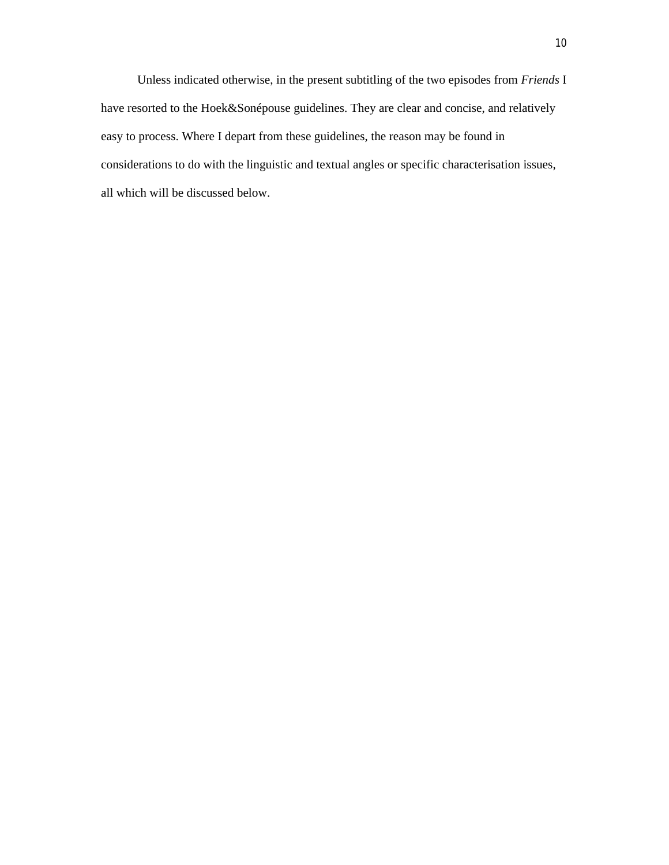Unless indicated otherwise, in the present subtitling of the two episodes from *Friends* I have resorted to the Hoek&Sonépouse guidelines. They are clear and concise, and relatively easy to process. Where I depart from these guidelines, the reason may be found in considerations to do with the linguistic and textual angles or specific characterisation issues, all which will be discussed below.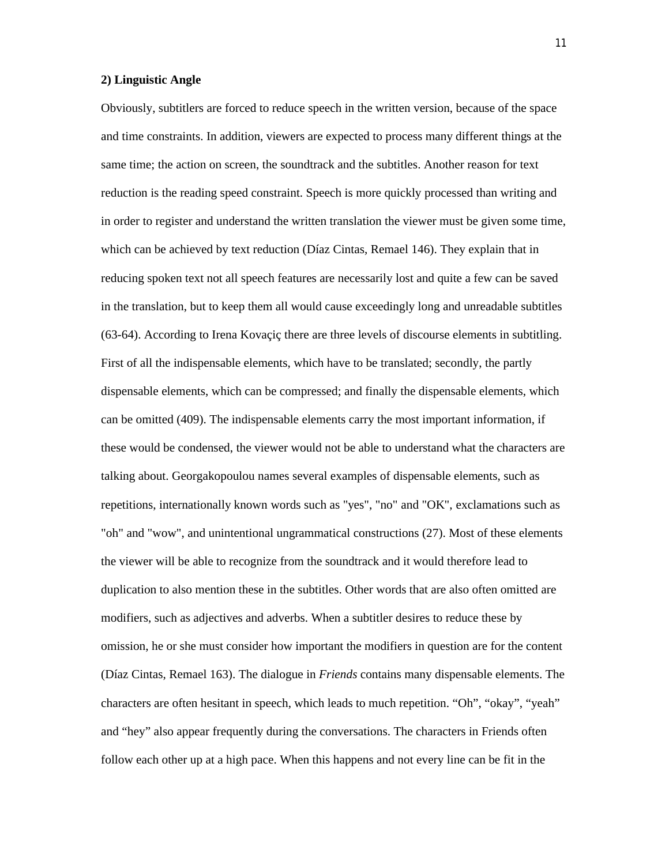#### **2) Linguistic Angle**

Obviously, subtitlers are forced to reduce speech in the written version, because of the space and time constraints. In addition, viewers are expected to process many different things at the same time; the action on screen, the soundtrack and the subtitles. Another reason for text reduction is the reading speed constraint. Speech is more quickly processed than writing and in order to register and understand the written translation the viewer must be given some time, which can be achieved by text reduction (Díaz Cintas, Remael 146). They explain that in reducing spoken text not all speech features are necessarily lost and quite a few can be saved in the translation, but to keep them all would cause exceedingly long and unreadable subtitles (63-64). According to Irena Kovaçiç there are three levels of discourse elements in subtitling. First of all the indispensable elements, which have to be translated; secondly, the partly dispensable elements, which can be compressed; and finally the dispensable elements, which can be omitted (409). The indispensable elements carry the most important information, if these would be condensed, the viewer would not be able to understand what the characters are talking about. Georgakopoulou names several examples of dispensable elements, such as repetitions, internationally known words such as "yes", "no" and "OK", exclamations such as "oh" and "wow", and unintentional ungrammatical constructions (27). Most of these elements the viewer will be able to recognize from the soundtrack and it would therefore lead to duplication to also mention these in the subtitles. Other words that are also often omitted are modifiers, such as adjectives and adverbs. When a subtitler desires to reduce these by omission, he or she must consider how important the modifiers in question are for the content (Díaz Cintas, Remael 163). The dialogue in *Friends* contains many dispensable elements. The characters are often hesitant in speech, which leads to much repetition. "Oh", "okay", "yeah" and "hey" also appear frequently during the conversations. The characters in Friends often follow each other up at a high pace. When this happens and not every line can be fit in the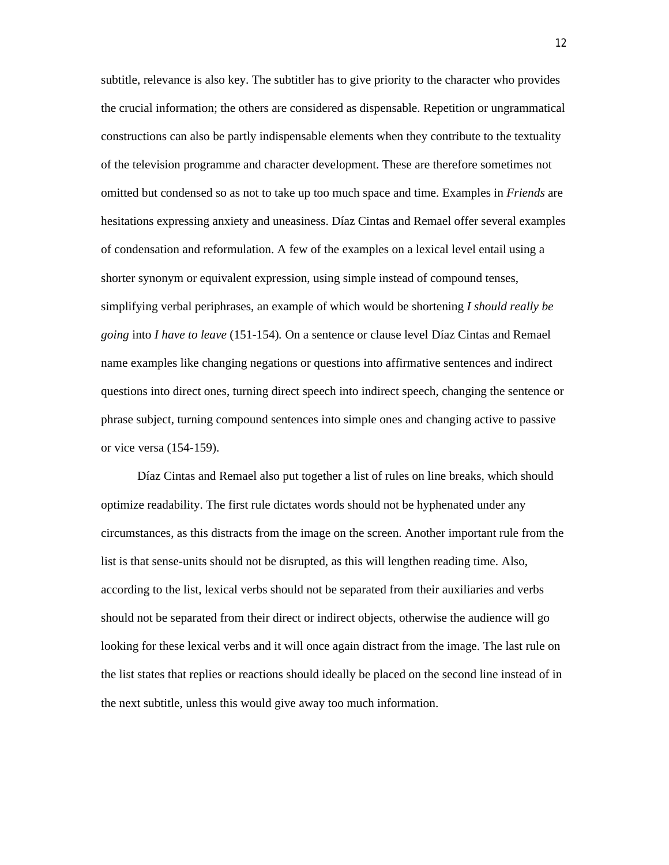subtitle, relevance is also key. The subtitler has to give priority to the character who provides the crucial information; the others are considered as dispensable. Repetition or ungrammatical constructions can also be partly indispensable elements when they contribute to the textuality of the television programme and character development. These are therefore sometimes not omitted but condensed so as not to take up too much space and time. Examples in *Friends* are hesitations expressing anxiety and uneasiness. Díaz Cintas and Remael offer several examples of condensation and reformulation. A few of the examples on a lexical level entail using a shorter synonym or equivalent expression, using simple instead of compound tenses, simplifying verbal periphrases, an example of which would be shortening *I should really be going* into *I have to leave* (151-154)*.* On a sentence or clause level Díaz Cintas and Remael name examples like changing negations or questions into affirmative sentences and indirect questions into direct ones, turning direct speech into indirect speech, changing the sentence or phrase subject, turning compound sentences into simple ones and changing active to passive or vice versa (154-159).

Díaz Cintas and Remael also put together a list of rules on line breaks, which should optimize readability. The first rule dictates words should not be hyphenated under any circumstances, as this distracts from the image on the screen. Another important rule from the list is that sense-units should not be disrupted, as this will lengthen reading time. Also, according to the list, lexical verbs should not be separated from their auxiliaries and verbs should not be separated from their direct or indirect objects, otherwise the audience will go looking for these lexical verbs and it will once again distract from the image. The last rule on the list states that replies or reactions should ideally be placed on the second line instead of in the next subtitle, unless this would give away too much information.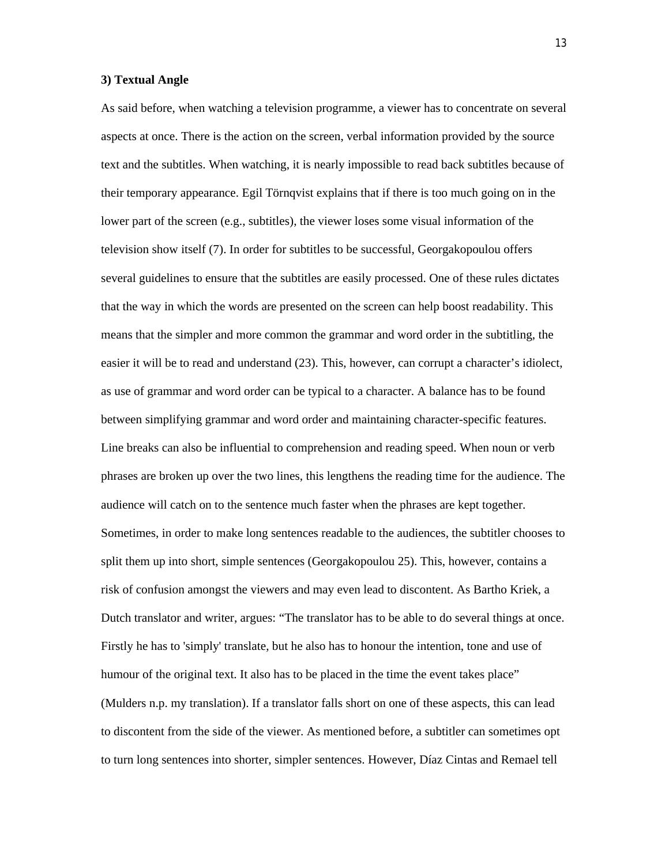#### **3) Textual Angle**

As said before, when watching a television programme, a viewer has to concentrate on several aspects at once. There is the action on the screen, verbal information provided by the source text and the subtitles. When watching, it is nearly impossible to read back subtitles because of their temporary appearance. Egil Törnqvist explains that if there is too much going on in the lower part of the screen (e.g., subtitles), the viewer loses some visual information of the television show itself (7). In order for subtitles to be successful, Georgakopoulou offers several guidelines to ensure that the subtitles are easily processed. One of these rules dictates that the way in which the words are presented on the screen can help boost readability. This means that the simpler and more common the grammar and word order in the subtitling, the easier it will be to read and understand (23). This, however, can corrupt a character's idiolect, as use of grammar and word order can be typical to a character. A balance has to be found between simplifying grammar and word order and maintaining character-specific features. Line breaks can also be influential to comprehension and reading speed. When noun or verb phrases are broken up over the two lines, this lengthens the reading time for the audience. The audience will catch on to the sentence much faster when the phrases are kept together. Sometimes, in order to make long sentences readable to the audiences, the subtitler chooses to split them up into short, simple sentences (Georgakopoulou 25). This, however, contains a risk of confusion amongst the viewers and may even lead to discontent. As Bartho Kriek, a Dutch translator and writer, argues: "The translator has to be able to do several things at once. Firstly he has to 'simply' translate, but he also has to honour the intention, tone and use of humour of the original text. It also has to be placed in the time the event takes place" (Mulders n.p. my translation). If a translator falls short on one of these aspects, this can lead to discontent from the side of the viewer. As mentioned before, a subtitler can sometimes opt to turn long sentences into shorter, simpler sentences. However, Díaz Cintas and Remael tell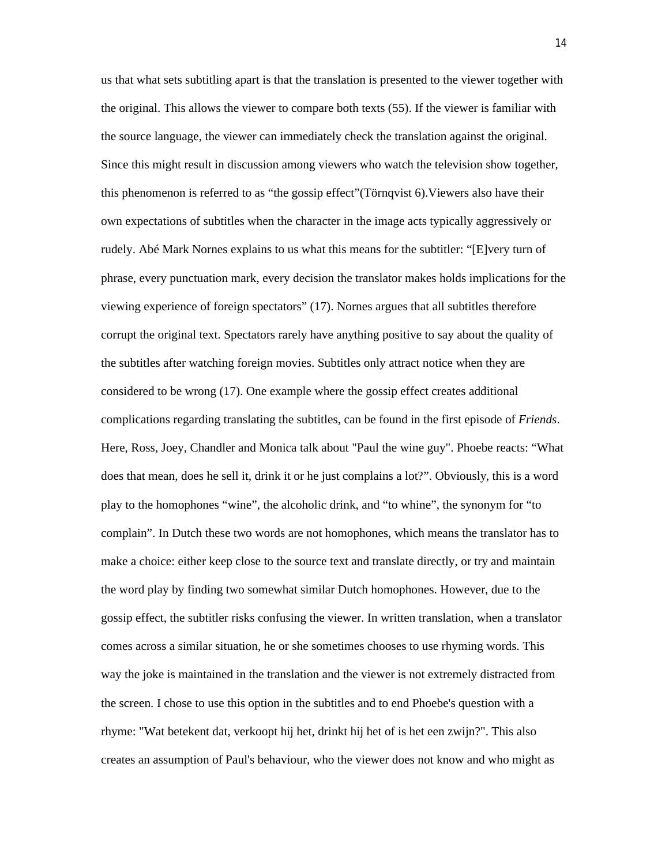us that what sets subtitling apart is that the translation is presented to the viewer together with the original. This allows the viewer to compare both texts (55). If the viewer is familiar with the source language, the viewer can immediately check the translation against the original. Since this might result in discussion among viewers who watch the television show together, this phenomenon is referred to as "the gossip effect"(Törnqvist 6).Viewers also have their own expectations of subtitles when the character in the image acts typically aggressively or rudely. Abé Mark Nornes explains to us what this means for the subtitler: "[E]very turn of phrase, every punctuation mark, every decision the translator makes holds implications for the viewing experience of foreign spectators" (17). Nornes argues that all subtitles therefore corrupt the original text. Spectators rarely have anything positive to say about the quality of the subtitles after watching foreign movies. Subtitles only attract notice when they are considered to be wrong (17). One example where the gossip effect creates additional complications regarding translating the subtitles, can be found in the first episode of *Friends*. Here, Ross, Joey, Chandler and Monica talk about "Paul the wine guy". Phoebe reacts: "What does that mean, does he sell it, drink it or he just complains a lot?". Obviously, this is a word play to the homophones "wine", the alcoholic drink, and "to whine", the synonym for "to complain". In Dutch these two words are not homophones, which means the translator has to make a choice: either keep close to the source text and translate directly, or try and maintain the word play by finding two somewhat similar Dutch homophones. However, due to the gossip effect, the subtitler risks confusing the viewer. In written translation, when a translator comes across a similar situation, he or she sometimes chooses to use rhyming words. This way the joke is maintained in the translation and the viewer is not extremely distracted from the screen. I chose to use this option in the subtitles and to end Phoebe's question with a rhyme: "Wat betekent dat, verkoopt hij het, drinkt hij het of is het een zwijn?". This also creates an assumption of Paul's behaviour, who the viewer does not know and who might as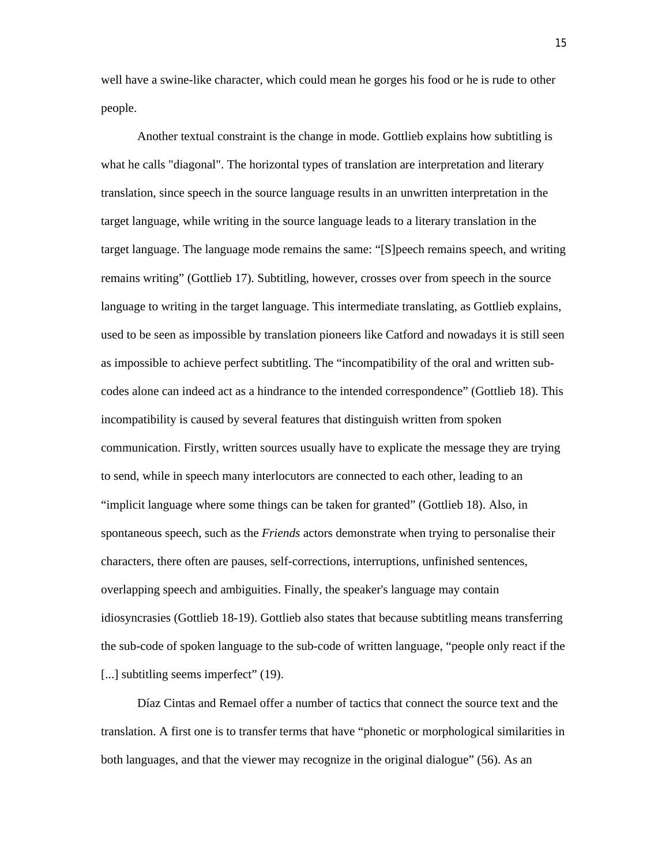well have a swine-like character, which could mean he gorges his food or he is rude to other people.

Another textual constraint is the change in mode. Gottlieb explains how subtitling is what he calls "diagonal". The horizontal types of translation are interpretation and literary translation, since speech in the source language results in an unwritten interpretation in the target language, while writing in the source language leads to a literary translation in the target language. The language mode remains the same: "[S]peech remains speech, and writing remains writing" (Gottlieb 17). Subtitling, however, crosses over from speech in the source language to writing in the target language. This intermediate translating, as Gottlieb explains, used to be seen as impossible by translation pioneers like Catford and nowadays it is still seen as impossible to achieve perfect subtitling. The "incompatibility of the oral and written subcodes alone can indeed act as a hindrance to the intended correspondence" (Gottlieb 18). This incompatibility is caused by several features that distinguish written from spoken communication. Firstly, written sources usually have to explicate the message they are trying to send, while in speech many interlocutors are connected to each other, leading to an "implicit language where some things can be taken for granted" (Gottlieb 18). Also, in spontaneous speech, such as the *Friends* actors demonstrate when trying to personalise their characters, there often are pauses, self-corrections, interruptions, unfinished sentences, overlapping speech and ambiguities. Finally, the speaker's language may contain idiosyncrasies (Gottlieb 18-19). Gottlieb also states that because subtitling means transferring the sub-code of spoken language to the sub-code of written language, "people only react if the [...] subtitling seems imperfect" (19).

Díaz Cintas and Remael offer a number of tactics that connect the source text and the translation. A first one is to transfer terms that have "phonetic or morphological similarities in both languages, and that the viewer may recognize in the original dialogue" (56). As an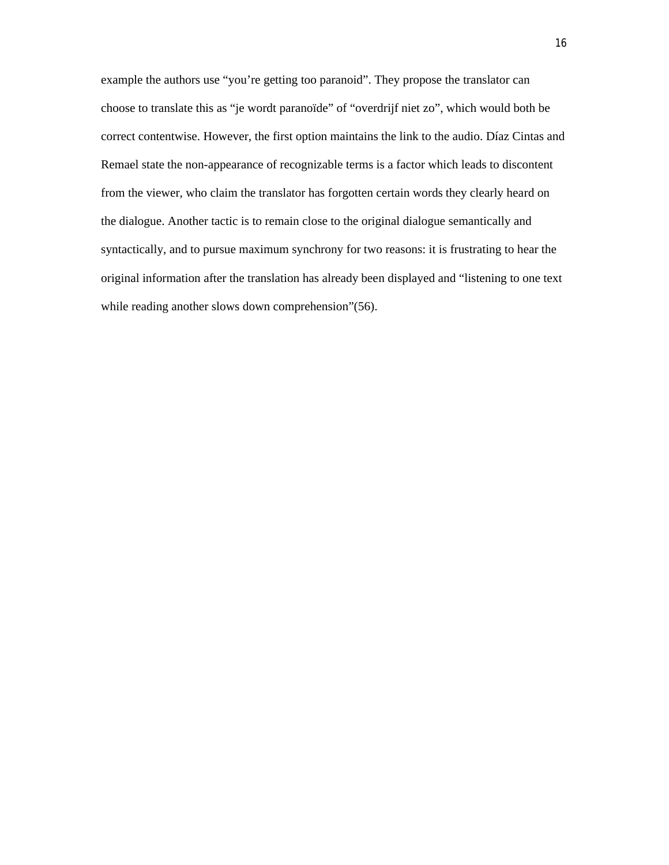example the authors use "you're getting too paranoid". They propose the translator can choose to translate this as "je wordt paranoïde" of "overdrijf niet zo", which would both be correct contentwise. However, the first option maintains the link to the audio. Díaz Cintas and Remael state the non-appearance of recognizable terms is a factor which leads to discontent from the viewer, who claim the translator has forgotten certain words they clearly heard on the dialogue. Another tactic is to remain close to the original dialogue semantically and syntactically, and to pursue maximum synchrony for two reasons: it is frustrating to hear the original information after the translation has already been displayed and "listening to one text while reading another slows down comprehension"(56).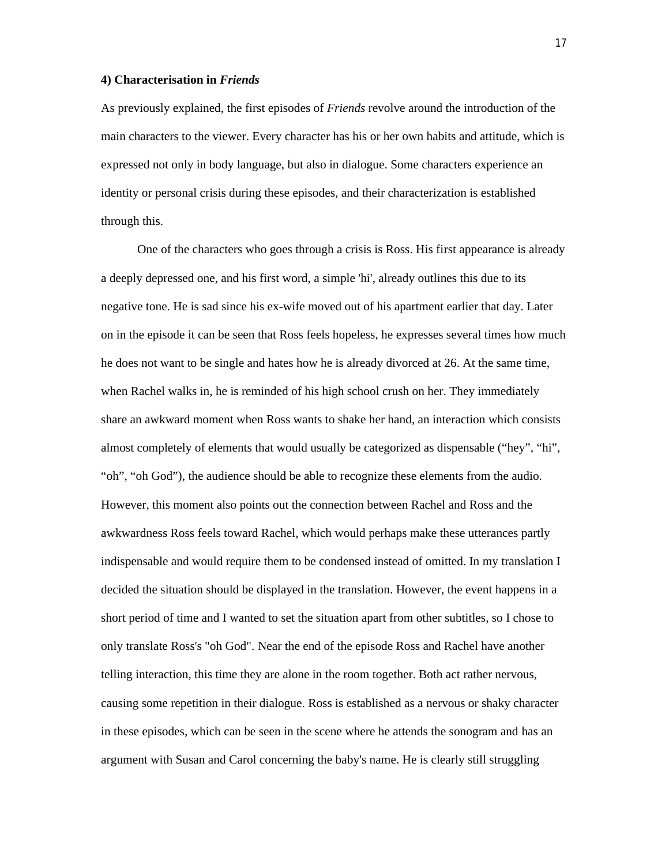#### **4) Characterisation in** *Friends*

As previously explained, the first episodes of *Friends* revolve around the introduction of the main characters to the viewer. Every character has his or her own habits and attitude, which is expressed not only in body language, but also in dialogue. Some characters experience an identity or personal crisis during these episodes, and their characterization is established through this.

One of the characters who goes through a crisis is Ross. His first appearance is already a deeply depressed one, and his first word, a simple 'hi', already outlines this due to its negative tone. He is sad since his ex-wife moved out of his apartment earlier that day. Later on in the episode it can be seen that Ross feels hopeless, he expresses several times how much he does not want to be single and hates how he is already divorced at 26. At the same time, when Rachel walks in, he is reminded of his high school crush on her. They immediately share an awkward moment when Ross wants to shake her hand, an interaction which consists almost completely of elements that would usually be categorized as dispensable ("hey", "hi", "oh", "oh God"), the audience should be able to recognize these elements from the audio. However, this moment also points out the connection between Rachel and Ross and the awkwardness Ross feels toward Rachel, which would perhaps make these utterances partly indispensable and would require them to be condensed instead of omitted. In my translation I decided the situation should be displayed in the translation. However, the event happens in a short period of time and I wanted to set the situation apart from other subtitles, so I chose to only translate Ross's "oh God". Near the end of the episode Ross and Rachel have another telling interaction, this time they are alone in the room together. Both act rather nervous, causing some repetition in their dialogue. Ross is established as a nervous or shaky character in these episodes, which can be seen in the scene where he attends the sonogram and has an argument with Susan and Carol concerning the baby's name. He is clearly still struggling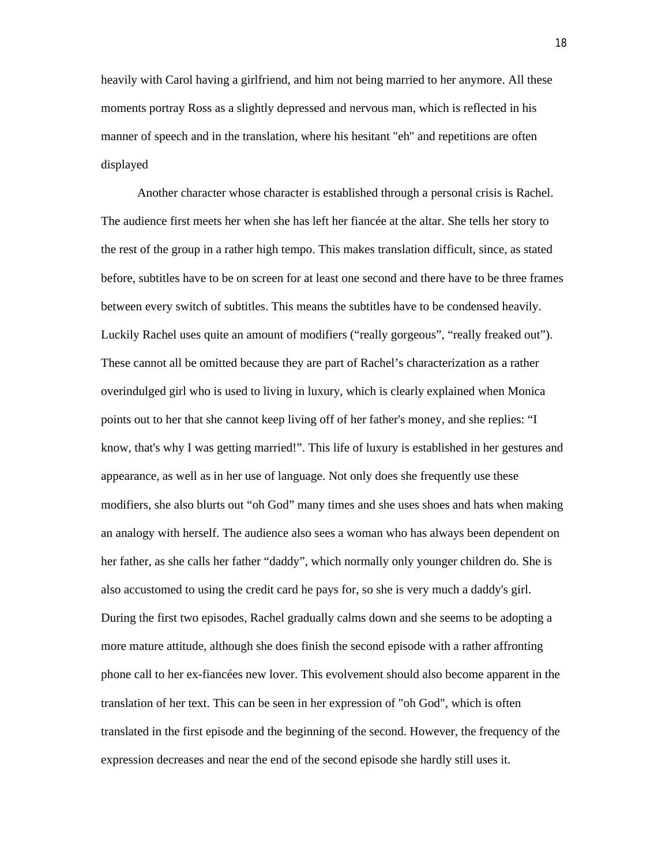heavily with Carol having a girlfriend, and him not being married to her anymore. All these moments portray Ross as a slightly depressed and nervous man, which is reflected in his manner of speech and in the translation, where his hesitant "eh" and repetitions are often displayed

Another character whose character is established through a personal crisis is Rachel. The audience first meets her when she has left her fiancée at the altar. She tells her story to the rest of the group in a rather high tempo. This makes translation difficult, since, as stated before, subtitles have to be on screen for at least one second and there have to be three frames between every switch of subtitles. This means the subtitles have to be condensed heavily. Luckily Rachel uses quite an amount of modifiers ("really gorgeous", "really freaked out"). These cannot all be omitted because they are part of Rachel's characterization as a rather overindulged girl who is used to living in luxury, which is clearly explained when Monica points out to her that she cannot keep living off of her father's money, and she replies: "I know, that's why I was getting married!". This life of luxury is established in her gestures and appearance, as well as in her use of language. Not only does she frequently use these modifiers, she also blurts out "oh God" many times and she uses shoes and hats when making an analogy with herself. The audience also sees a woman who has always been dependent on her father, as she calls her father "daddy", which normally only younger children do. She is also accustomed to using the credit card he pays for, so she is very much a daddy's girl. During the first two episodes, Rachel gradually calms down and she seems to be adopting a more mature attitude, although she does finish the second episode with a rather affronting phone call to her ex-fiancées new lover. This evolvement should also become apparent in the translation of her text. This can be seen in her expression of "oh God", which is often translated in the first episode and the beginning of the second. However, the frequency of the expression decreases and near the end of the second episode she hardly still uses it.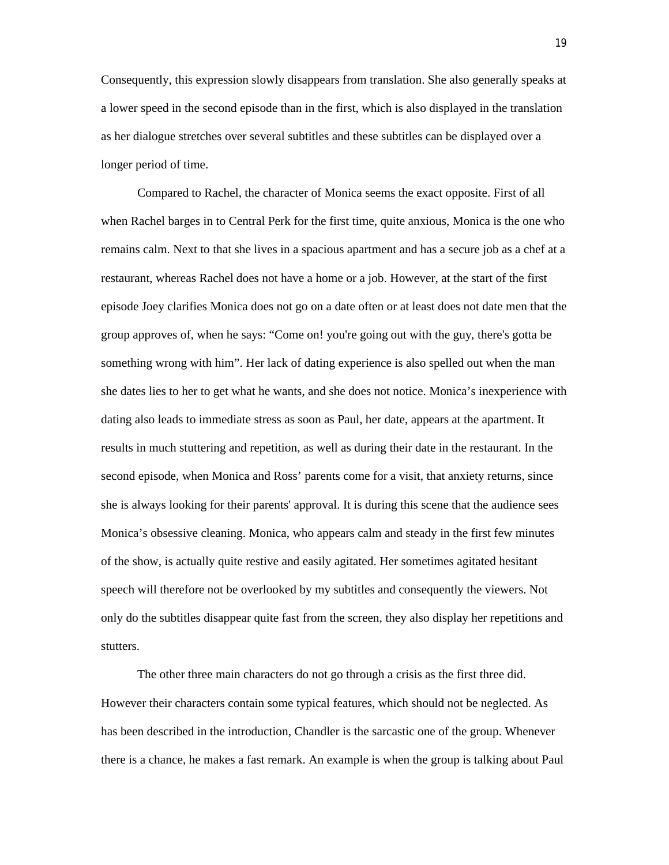Consequently, this expression slowly disappears from translation. She also generally speaks at a lower speed in the second episode than in the first, which is also displayed in the translation as her dialogue stretches over several subtitles and these subtitles can be displayed over a longer period of time.

Compared to Rachel, the character of Monica seems the exact opposite. First of all when Rachel barges in to Central Perk for the first time, quite anxious, Monica is the one who remains calm. Next to that she lives in a spacious apartment and has a secure job as a chef at a restaurant, whereas Rachel does not have a home or a job. However, at the start of the first episode Joey clarifies Monica does not go on a date often or at least does not date men that the group approves of, when he says: "Come on! you're going out with the guy, there's gotta be something wrong with him". Her lack of dating experience is also spelled out when the man she dates lies to her to get what he wants, and she does not notice. Monica's inexperience with dating also leads to immediate stress as soon as Paul, her date, appears at the apartment. It results in much stuttering and repetition, as well as during their date in the restaurant. In the second episode, when Monica and Ross' parents come for a visit, that anxiety returns, since she is always looking for their parents' approval. It is during this scene that the audience sees Monica's obsessive cleaning. Monica, who appears calm and steady in the first few minutes of the show, is actually quite restive and easily agitated. Her sometimes agitated hesitant speech will therefore not be overlooked by my subtitles and consequently the viewers. Not only do the subtitles disappear quite fast from the screen, they also display her repetitions and stutters.

The other three main characters do not go through a crisis as the first three did. However their characters contain some typical features, which should not be neglected. As has been described in the introduction, Chandler is the sarcastic one of the group. Whenever there is a chance, he makes a fast remark. An example is when the group is talking about Paul

19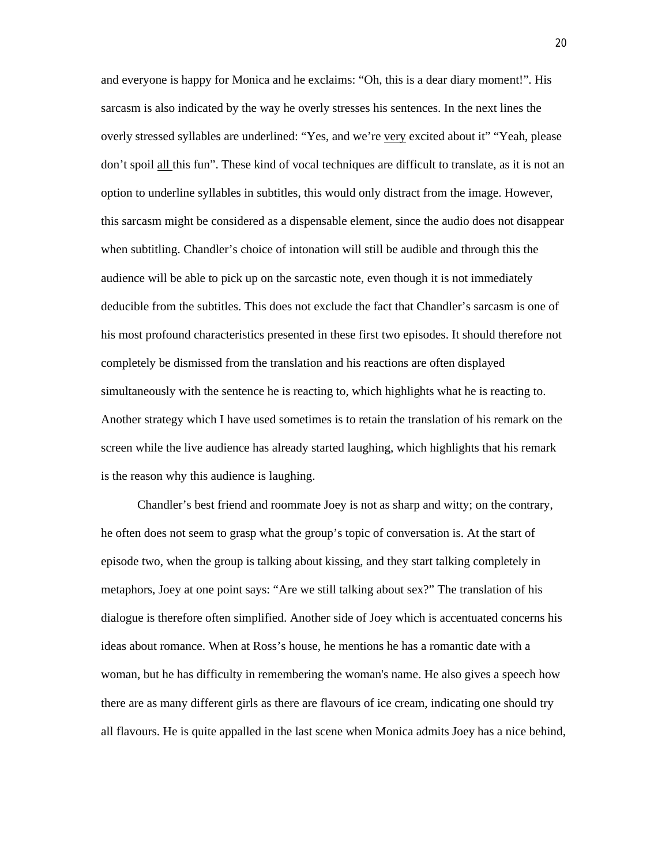and everyone is happy for Monica and he exclaims: "Oh, this is a dear diary moment!". His sarcasm is also indicated by the way he overly stresses his sentences. In the next lines the overly stressed syllables are underlined: "Yes, and we're very excited about it" "Yeah, please don't spoil all this fun". These kind of vocal techniques are difficult to translate, as it is not an option to underline syllables in subtitles, this would only distract from the image. However, this sarcasm might be considered as a dispensable element, since the audio does not disappear when subtitling. Chandler's choice of intonation will still be audible and through this the audience will be able to pick up on the sarcastic note, even though it is not immediately deducible from the subtitles. This does not exclude the fact that Chandler's sarcasm is one of his most profound characteristics presented in these first two episodes. It should therefore not completely be dismissed from the translation and his reactions are often displayed simultaneously with the sentence he is reacting to, which highlights what he is reacting to. Another strategy which I have used sometimes is to retain the translation of his remark on the screen while the live audience has already started laughing, which highlights that his remark is the reason why this audience is laughing.

Chandler's best friend and roommate Joey is not as sharp and witty; on the contrary, he often does not seem to grasp what the group's topic of conversation is. At the start of episode two, when the group is talking about kissing, and they start talking completely in metaphors, Joey at one point says: "Are we still talking about sex?" The translation of his dialogue is therefore often simplified. Another side of Joey which is accentuated concerns his ideas about romance. When at Ross's house, he mentions he has a romantic date with a woman, but he has difficulty in remembering the woman's name. He also gives a speech how there are as many different girls as there are flavours of ice cream, indicating one should try all flavours. He is quite appalled in the last scene when Monica admits Joey has a nice behind,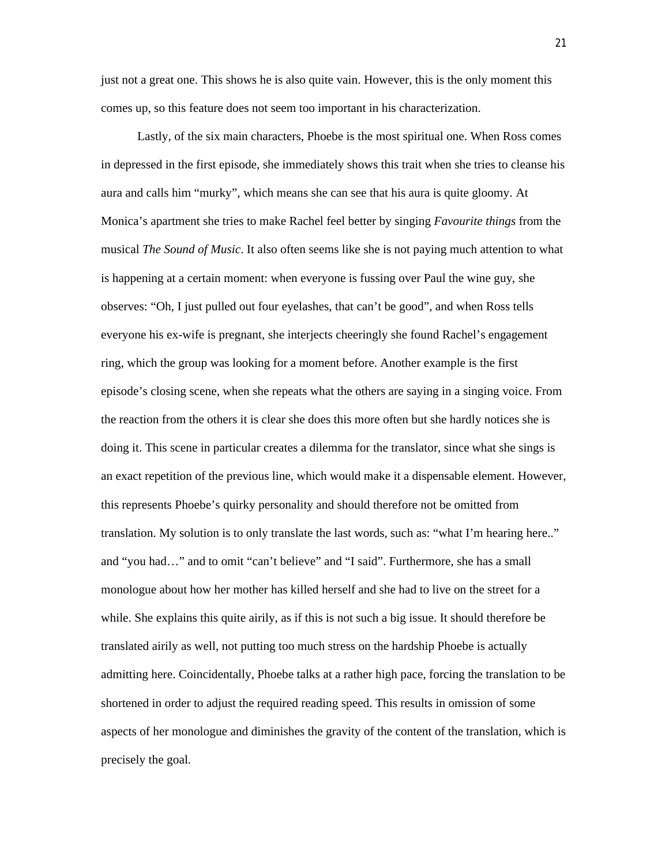just not a great one. This shows he is also quite vain. However, this is the only moment this comes up, so this feature does not seem too important in his characterization.

Lastly, of the six main characters, Phoebe is the most spiritual one. When Ross comes in depressed in the first episode, she immediately shows this trait when she tries to cleanse his aura and calls him "murky", which means she can see that his aura is quite gloomy. At Monica's apartment she tries to make Rachel feel better by singing *Favourite things* from the musical *The Sound of Music*. It also often seems like she is not paying much attention to what is happening at a certain moment: when everyone is fussing over Paul the wine guy, she observes: "Oh, I just pulled out four eyelashes, that can't be good", and when Ross tells everyone his ex-wife is pregnant, she interjects cheeringly she found Rachel's engagement ring, which the group was looking for a moment before. Another example is the first episode's closing scene, when she repeats what the others are saying in a singing voice. From the reaction from the others it is clear she does this more often but she hardly notices she is doing it. This scene in particular creates a dilemma for the translator, since what she sings is an exact repetition of the previous line, which would make it a dispensable element. However, this represents Phoebe's quirky personality and should therefore not be omitted from translation. My solution is to only translate the last words, such as: "what I'm hearing here.." and "you had…" and to omit "can't believe" and "I said". Furthermore, she has a small monologue about how her mother has killed herself and she had to live on the street for a while. She explains this quite airily, as if this is not such a big issue. It should therefore be translated airily as well, not putting too much stress on the hardship Phoebe is actually admitting here. Coincidentally, Phoebe talks at a rather high pace, forcing the translation to be shortened in order to adjust the required reading speed. This results in omission of some aspects of her monologue and diminishes the gravity of the content of the translation, which is precisely the goal.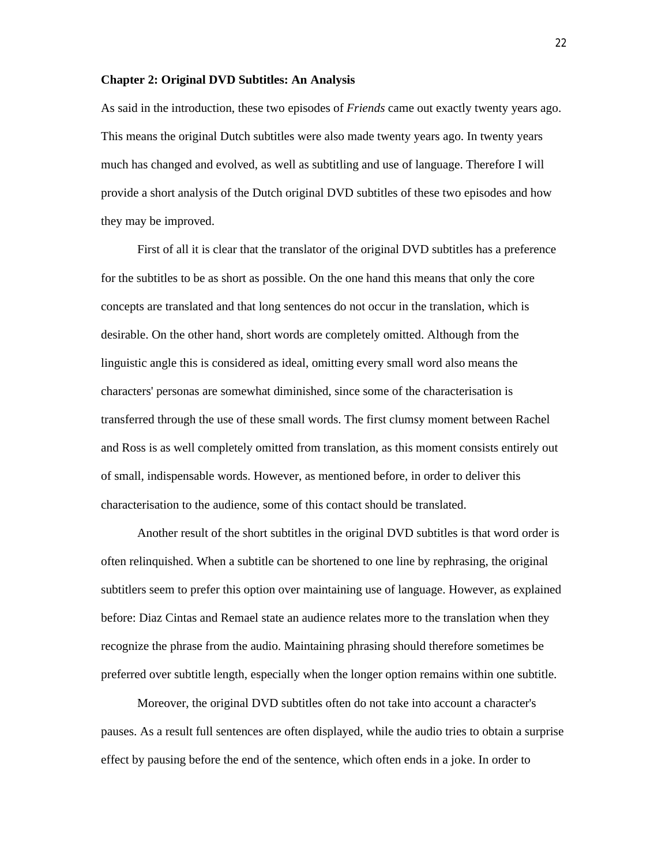#### **Chapter 2: Original DVD Subtitles: An Analysis**

As said in the introduction, these two episodes of *Friends* came out exactly twenty years ago. This means the original Dutch subtitles were also made twenty years ago. In twenty years much has changed and evolved, as well as subtitling and use of language. Therefore I will provide a short analysis of the Dutch original DVD subtitles of these two episodes and how they may be improved.

First of all it is clear that the translator of the original DVD subtitles has a preference for the subtitles to be as short as possible. On the one hand this means that only the core concepts are translated and that long sentences do not occur in the translation, which is desirable. On the other hand, short words are completely omitted. Although from the linguistic angle this is considered as ideal, omitting every small word also means the characters' personas are somewhat diminished, since some of the characterisation is transferred through the use of these small words. The first clumsy moment between Rachel and Ross is as well completely omitted from translation, as this moment consists entirely out of small, indispensable words. However, as mentioned before, in order to deliver this characterisation to the audience, some of this contact should be translated.

Another result of the short subtitles in the original DVD subtitles is that word order is often relinquished. When a subtitle can be shortened to one line by rephrasing, the original subtitlers seem to prefer this option over maintaining use of language. However, as explained before: Diaz Cintas and Remael state an audience relates more to the translation when they recognize the phrase from the audio. Maintaining phrasing should therefore sometimes be preferred over subtitle length, especially when the longer option remains within one subtitle.

Moreover, the original DVD subtitles often do not take into account a character's pauses. As a result full sentences are often displayed, while the audio tries to obtain a surprise effect by pausing before the end of the sentence, which often ends in a joke. In order to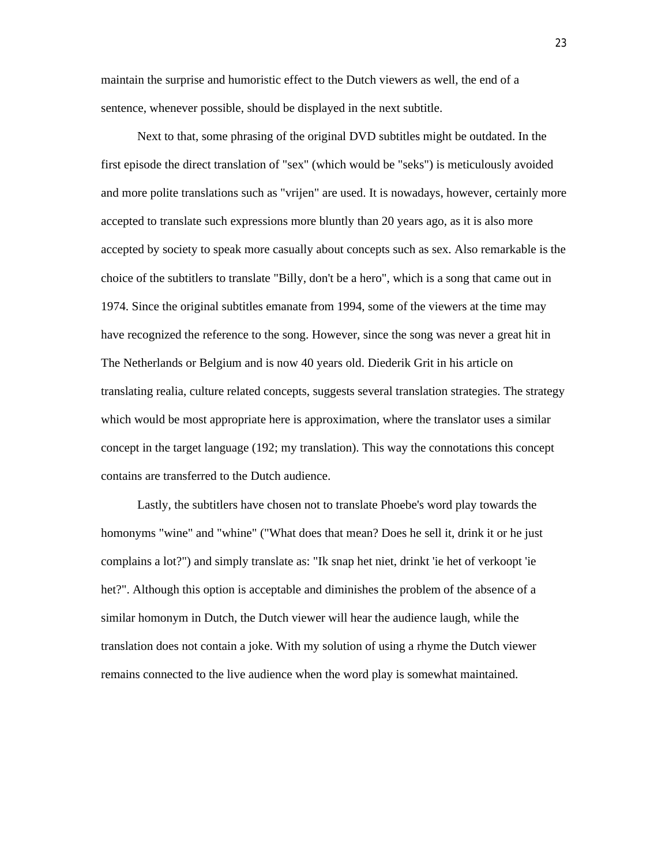maintain the surprise and humoristic effect to the Dutch viewers as well, the end of a sentence, whenever possible, should be displayed in the next subtitle.

Next to that, some phrasing of the original DVD subtitles might be outdated. In the first episode the direct translation of "sex" (which would be "seks") is meticulously avoided and more polite translations such as "vrijen" are used. It is nowadays, however, certainly more accepted to translate such expressions more bluntly than 20 years ago, as it is also more accepted by society to speak more casually about concepts such as sex. Also remarkable is the choice of the subtitlers to translate "Billy, don't be a hero", which is a song that came out in 1974. Since the original subtitles emanate from 1994, some of the viewers at the time may have recognized the reference to the song. However, since the song was never a great hit in The Netherlands or Belgium and is now 40 years old. Diederik Grit in his article on translating realia, culture related concepts, suggests several translation strategies. The strategy which would be most appropriate here is approximation, where the translator uses a similar concept in the target language (192; my translation). This way the connotations this concept contains are transferred to the Dutch audience.

Lastly, the subtitlers have chosen not to translate Phoebe's word play towards the homonyms "wine" and "whine" ("What does that mean? Does he sell it, drink it or he just complains a lot?") and simply translate as: "Ik snap het niet, drinkt 'ie het of verkoopt 'ie het?". Although this option is acceptable and diminishes the problem of the absence of a similar homonym in Dutch, the Dutch viewer will hear the audience laugh, while the translation does not contain a joke. With my solution of using a rhyme the Dutch viewer remains connected to the live audience when the word play is somewhat maintained.

23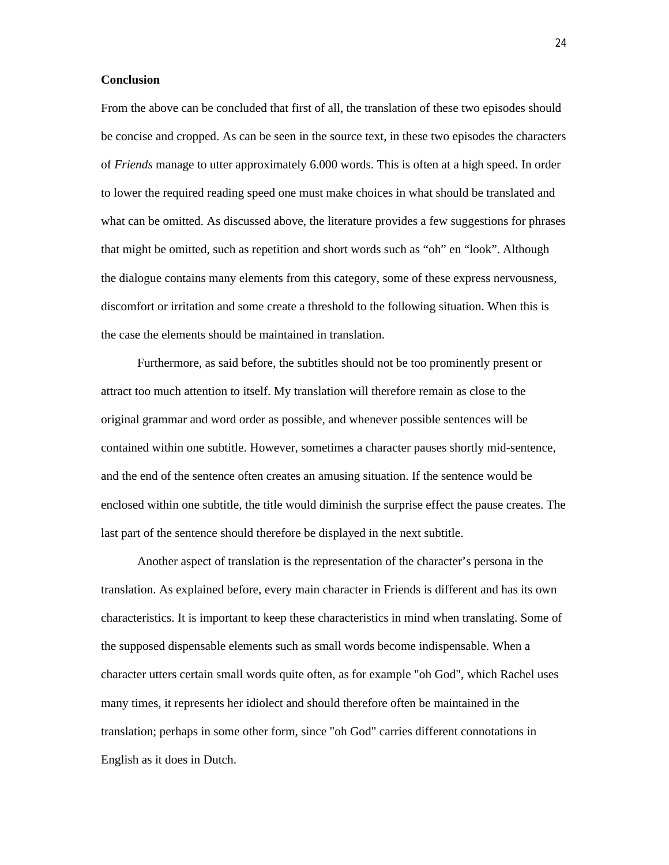#### **Conclusion**

From the above can be concluded that first of all, the translation of these two episodes should be concise and cropped. As can be seen in the source text, in these two episodes the characters of *Friends* manage to utter approximately 6.000 words. This is often at a high speed. In order to lower the required reading speed one must make choices in what should be translated and what can be omitted. As discussed above, the literature provides a few suggestions for phrases that might be omitted, such as repetition and short words such as "oh" en "look". Although the dialogue contains many elements from this category, some of these express nervousness, discomfort or irritation and some create a threshold to the following situation. When this is the case the elements should be maintained in translation.

Furthermore, as said before, the subtitles should not be too prominently present or attract too much attention to itself. My translation will therefore remain as close to the original grammar and word order as possible, and whenever possible sentences will be contained within one subtitle. However, sometimes a character pauses shortly mid-sentence, and the end of the sentence often creates an amusing situation. If the sentence would be enclosed within one subtitle, the title would diminish the surprise effect the pause creates. The last part of the sentence should therefore be displayed in the next subtitle.

Another aspect of translation is the representation of the character's persona in the translation. As explained before, every main character in Friends is different and has its own characteristics. It is important to keep these characteristics in mind when translating. Some of the supposed dispensable elements such as small words become indispensable. When a character utters certain small words quite often, as for example "oh God", which Rachel uses many times, it represents her idiolect and should therefore often be maintained in the translation; perhaps in some other form, since "oh God" carries different connotations in English as it does in Dutch.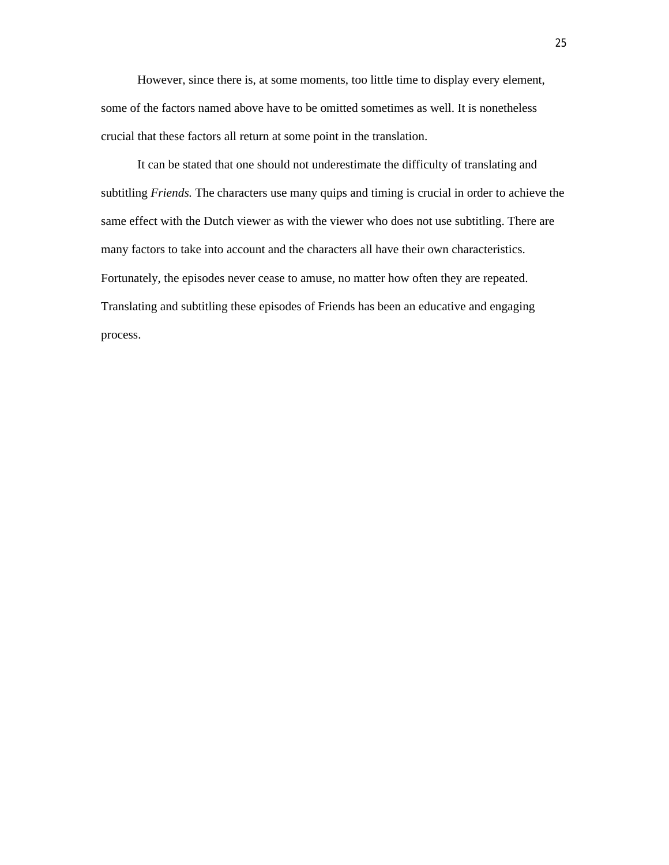However, since there is, at some moments, too little time to display every element, some of the factors named above have to be omitted sometimes as well. It is nonetheless crucial that these factors all return at some point in the translation.

It can be stated that one should not underestimate the difficulty of translating and subtitling *Friends.* The characters use many quips and timing is crucial in order to achieve the same effect with the Dutch viewer as with the viewer who does not use subtitling. There are many factors to take into account and the characters all have their own characteristics. Fortunately, the episodes never cease to amuse, no matter how often they are repeated. Translating and subtitling these episodes of Friends has been an educative and engaging process.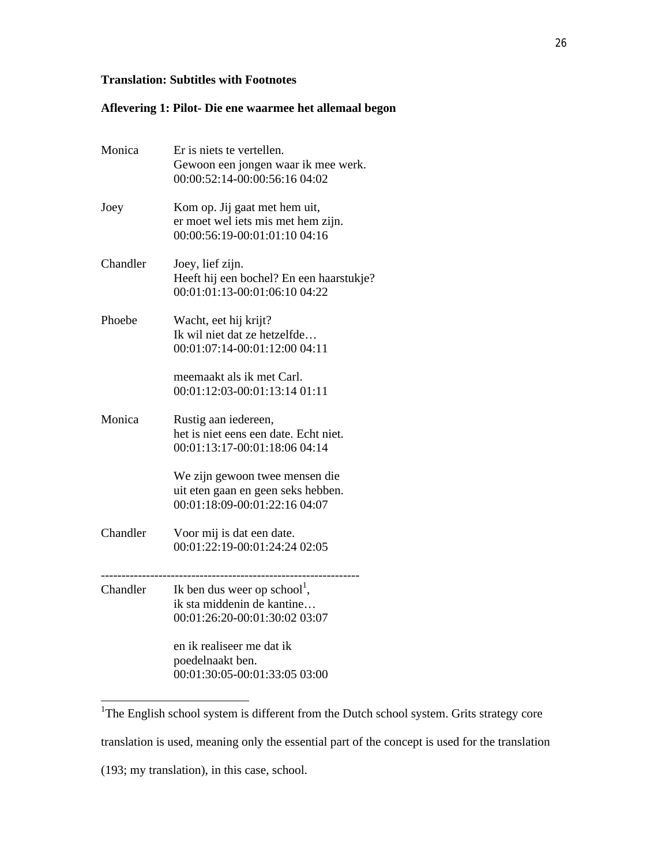## **Translation: Subtitles with Footnotes**

## **Aflevering 1: Pilot- Die ene waarmee het allemaal begon**

| Monica   | Er is niets te vertellen.<br>Gewoon een jongen waar ik mee werk.<br>00:00:52:14-00:00:56:16 04:02       |
|----------|---------------------------------------------------------------------------------------------------------|
| Joey     | Kom op. Jij gaat met hem uit,<br>er moet wel iets mis met hem zijn.<br>00:00:56:19-00:01:01:10 04:16    |
| Chandler | Joey, lief zijn.<br>Heeft hij een bochel? En een haarstukje?<br>00:01:01:13-00:01:06:10 04:22           |
| Phoebe   | Wacht, eet hij krijt?<br>Ik wil niet dat ze hetzelfde<br>00:01:07:14-00:01:12:00 04:11                  |
|          | meemaakt als ik met Carl.<br>00:01:12:03-00:01:13:14 01:11                                              |
| Monica   | Rustig aan iedereen,<br>het is niet eens een date. Echt niet.<br>00:01:13:17-00:01:18:06 04:14          |
|          | We zijn gewoon twee mensen die<br>uit eten gaan en geen seks hebben.<br>00:01:18:09-00:01:22:16 04:07   |
| Chandler | Voor mij is dat een date.<br>00:01:22:19-00:01:24:24 02:05                                              |
| Chandler | Ik ben dus weer op school <sup>1</sup> ,<br>ik sta middenin de kantine<br>00:01:26:20-00:01:30:02 03:07 |
|          | en ik realiseer me dat ik<br>poedelnaakt ben.<br>00:01:30:05-00:01:33:05 03:00                          |
|          |                                                                                                         |

<sup>&</sup>lt;sup>1</sup>The English school system is different from the Dutch school system. Grits strategy core translation is used, meaning only the essential part of the concept is used for the translation

<sup>(193;</sup> my translation), in this case, school.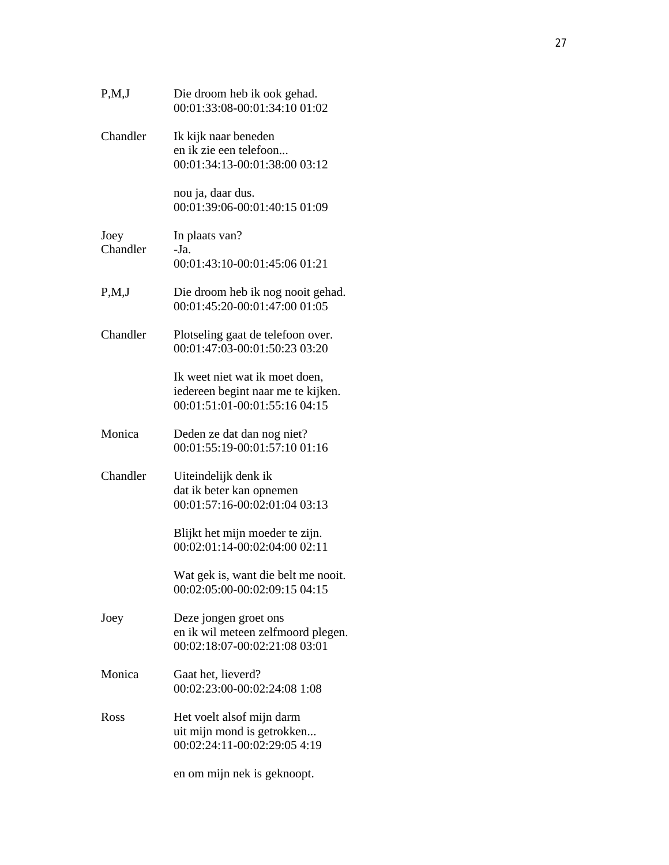| P,M,J            | Die droom heb ik ook gehad.<br>00:01:33:08-00:01:34:10 01:02                                          |
|------------------|-------------------------------------------------------------------------------------------------------|
| Chandler         | Ik kijk naar beneden<br>en ik zie een telefoon<br>00:01:34:13-00:01:38:00 03:12                       |
|                  | nou ja, daar dus.<br>00:01:39:06-00:01:40:15 01:09                                                    |
| Joey<br>Chandler | In plaats van?<br>-Ja.<br>00:01:43:10-00:01:45:06 01:21                                               |
| P,M,J            | Die droom heb ik nog nooit gehad.<br>00:01:45:20-00:01:47:00 01:05                                    |
| Chandler         | Plotseling gaat de telefoon over.<br>00:01:47:03-00:01:50:23 03:20                                    |
|                  | Ik weet niet wat ik moet doen,<br>iedereen begint naar me te kijken.<br>00:01:51:01-00:01:55:16 04:15 |
| Monica           | Deden ze dat dan nog niet?<br>00:01:55:19-00:01:57:10 01:16                                           |
| Chandler         | Uiteindelijk denk ik<br>dat ik beter kan opnemen<br>00:01:57:16-00:02:01:04 03:13                     |
|                  | Blijkt het mijn moeder te zijn.<br>00:02:01:14-00:02:04:00 02:11                                      |
|                  | Wat gek is, want die belt me nooit.<br>00:02:05:00-00:02:09:15 04:15                                  |
| Joey             | Deze jongen groet ons<br>en ik wil meteen zelfmoord plegen.<br>00:02:18:07-00:02:21:08 03:01          |
| Monica           | Gaat het, lieverd?<br>00:02:23:00-00:02:24:08 1:08                                                    |
| Ross             | Het voelt alsof mijn darm<br>uit mijn mond is getrokken<br>00:02:24:11-00:02:29:05 4:19               |
|                  | en om mijn nek is geknoopt.                                                                           |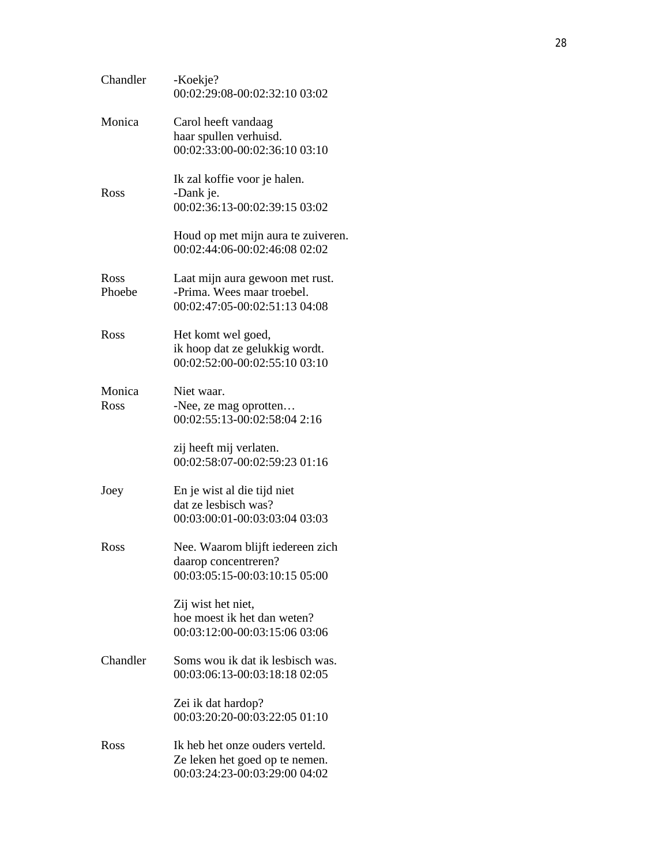| Chandler              | -Koekje?<br>00:02:29:08-00:02:32:10 03:02                                                          |
|-----------------------|----------------------------------------------------------------------------------------------------|
| Monica                | Carol heeft vandaag<br>haar spullen verhuisd.<br>00:02:33:00-00:02:36:10 03:10                     |
| Ross                  | Ik zal koffie voor je halen.<br>-Dank je.<br>00:02:36:13-00:02:39:15 03:02                         |
|                       | Houd op met mijn aura te zuiveren.<br>00:02:44:06-00:02:46:08 02:02                                |
| Ross<br>Phoebe        | Laat mijn aura gewoon met rust.<br>-Prima. Wees maar troebel.<br>00:02:47:05-00:02:51:13 04:08     |
| Ross                  | Het komt wel goed,<br>ik hoop dat ze gelukkig wordt.<br>00:02:52:00-00:02:55:10 03:10              |
| Monica<br><b>Ross</b> | Niet waar.<br>-Nee, ze mag oprotten<br>00:02:55:13-00:02:58:04 2:16                                |
|                       | zij heeft mij verlaten.<br>00:02:58:07-00:02:59:23 01:16                                           |
| Joey                  | En je wist al die tijd niet<br>dat ze lesbisch was?<br>00:03:00:01-00:03:03:04 03:03               |
| Ross                  | Nee. Waarom blijft iedereen zich<br>daarop concentreren?<br>00:03:05:15-00:03:10:15 05:00          |
|                       | Zij wist het niet,<br>hoe moest ik het dan weten?<br>00:03:12:00-00:03:15:06 03:06                 |
| Chandler              | Soms wou ik dat ik lesbisch was.<br>00:03:06:13-00:03:18:18 02:05                                  |
|                       | Zei ik dat hardop?<br>00:03:20:20-00:03:22:05 01:10                                                |
| Ross                  | Ik heb het onze ouders verteld.<br>Ze leken het goed op te nemen.<br>00:03:24:23-00:03:29:00 04:02 |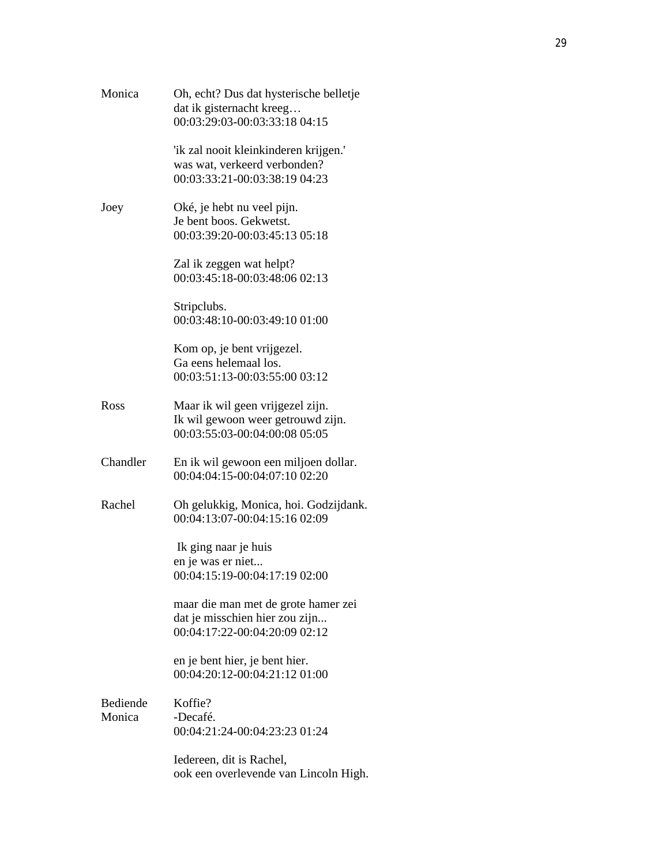| Monica             | Oh, echt? Dus dat hysterische belletje<br>dat ik gisternacht kreeg<br>00:03:29:03-00:03:33:18 04:15    |
|--------------------|--------------------------------------------------------------------------------------------------------|
|                    | 'ik zal nooit kleinkinderen krijgen.'<br>was wat, verkeerd verbonden?<br>00:03:33:21-00:03:38:19 04:23 |
| Joey               | Oké, je hebt nu veel pijn.<br>Je bent boos. Gekwetst.<br>00:03:39:20-00:03:45:13 05:18                 |
|                    | Zal ik zeggen wat helpt?<br>00:03:45:18-00:03:48:06 02:13                                              |
|                    | Stripclubs.<br>00:03:48:10-00:03:49:10 01:00                                                           |
|                    | Kom op, je bent vrijgezel.<br>Ga eens helemaal los.<br>00:03:51:13-00:03:55:00 03:12                   |
| Ross               | Maar ik wil geen vrijgezel zijn.<br>Ik wil gewoon weer getrouwd zijn.<br>00:03:55:03-00:04:00:08 05:05 |
| Chandler           | En ik wil gewoon een miljoen dollar.<br>00:04:04:15-00:04:07:10 02:20                                  |
| Rachel             | Oh gelukkig, Monica, hoi. Godzijdank.<br>00:04:13:07-00:04:15:16 02:09                                 |
|                    | Ik ging naar je huis<br>en je was er niet<br>00:04:15:19-00:04:17:19 02:00                             |
|                    | maar die man met de grote hamer zei<br>dat je misschien hier zou zijn<br>00:04:17:22-00:04:20:09 02:12 |
|                    | en je bent hier, je bent hier.<br>00:04:20:12-00:04:21:12 01:00                                        |
| Bediende<br>Monica | Koffie?<br>-Decafé.<br>00:04:21:24-00:04:23:23 01:24                                                   |
|                    | Iedereen, dit is Rachel,<br>ook een overlevende van Lincoln High.                                      |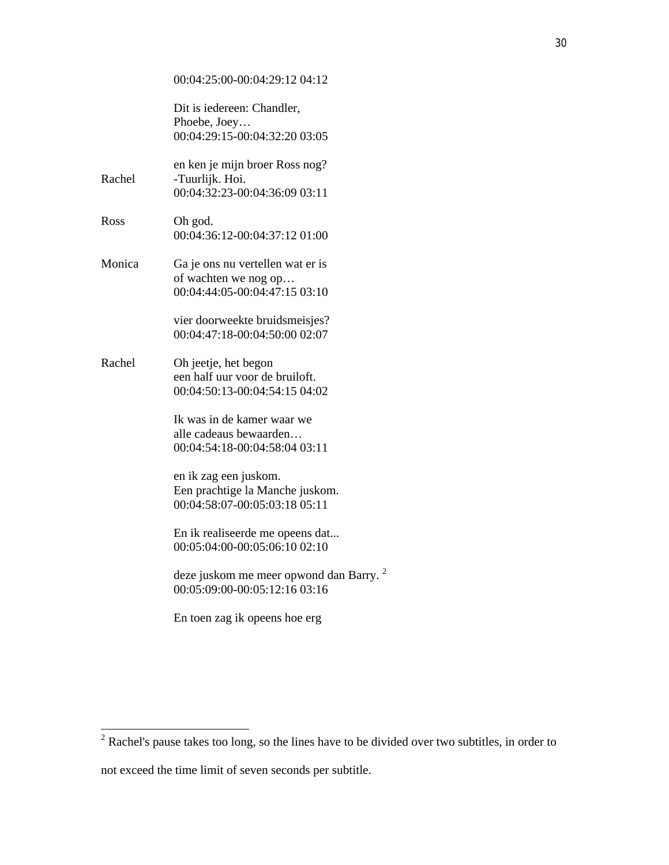|        | 00:04:25:00-00:04:29:12 04:12                                                             |
|--------|-------------------------------------------------------------------------------------------|
|        | Dit is iedereen: Chandler,<br>Phoebe, Joey<br>00:04:29:15-00:04:32:20 03:05               |
| Rachel | en ken je mijn broer Ross nog?<br>-Tuurlijk. Hoi.<br>00:04:32:23-00:04:36:09 03:11        |
| Ross   | Oh god.<br>00:04:36:12-00:04:37:12 01:00                                                  |
| Monica | Ga je ons nu vertellen wat er is<br>of wachten we nog op<br>00:04:44:05-00:04:47:15 03:10 |
|        | vier doorweekte bruidsmeisjes?<br>00:04:47:18-00:04:50:00 02:07                           |
| Rachel | Oh jeetje, het begon<br>een half uur voor de bruiloft.<br>00:04:50:13-00:04:54:15 04:02   |
|        | Ik was in de kamer waar we<br>alle cadeaus bewaarden<br>00:04:54:18-00:04:58:04 03:11     |
|        | en ik zag een juskom.<br>Een prachtige la Manche juskom.<br>00:04:58:07-00:05:03:18 05:11 |
|        | En ik realiseerde me opeens dat<br>00:05:04:00-00:05:06:10 02:10                          |
|        | deze juskom me meer opwond dan Barry. <sup>2</sup><br>00:05:09:00-00:05:12:16 03:16       |
|        | En toen zag ik opeens hoe erg                                                             |
|        |                                                                                           |

1

 $2^2$  Rachel's pause takes too long, so the lines have to be divided over two subtitles, in order to not exceed the time limit of seven seconds per subtitle.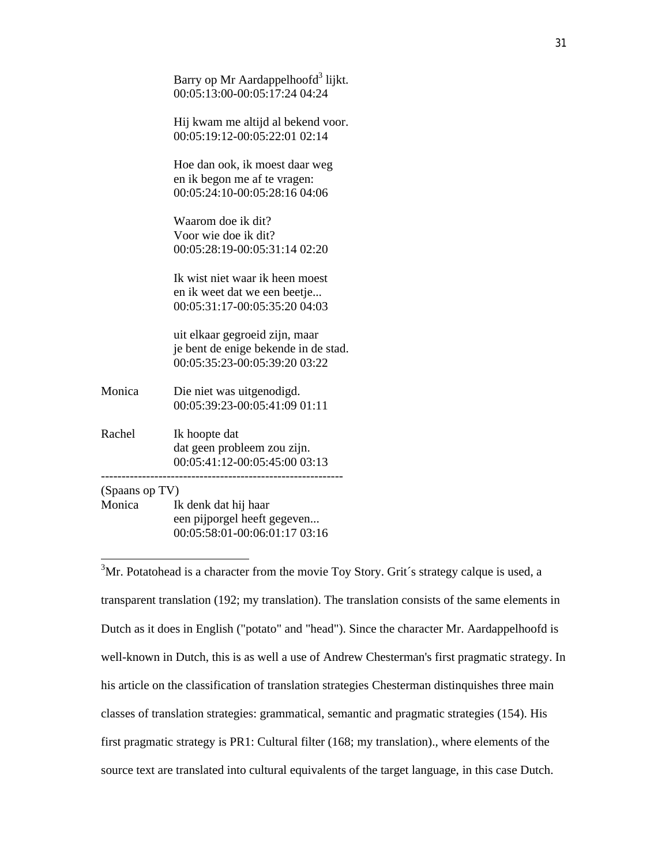|                | Barry op Mr Aardappelhoofd <sup>3</sup> lijkt.<br>00:05:13:00-00:05:17:24 04:24                         |
|----------------|---------------------------------------------------------------------------------------------------------|
|                | Hij kwam me altijd al bekend voor.<br>00:05:19:12-00:05:22:01 02:14                                     |
|                | Hoe dan ook, ik moest daar weg<br>en ik begon me af te vragen:<br>00:05:24:10-00:05:28:16 04:06         |
|                | Waarom doe ik dit?<br>Voor wie doe ik dit?<br>00:05:28:19-00:05:31:14 02:20                             |
|                | Ik wist niet waar ik heen moest<br>en ik weet dat we een beetje<br>00:05:31:17-00:05:35:20 04:03        |
|                | uit elkaar gegroeid zijn, maar<br>je bent de enige bekende in de stad.<br>00:05:35:23-00:05:39:20 03:22 |
| Monica         | Die niet was uitgenodigd.<br>00:05:39:23-00:05:41:09 01:11                                              |
| Rachel         | Ik hoopte dat<br>dat geen probleem zou zijn.<br>00:05:41:12-00:05:45:00 03:13                           |
| (Spaans op TV) |                                                                                                         |
| Monica         | Ik denk dat hij haar<br>een pijporgel heeft gegeven<br>00:05:58:01-00:06:01:17 03:16                    |

l,

 $3$ Mr. Potatohead is a character from the movie Toy Story. Grit's strategy calque is used, a transparent translation (192; my translation). The translation consists of the same elements in Dutch as it does in English ("potato" and "head"). Since the character Mr. Aardappelhoofd is well-known in Dutch, this is as well a use of Andrew Chesterman's first pragmatic strategy. In his article on the classification of translation strategies Chesterman distinquishes three main classes of translation strategies: grammatical, semantic and pragmatic strategies (154). His first pragmatic strategy is PR1: Cultural filter (168; my translation)., where elements of the source text are translated into cultural equivalents of the target language, in this case Dutch.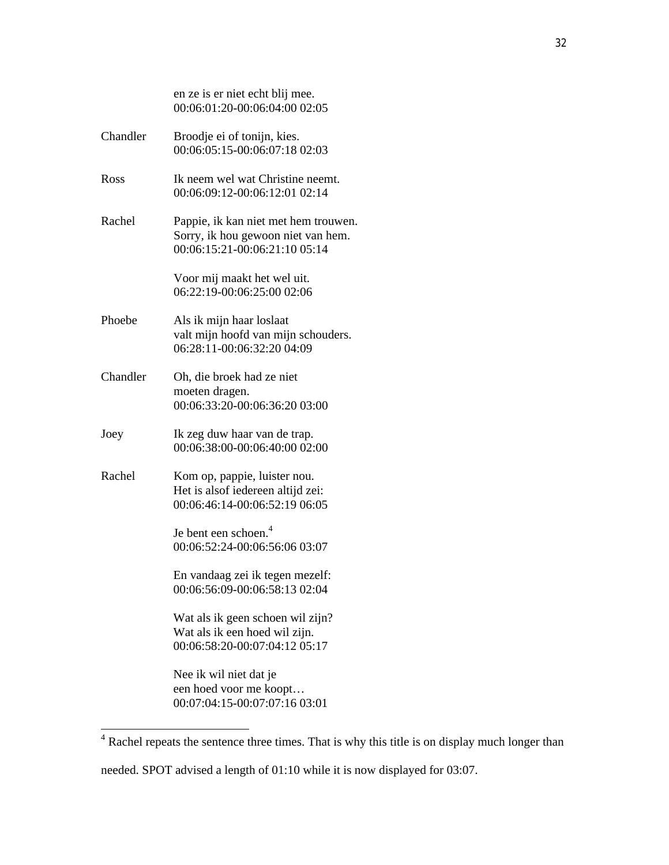|          | en ze is er niet echt blij mee.<br>00:06:01:20-00:06:04:00 02:05                                            |
|----------|-------------------------------------------------------------------------------------------------------------|
| Chandler | Broodje ei of tonijn, kies.<br>00:06:05:15-00:06:07:18 02:03                                                |
| Ross     | Ik neem wel wat Christine neemt.<br>00:06:09:12-00:06:12:01 02:14                                           |
| Rachel   | Pappie, ik kan niet met hem trouwen.<br>Sorry, ik hou gewoon niet van hem.<br>00:06:15:21-00:06:21:10 05:14 |
|          | Voor mij maakt het wel uit.<br>06:22:19-00:06:25:00 02:06                                                   |
| Phoebe   | Als ik mijn haar loslaat<br>valt mijn hoofd van mijn schouders.<br>06:28:11-00:06:32:20 04:09               |
| Chandler | Oh, die broek had ze niet<br>moeten dragen.<br>00:06:33:20-00:06:36:20 03:00                                |
| Joey     | Ik zeg duw haar van de trap.<br>00:06:38:00-00:06:40:00 02:00                                               |
| Rachel   | Kom op, pappie, luister nou.<br>Het is alsof iedereen altijd zei:<br>00:06:46:14-00:06:52:19 06:05          |
|          | Je bent een schoen. <sup>4</sup><br>00:06:52:24-00:06:56:06 03:07                                           |
|          | En vandaag zei ik tegen mezelf:<br>00:06:56:09-00:06:58:13 02:04                                            |
|          | Wat als ik geen schoen wil zijn?<br>Wat als ik een hoed wil zijn.<br>00:06:58:20-00:07:04:12 05:17          |
|          | Nee ik wil niet dat je<br>een hoed voor me koopt<br>00:07:04:15-00:07:07:16 03:01                           |

1

 $4$  Rachel repeats the sentence three times. That is why this title is on display much longer than needed. SPOT advised a length of 01:10 while it is now displayed for 03:07.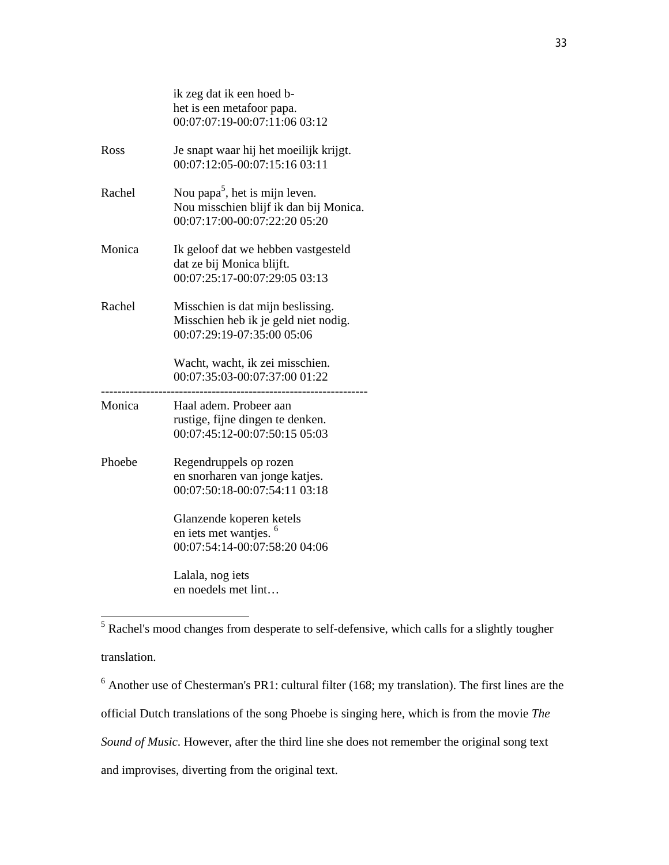|        | ik zeg dat ik een hoed b-<br>het is een metafoor papa.<br>00:07:07:19-00:07:11:06 03:12                               |
|--------|-----------------------------------------------------------------------------------------------------------------------|
| Ross   | Je snapt waar hij het moeilijk krijgt.<br>00:07:12:05-00:07:15:16 03:11                                               |
| Rachel | Nou papa <sup>5</sup> , het is mijn leven.<br>Nou misschien blijf ik dan bij Monica.<br>00:07:17:00-00:07:22:20 05:20 |
| Monica | Ik geloof dat we hebben vastgesteld<br>dat ze bij Monica blijft.<br>00:07:25:17-00:07:29:05 03:13                     |
| Rachel | Misschien is dat mijn beslissing.<br>Misschien heb ik je geld niet nodig.<br>00:07:29:19-07:35:00 05:06               |
|        | Wacht, wacht, ik zei misschien.<br>00:07:35:03-00:07:37:00 01:22                                                      |
| Monica | Haal adem. Probeer aan<br>rustige, fijne dingen te denken.<br>00:07:45:12-00:07:50:15 05:03                           |
| Phoebe | Regendruppels op rozen<br>en snorharen van jonge katjes.<br>00:07:50:18-00:07:54:11 03:18                             |
|        | Glanzende koperen ketels<br>en iets met wantjes.<br>00:07:54:14-00:07:58:20 04:06                                     |
|        | Lalala, nog iets<br>en noedels met lint                                                                               |

 $\overline{a}$ 

 $<sup>5</sup>$  Rachel's mood changes from desperate to self-defensive, which calls for a slightly tougher</sup> translation.

 $<sup>6</sup>$  Another use of Chesterman's PR1: cultural filter (168; my translation). The first lines are the</sup> official Dutch translations of the song Phoebe is singing here, which is from the movie *The Sound of Music*. However, after the third line she does not remember the original song text and improvises, diverting from the original text.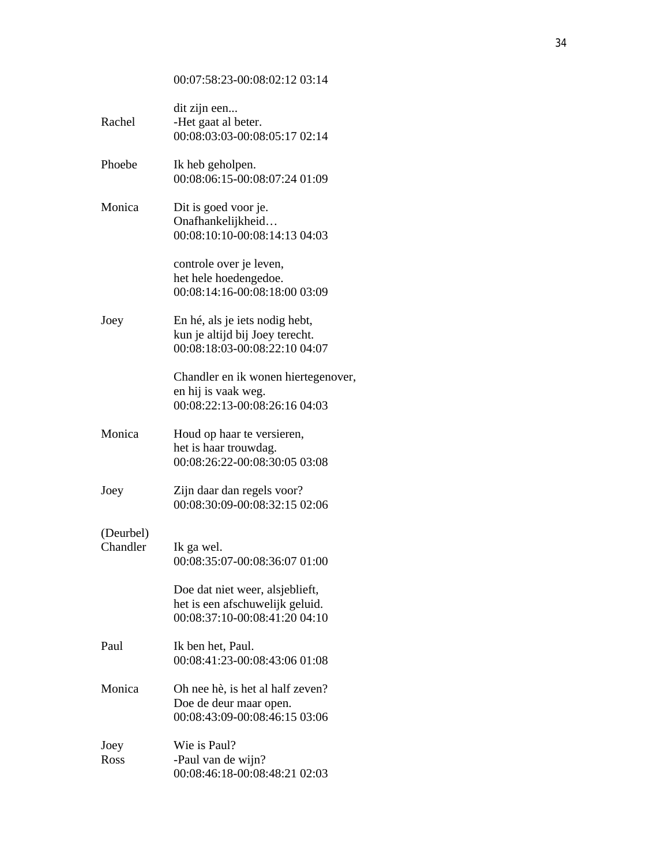## 00:07:58:23-00:08:02:12 03:14

| Rachel                | dit zijn een<br>-Het gaat al beter.<br>00:08:03:03-00:08:05:17 02:14                                |
|-----------------------|-----------------------------------------------------------------------------------------------------|
| Phoebe                | Ik heb geholpen.<br>00:08:06:15-00:08:07:24 01:09                                                   |
| Monica                | Dit is goed voor je.<br>Onafhankelijkheid<br>00:08:10:10-00:08:14:13 04:03                          |
|                       | controle over je leven,<br>het hele hoedengedoe.<br>00:08:14:16-00:08:18:00 03:09                   |
| Joey                  | En hé, als je iets nodig hebt,<br>kun je altijd bij Joey terecht.<br>00:08:18:03-00:08:22:10 04:07  |
|                       | Chandler en ik wonen hiertegenover,<br>en hij is vaak weg.<br>00:08:22:13-00:08:26:16 04:03         |
| Monica                | Houd op haar te versieren,<br>het is haar trouwdag.<br>00:08:26:22-00:08:30:05 03:08                |
| Joey                  | Zijn daar dan regels voor?<br>00:08:30:09-00:08:32:15 02:06                                         |
| (Deurbel)<br>Chandler | Ik ga wel.<br>00:08:35:07-00:08:36:07 01:00                                                         |
|                       | Doe dat niet weer, alsjeblieft,<br>het is een afschuwelijk geluid.<br>00:08:37:10-00:08:41:20 04:10 |
| Paul                  | Ik ben het, Paul.<br>00:08:41:23-00:08:43:06 01:08                                                  |
| Monica                | Oh nee hè, is het al half zeven?<br>Doe de deur maar open.<br>00:08:43:09-00:08:46:15 03:06         |
| Joey<br><b>Ross</b>   | Wie is Paul?<br>-Paul van de wijn?<br>00:08:46:18-00:08:48:21 02:03                                 |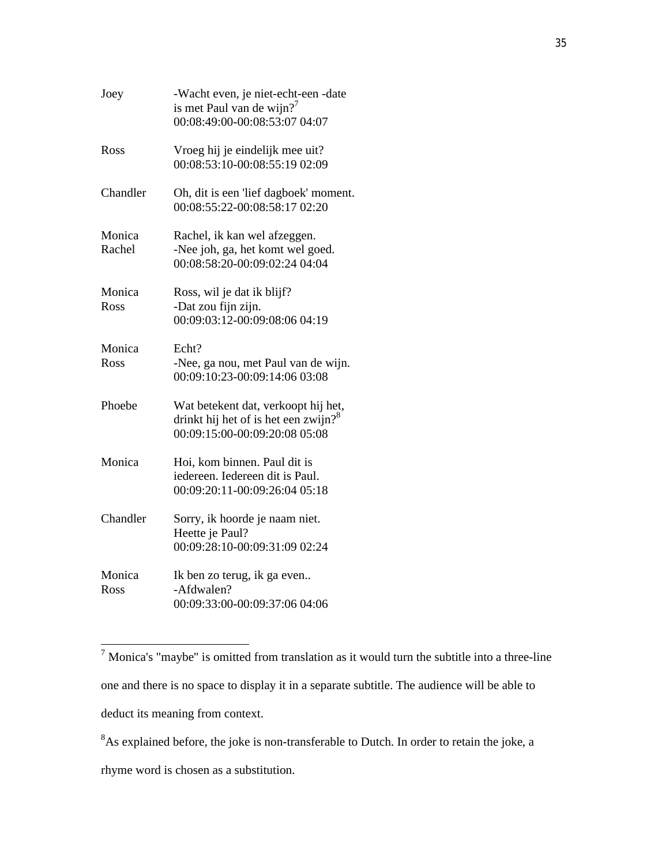| Joey             | -Wacht even, je niet-echt-een -date<br>is met Paul van de wijn? <sup>7</sup><br>00:08:49:00-00:08:53:07 04:07   |
|------------------|-----------------------------------------------------------------------------------------------------------------|
| Ross             | Vroeg hij je eindelijk mee uit?<br>00:08:53:10-00:08:55:19 02:09                                                |
| Chandler         | Oh, dit is een 'lief dagboek' moment.<br>00:08:55:22-00:08:58:17 02:20                                          |
| Monica<br>Rachel | Rachel, ik kan wel afzeggen.<br>-Nee joh, ga, het komt wel goed.<br>00:08:58:20-00:09:02:24 04:04               |
| Monica<br>Ross   | Ross, wil je dat ik blijf?<br>-Dat zou fijn zijn.<br>00:09:03:12-00:09:08:06 04:19                              |
| Monica<br>Ross   | Echt?<br>-Nee, ga nou, met Paul van de wijn.<br>00:09:10:23-00:09:14:06 03:08                                   |
| Phoebe           | Wat betekent dat, verkoopt hij het,<br>drinkt hij het of is het een zwijn? $8$<br>00:09:15:00-00:09:20:08 05:08 |
| Monica           | Hoi, kom binnen. Paul dit is<br>iedereen. Iedereen dit is Paul.<br>00:09:20:11-00:09:26:04 05:18                |
| Chandler         | Sorry, ik hoorde je naam niet.<br>Heette je Paul?<br>00:09:28:10-00:09:31:09 02:24                              |
| Monica<br>Ross   | Ik ben zo terug, ik ga even<br>-Afdwalen?<br>00:09:33:00-00:09:37:06 04:06                                      |

 $\overline{a}$ 

 $<sup>7</sup>$  Monica's "maybe" is omitted from translation as it would turn the subtitle into a three-line</sup> one and there is no space to display it in a separate subtitle. The audience will be able to deduct its meaning from context.

 $8$ As explained before, the joke is non-transferable to Dutch. In order to retain the joke, a rhyme word is chosen as a substitution.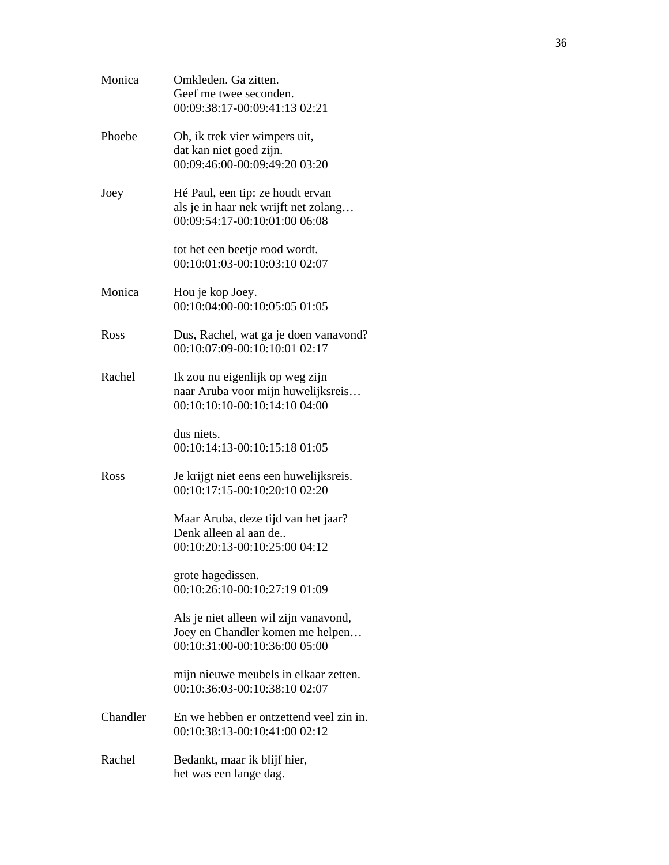| Monica   | Omkleden. Ga zitten.<br>Geef me twee seconden.<br>00:09:38:17-00:09:41:13 02:21                            |
|----------|------------------------------------------------------------------------------------------------------------|
| Phoebe   | Oh, ik trek vier wimpers uit,<br>dat kan niet goed zijn.<br>00:09:46:00-00:09:49:20 03:20                  |
| Joey     | Hé Paul, een tip: ze houdt ervan<br>als je in haar nek wrijft net zolang<br>00:09:54:17-00:10:01:00 06:08  |
|          | tot het een beetje rood wordt.<br>00:10:01:03-00:10:03:10 02:07                                            |
| Monica   | Hou je kop Joey.<br>00:10:04:00-00:10:05:05 01:05                                                          |
| Ross     | Dus, Rachel, wat ga je doen vanavond?<br>00:10:07:09-00:10:10:01 02:17                                     |
| Rachel   | Ik zou nu eigenlijk op weg zijn<br>naar Aruba voor mijn huwelijksreis<br>00:10:10:10-00:10:14:10 04:00     |
|          | dus niets.<br>00:10:14:13-00:10:15:18 01:05                                                                |
| Ross     | Je krijgt niet eens een huwelijksreis.<br>00:10:17:15-00:10:20:10 02:20                                    |
|          | Maar Aruba, deze tijd van het jaar?<br>Denk alleen al aan de<br>00:10:20:13-00:10:25:00 04:12              |
|          | grote hagedissen.<br>00:10:26:10-00:10:27:19 01:09                                                         |
|          | Als je niet alleen wil zijn vanavond,<br>Joey en Chandler komen me helpen<br>00:10:31:00-00:10:36:00 05:00 |
|          | mijn nieuwe meubels in elkaar zetten.<br>00:10:36:03-00:10:38:10 02:07                                     |
| Chandler | En we hebben er ontzettend veel zin in.<br>00:10:38:13-00:10:41:00 02:12                                   |
| Rachel   | Bedankt, maar ik blijf hier,<br>het was een lange dag.                                                     |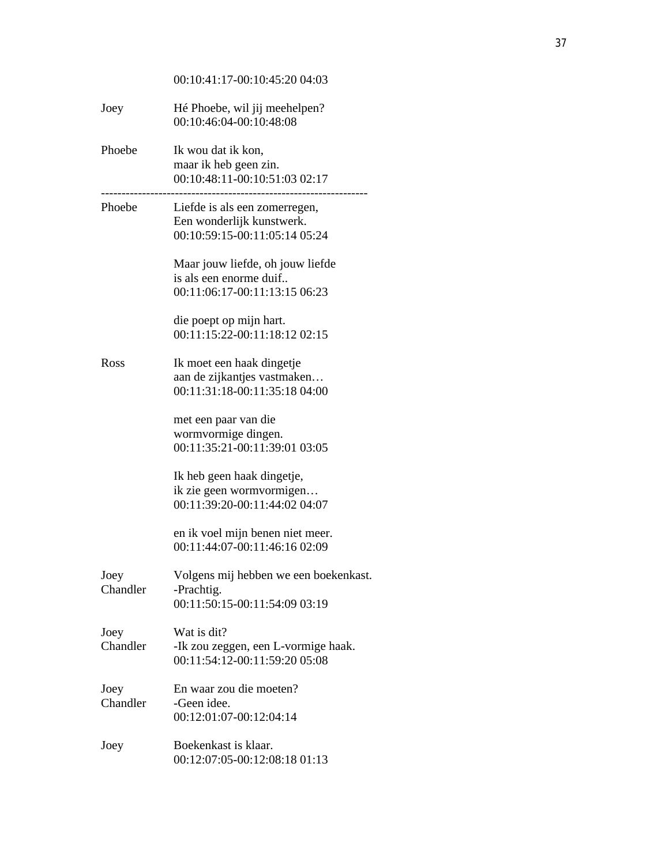|                  | 00:10:41:17-00:10:45:20 04:03                                                               |
|------------------|---------------------------------------------------------------------------------------------|
| Joey             | Hé Phoebe, wil jij meehelpen?<br>00:10:46:04-00:10:48:08                                    |
| Phoebe           | Ik wou dat ik kon,<br>maar ik heb geen zin.<br>00:10:48:11-00:10:51:03 02:17                |
| Phoebe           | Liefde is als een zomerregen,<br>Een wonderlijk kunstwerk.<br>00:10:59:15-00:11:05:14 05:24 |
|                  | Maar jouw liefde, oh jouw liefde<br>is als een enorme duif<br>00:11:06:17-00:11:13:15 06:23 |
|                  | die poept op mijn hart.<br>$00:11:15:22-00:11:18:1202:15$                                   |
| Ross             | Ik moet een haak dingetje<br>aan de zijkantjes vastmaken<br>00:11:31:18-00:11:35:18 04:00   |
|                  | met een paar van die<br>wormvormige dingen.<br>00:11:35:21-00:11:39:01 03:05                |
|                  | Ik heb geen haak dingetje,<br>ik zie geen wormvormigen<br>00:11:39:20-00:11:44:02 04:07     |
|                  | en ik voel mijn benen niet meer.<br>00:11:44:07-00:11:46:16 02:09                           |
| Joey<br>Chandler | Volgens mij hebben we een boekenkast.<br>-Prachtig.<br>00:11:50:15-00:11:54:09 03:19        |
| Joey<br>Chandler | Wat is dit?<br>-Ik zou zeggen, een L-vormige haak.<br>00:11:54:12-00:11:59:20 05:08         |
| Joey<br>Chandler | En waar zou die moeten?<br>-Geen idee.<br>00:12:01:07-00:12:04:14                           |
| Joey             | Boekenkast is klaar.<br>00:12:07:05-00:12:08:18 01:13                                       |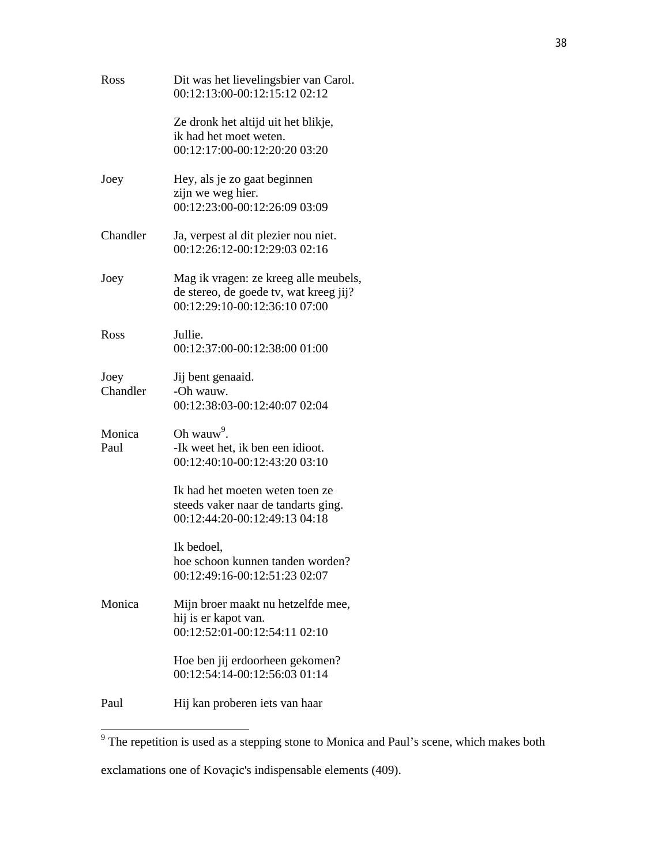| <b>Ross</b>      | Dit was het lievelingsbier van Carol.<br>00:12:13:00-00:12:15:12 02:12                                           |
|------------------|------------------------------------------------------------------------------------------------------------------|
|                  | Ze dronk het altijd uit het blikje,<br>ik had het moet weten.<br>00:12:17:00-00:12:20:20 03:20                   |
| Joey             | Hey, als je zo gaat beginnen<br>zijn we weg hier.<br>00:12:23:00-00:12:26:09 03:09                               |
| Chandler         | Ja, verpest al dit plezier nou niet.<br>00:12:26:12-00:12:29:03 02:16                                            |
| Joey             | Mag ik vragen: ze kreeg alle meubels,<br>de stereo, de goede tv, wat kreeg jij?<br>00:12:29:10-00:12:36:10 07:00 |
| <b>Ross</b>      | Jullie.<br>00:12:37:00-00:12:38:00 01:00                                                                         |
| Joey<br>Chandler | Jij bent genaaid.<br>-Oh wauw.<br>00:12:38:03-00:12:40:07 02:04                                                  |
| Monica<br>Paul   | Oh wauw <sup>9</sup> .<br>-Ik weet het, ik ben een idioot.<br>00:12:40:10-00:12:43:20 03:10                      |
|                  | Ik had het moeten weten toen ze<br>steeds vaker naar de tandarts ging.<br>00:12:44:20-00:12:49:13 04:18          |
|                  | Ik bedoel,<br>hoe schoon kunnen tanden worden?<br>00:12:49:16-00:12:51:23 02:07                                  |
| Monica           | Mijn broer maakt nu hetzelfde mee,<br>hij is er kapot van.<br>00:12:52:01-00:12:54:11 02:10                      |
|                  | Hoe ben jij erdoorheen gekomen?<br>00:12:54:14-00:12:56:03 01:14                                                 |
| Paul             | Hij kan proberen iets van haar                                                                                   |

 $\overline{\phantom{a}}$ 

 $9^9$  The repetition is used as a stepping stone to Monica and Paul's scene, which makes both exclamations one of Kovaçic's indispensable elements (409).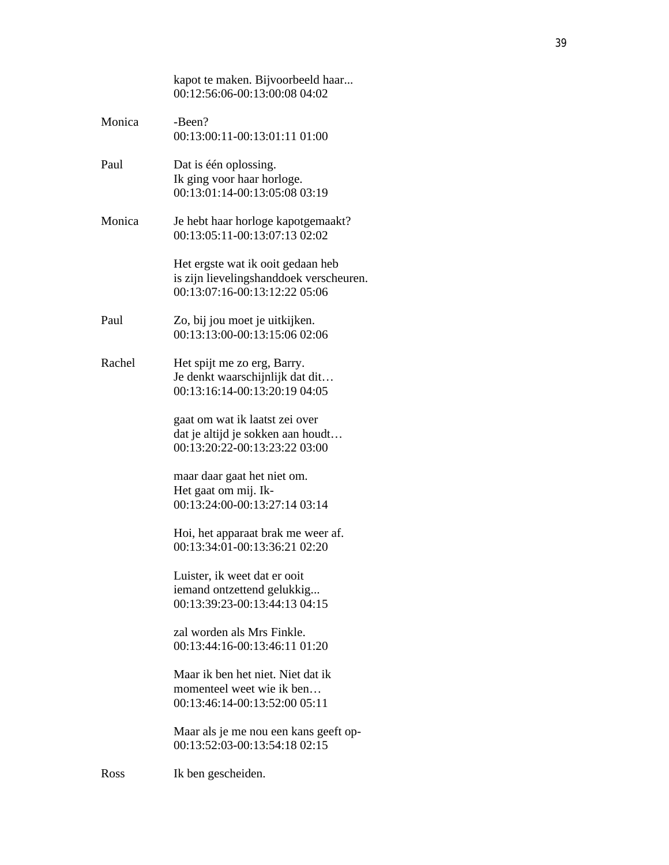|             | kapot te maken. Bijvoorbeeld haar<br>00:12:56:06-00:13:00:08 04:02                                            |
|-------------|---------------------------------------------------------------------------------------------------------------|
| Monica      | -Been?<br>00:13:00:11-00:13:01:11 01:00                                                                       |
| Paul        | Dat is één oplossing.<br>Ik ging voor haar horloge.<br>00:13:01:14-00:13:05:08 03:19                          |
| Monica      | Je hebt haar horloge kapotgemaakt?<br>00:13:05:11-00:13:07:13 02:02                                           |
|             | Het ergste wat ik ooit gedaan heb<br>is zijn lievelingshanddoek verscheuren.<br>00:13:07:16-00:13:12:22 05:06 |
| Paul        | Zo, bij jou moet je uitkijken.<br>00:13:13:00-00:13:15:06 02:06                                               |
| Rachel      | Het spijt me zo erg, Barry.<br>Je denkt waarschijnlijk dat dit<br>00:13:16:14-00:13:20:19 04:05               |
|             | gaat om wat ik laatst zei over<br>dat je altijd je sokken aan houdt<br>00:13:20:22-00:13:23:22 03:00          |
|             | maar daar gaat het niet om.<br>Het gaat om mij. Ik-<br>00:13:24:00-00:13:27:14 03:14                          |
|             | Hoi, het apparaat brak me weer af.<br>00:13:34:01-00:13:36:21 02:20                                           |
|             | Luister, ik weet dat er ooit<br>iemand ontzettend gelukkig<br>00:13:39:23-00:13:44:13 04:15                   |
|             | zal worden als Mrs Finkle.<br>00:13:44:16-00:13:46:11 01:20                                                   |
|             | Maar ik ben het niet. Niet dat ik<br>momenteel weet wie ik ben<br>00:13:46:14-00:13:52:00 05:11               |
|             | Maar als je me nou een kans geeft op-<br>00:13:52:03-00:13:54:18 02:15                                        |
| <b>Ross</b> | Ik ben gescheiden.                                                                                            |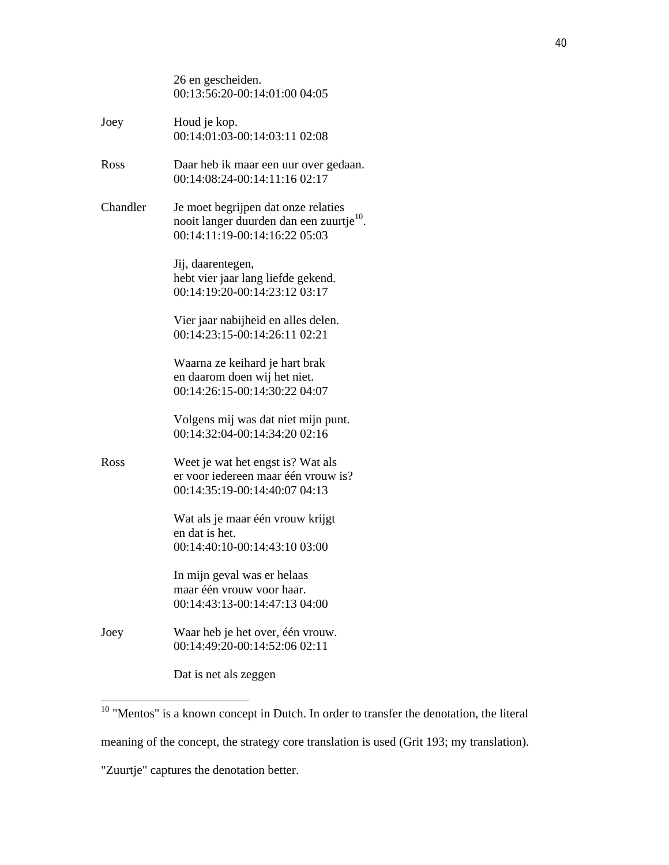|             | 26 en gescheiden.<br>00:13:56:20-00:14:01:00 04:05                                                                           |
|-------------|------------------------------------------------------------------------------------------------------------------------------|
| Joey        | Houd je kop.<br>00:14:01:03-00:14:03:11 02:08                                                                                |
| <b>Ross</b> | Daar heb ik maar een uur over gedaan.<br>00:14:08:24-00:14:11:16 02:17                                                       |
| Chandler    | Je moet begrijpen dat onze relaties<br>nooit langer duurden dan een zuurtje <sup>10</sup> .<br>00:14:11:19-00:14:16:22 05:03 |
|             | Jij, daarentegen,<br>hebt vier jaar lang liefde gekend.<br>00:14:19:20-00:14:23:12 03:17                                     |
|             | Vier jaar nabijheid en alles delen.<br>00:14:23:15-00:14:26:11 02:21                                                         |
|             | Waarna ze keihard je hart brak<br>en daarom doen wij het niet.<br>00:14:26:15-00:14:30:22 04:07                              |
|             | Volgens mij was dat niet mijn punt.<br>00:14:32:04-00:14:34:20 02:16                                                         |
| Ross        | Weet je wat het engst is? Wat als<br>er voor iedereen maar één vrouw is?<br>00:14:35:19-00:14:40:07 04:13                    |
|             | Wat als je maar één vrouw krijgt<br>en dat is het.<br>00:14:40:10-00:14:43:10 03:00                                          |
|             | In mijn geval was er helaas<br>maar één vrouw voor haar.<br>00:14:43:13-00:14:47:13 04:00                                    |
| Joey        | Waar heb je het over, één vrouw.<br>00:14:49:20-00:14:52:06 02:11                                                            |
|             | Dat is net als zeggen                                                                                                        |

l,  $10$  "Mentos" is a known concept in Dutch. In order to transfer the denotation, the literal meaning of the concept, the strategy core translation is used (Grit 193; my translation). "Zuurtje" captures the denotation better.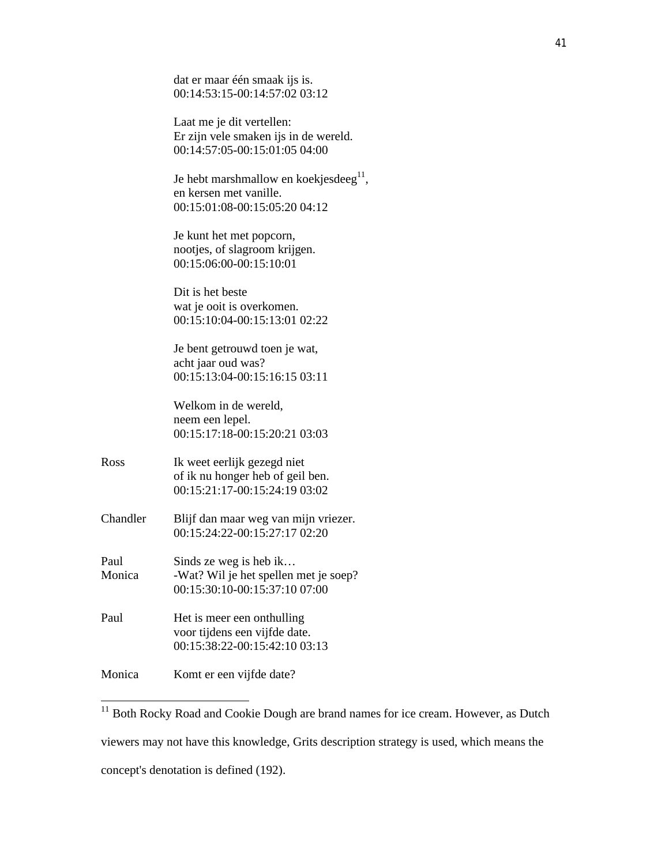|                | dat er maar één smaak ijs is.<br>00:14:53:15-00:14:57:02 03:12                                                |
|----------------|---------------------------------------------------------------------------------------------------------------|
|                | Laat me je dit vertellen:<br>Er zijn vele smaken ijs in de wereld.<br>00:14:57:05-00:15:01:05 04:00           |
|                | Je hebt marshmallow en koekjesdeeg <sup>11</sup> ,<br>en kersen met vanille.<br>00:15:01:08-00:15:05:20 04:12 |
|                | Je kunt het met popcorn,<br>nootjes, of slagroom krijgen.<br>00:15:06:00-00:15:10:01                          |
|                | Dit is het beste<br>wat je ooit is overkomen.<br>00:15:10:04-00:15:13:01 02:22                                |
|                | Je bent getrouwd toen je wat,<br>acht jaar oud was?<br>00:15:13:04-00:15:16:15 03:11                          |
|                | Welkom in de wereld,<br>neem een lepel.<br>00:15:17:18-00:15:20:21 03:03                                      |
| Ross           | Ik weet eerlijk gezegd niet<br>of ik nu honger heb of geil ben.<br>00:15:21:17-00:15:24:19 03:02              |
| Chandler       | Blijf dan maar weg van mijn vriezer.<br>00:15:24:22-00:15:27:17 02:20                                         |
| Paul<br>Monica | Sinds ze weg is heb ik<br>-Wat? Wil je het spellen met je soep?<br>00:15:30:10-00:15:37:10 07:00              |
| Paul           | Het is meer een onthulling<br>voor tijdens een vijfde date.<br>00:15:38:22-00:15:42:10 03:13                  |
| Monica         | Komt er een vijfde date?                                                                                      |

l,

 $11$  Both Rocky Road and Cookie Dough are brand names for ice cream. However, as Dutch viewers may not have this knowledge, Grits description strategy is used, which means the concept's denotation is defined (192).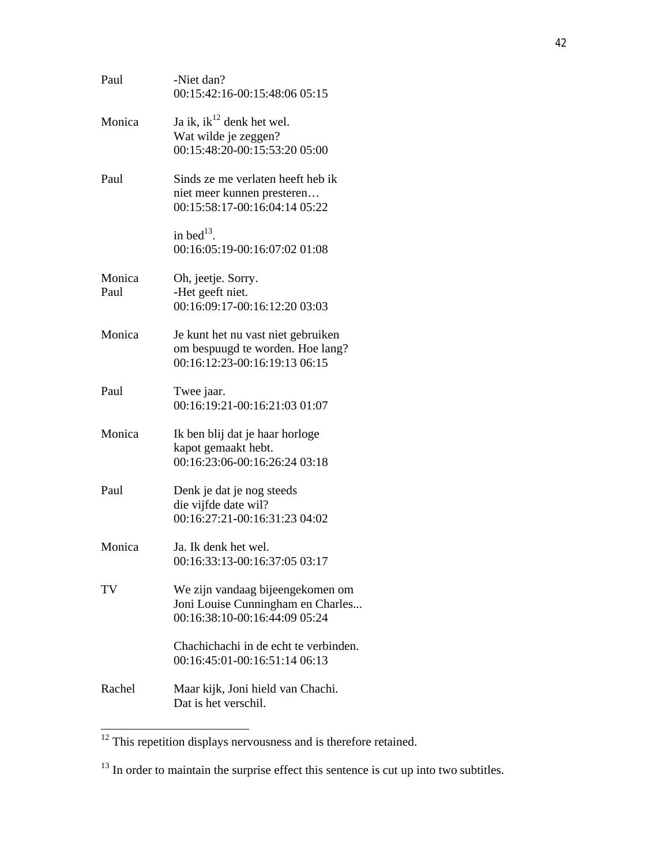| Paul           | -Niet dan?<br>00:15:42:16-00:15:48:06 05:15                                                             |
|----------------|---------------------------------------------------------------------------------------------------------|
| Monica         | Ja ik, ik $^{12}$ denk het wel.<br>Wat wilde je zeggen?<br>00:15:48:20-00:15:53:20 05:00                |
| Paul           | Sinds ze me verlaten heeft heb ik<br>niet meer kunnen presteren<br>00:15:58:17-00:16:04:14 05:22        |
|                | in bed $^{13}$ .<br>00:16:05:19-00:16:07:02 01:08                                                       |
| Monica<br>Paul | Oh, jeetje. Sorry.<br>-Het geeft niet.<br>00:16:09:17-00:16:12:20 03:03                                 |
| Monica         | Je kunt het nu vast niet gebruiken<br>om bespuugd te worden. Hoe lang?<br>00:16:12:23-00:16:19:13 06:15 |
| Paul           | Twee jaar.<br>00:16:19:21-00:16:21:03 01:07                                                             |
| Monica         | Ik ben blij dat je haar horloge<br>kapot gemaakt hebt.<br>00:16:23:06-00:16:26:24 03:18                 |
| Paul           | Denk je dat je nog steeds<br>die vijfde date wil?<br>00:16:27:21-00:16:31:23 04:02                      |
| Monica         | Ja. Ik denk het wel.<br>00:16:33:13-00:16:37:05 03:17                                                   |
| TV             | We zijn vandaag bijeengekomen om<br>Joni Louise Cunningham en Charles<br>00:16:38:10-00:16:44:09 05:24  |
|                | Chachichachi in de echt te verbinden.<br>00:16:45:01-00:16:51:14 06:13                                  |
| Rachel         | Maar kijk, Joni hield van Chachi.<br>Dat is het verschil.                                               |

 $12$  This repetition displays nervousness and is therefore retained.

<sup>&</sup>lt;sup>13</sup> In order to maintain the surprise effect this sentence is cut up into two subtitles.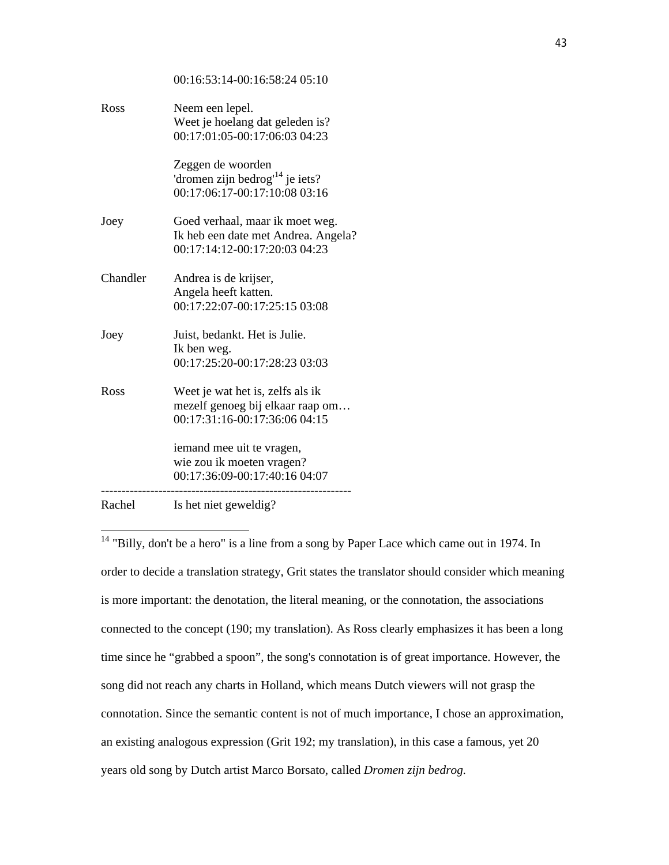00:16:53:14-00:16:58:24 05:10

| Ross     | Neem een lepel.<br>Weet je hoelang dat geleden is?<br>00:17:01:05-00:17:06:03 04:23<br>Zeggen de woorden<br>'dromen zijn bedrog' <sup>14</sup> je iets?<br>00:17:06:17-00:17:10:08 03:16 |
|----------|------------------------------------------------------------------------------------------------------------------------------------------------------------------------------------------|
| Joey     | Goed verhaal, maar ik moet weg.<br>Ik heb een date met Andrea. Angela?<br>00:17:14:12-00:17:20:03 04:23                                                                                  |
| Chandler | Andrea is de krijser,<br>Angela heeft katten.<br>00:17:22:07-00:17:25:15 03:08                                                                                                           |
| Joey     | Juist, bedankt. Het is Julie.<br>Ik ben weg.<br>00:17:25:20-00:17:28:23 03:03                                                                                                            |
| Ross     | Weet je wat het is, zelfs als ik<br>mezelf genoeg bij elkaar raap om<br>00:17:31:16-00:17:36:06 04:15                                                                                    |
|          | iemand mee uit te vragen,<br>wie zou ik moeten vragen?<br>00:17:36:09-00:17:40:16 04:07                                                                                                  |
| Rachel   | Is het niet geweldig?                                                                                                                                                                    |

 $\overline{a}$  $14$  "Billy, don't be a hero" is a line from a song by Paper Lace which came out in 1974. In order to decide a translation strategy, Grit states the translator should consider which meaning is more important: the denotation, the literal meaning, or the connotation, the associations connected to the concept (190; my translation). As Ross clearly emphasizes it has been a long time since he "grabbed a spoon", the song's connotation is of great importance. However, the song did not reach any charts in Holland, which means Dutch viewers will not grasp the connotation. Since the semantic content is not of much importance, I chose an approximation, an existing analogous expression (Grit 192; my translation), in this case a famous, yet 20 years old song by Dutch artist Marco Borsato, called *Dromen zijn bedrog*.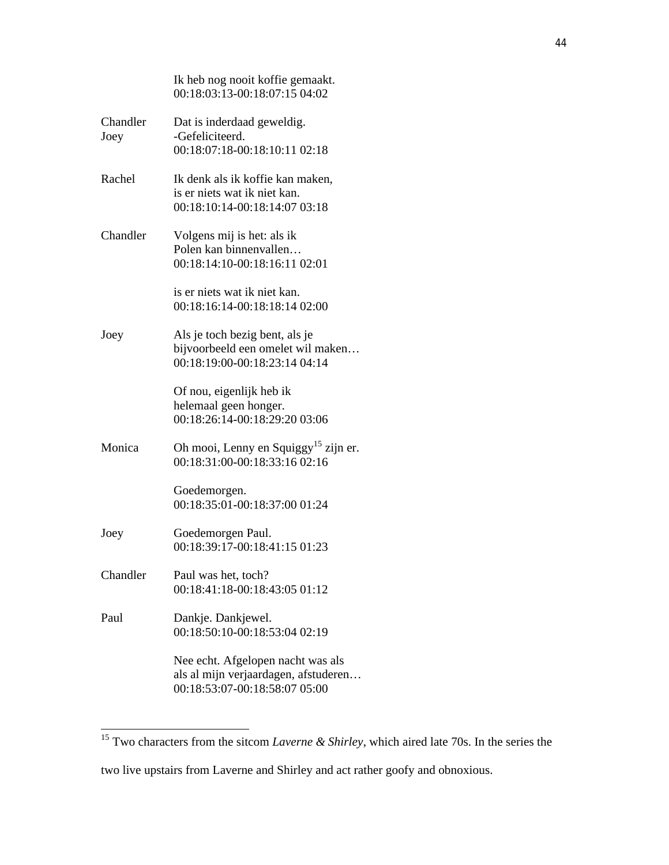|                  | Ik heb nog nooit koffie gemaakt.<br>00:18:03:13-00:18:07:15 04:02                                          |
|------------------|------------------------------------------------------------------------------------------------------------|
| Chandler<br>Joey | Dat is inderdaad geweldig.<br>-Gefeliciteerd.<br>00:18:07:18-00:18:10:11 02:18                             |
| Rachel           | Ik denk als ik koffie kan maken,<br>is er niets wat ik niet kan.<br>00:18:10:14-00:18:14:07 03:18          |
| Chandler         | Volgens mij is het: als ik<br>Polen kan binnenvallen<br>00:18:14:10-00:18:16:11 02:01                      |
|                  | is er niets wat ik niet kan.<br>00:18:16:14-00:18:18:14 02:00                                              |
| Joey             | Als je toch bezig bent, als je<br>bijvoorbeeld een omelet wil maken<br>00:18:19:00-00:18:23:14 04:14       |
|                  | Of nou, eigenlijk heb ik<br>helemaal geen honger.<br>00:18:26:14-00:18:29:20 03:06                         |
| Monica           | Oh mooi, Lenny en Squiggy <sup>15</sup> zijn er.<br>00:18:31:00-00:18:33:16 02:16                          |
|                  | Goedemorgen.<br>00:18:35:01-00:18:37:00 01:24                                                              |
| Joey             | Goedemorgen Paul.<br>00:18:39:17-00:18:41:15 01:23                                                         |
| Chandler         | Paul was het, toch?<br>00:18:41:18-00:18:43:05 01:12                                                       |
| Paul             | Dankje. Dankjewel.<br>00:18:50:10-00:18:53:04 02:19                                                        |
|                  | Nee echt. Afgelopen nacht was als<br>als al mijn verjaardagen, afstuderen<br>00:18:53:07-00:18:58:07 05:00 |

 $\overline{\phantom{a}}$ 

<sup>1</sup> <sup>15</sup> Two characters from the sitcom *Laverne & Shirley*, which aired late 70s. In the series the two live upstairs from Laverne and Shirley and act rather goofy and obnoxious.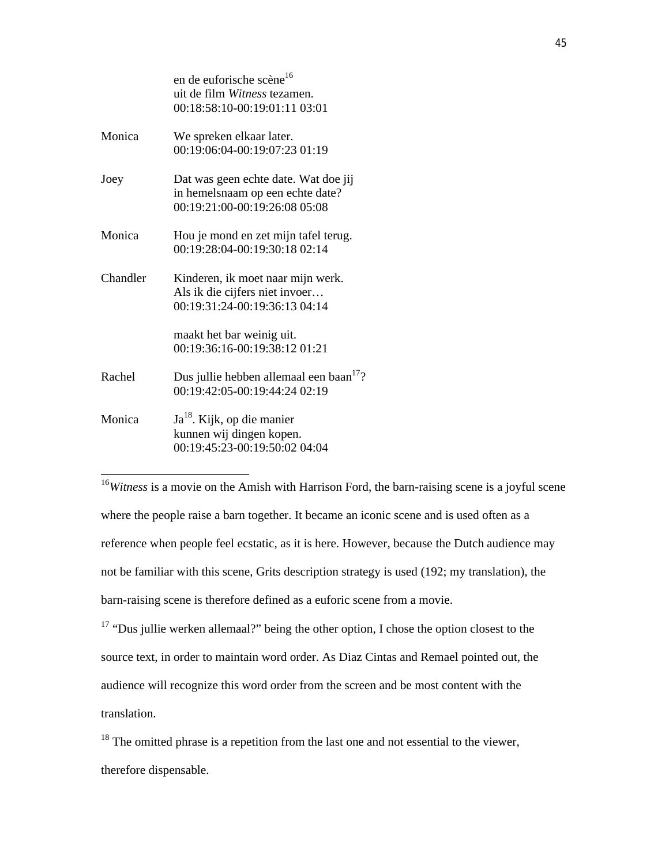|          | en de euforische scène <sup>16</sup><br>uit de film Witness tezamen.<br>00:18:58:10-00:19:01:11 03:01     |
|----------|-----------------------------------------------------------------------------------------------------------|
| Monica   | We spreken elkaar later.<br>00:19:06:04-00:19:07:23 01:19                                                 |
| Joey     | Dat was geen echte date. Wat doe jij<br>in hemelsnaam op een echte date?<br>00:19:21:00-00:19:26:08 05:08 |
| Monica   | Hou je mond en zet mijn tafel terug.<br>00:19:28:04-00:19:30:18 02:14                                     |
| Chandler | Kinderen, ik moet naar mijn werk.<br>Als ik die cijfers niet invoer<br>00:19:31:24-00:19:36:13 04:14      |
|          | maakt het bar weinig uit.<br>00:19:36:16-00:19:38:12 01:21                                                |
| Rachel   | Dus jullie hebben allemaal een baan <sup>17</sup> ?<br>00:19:42:05-00:19:44:24 02:19                      |
| Monica   | Ja <sup>18</sup> . Kijk, op die manier<br>kunnen wij dingen kopen.<br>00:19:45:23-00:19:50:02 04:04       |

 $\overline{a}$ 

<sup>16</sup>Witness is a movie on the Amish with Harrison Ford, the barn-raising scene is a joyful scene where the people raise a barn together. It became an iconic scene and is used often as a reference when people feel ecstatic, as it is here. However, because the Dutch audience may not be familiar with this scene, Grits description strategy is used (192; my translation), the barn-raising scene is therefore defined as a euforic scene from a movie.

<sup>17</sup> "Dus jullie werken allemaal?" being the other option, I chose the option closest to the source text, in order to maintain word order. As Diaz Cintas and Remael pointed out, the audience will recognize this word order from the screen and be most content with the translation.

<sup>18</sup> The omitted phrase is a repetition from the last one and not essential to the viewer, therefore dispensable.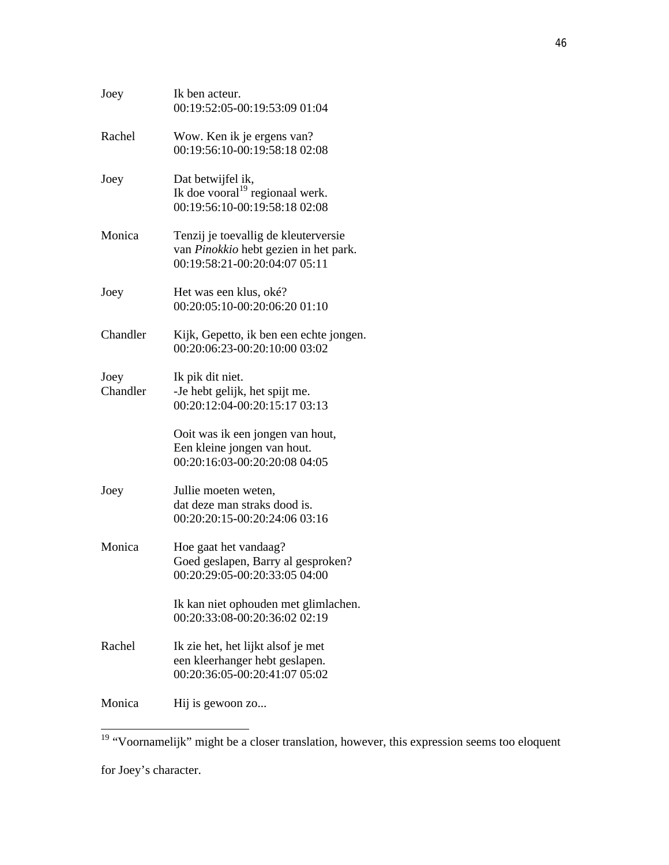| Joey             | Ik ben acteur.<br>00:19:52:05-00:19:53:09 01:04                                                                |
|------------------|----------------------------------------------------------------------------------------------------------------|
| Rachel           | Wow. Ken ik je ergens van?<br>00:19:56:10-00:19:58:18 02:08                                                    |
| Joey             | Dat betwijfel ik,<br>Ik doe vooral <sup>19</sup> regionaal werk.<br>00:19:56:10-00:19:58:18 02:08              |
| Monica           | Tenzij je toevallig de kleuterversie<br>van Pinokkio hebt gezien in het park.<br>00:19:58:21-00:20:04:07 05:11 |
| Joey             | Het was een klus, oké?<br>00:20:05:10-00:20:06:20 01:10                                                        |
| Chandler         | Kijk, Gepetto, ik ben een echte jongen.<br>00:20:06:23-00:20:10:00 03:02                                       |
| Joey<br>Chandler | Ik pik dit niet.<br>-Je hebt gelijk, het spijt me.<br>00:20:12:04-00:20:15:17 03:13                            |
|                  | Ooit was ik een jongen van hout,<br>Een kleine jongen van hout.<br>00:20:16:03-00:20:20:08 04:05               |
| Joey             | Jullie moeten weten,<br>dat deze man straks dood is.<br>00:20:20:15-00:20:24:06 03:16                          |
| Monica           | Hoe gaat het vandaag?<br>Goed geslapen, Barry al gesproken?<br>00:20:29:05-00:20:33:05 04:00                   |
|                  | Ik kan niet ophouden met glimlachen.<br>00:20:33:08-00:20:36:02 02:19                                          |
| Rachel           | Ik zie het, het lijkt alsof je met<br>een kleerhanger hebt geslapen.<br>00:20:36:05-00:20:41:07 05:02          |
| Monica           | Hij is gewoon zo                                                                                               |

 $\mathcal{L}(\mathcal{L})$ 

 $19$  "Voornamelijk" might be a closer translation, however, this expression seems too eloquent for Joey's character.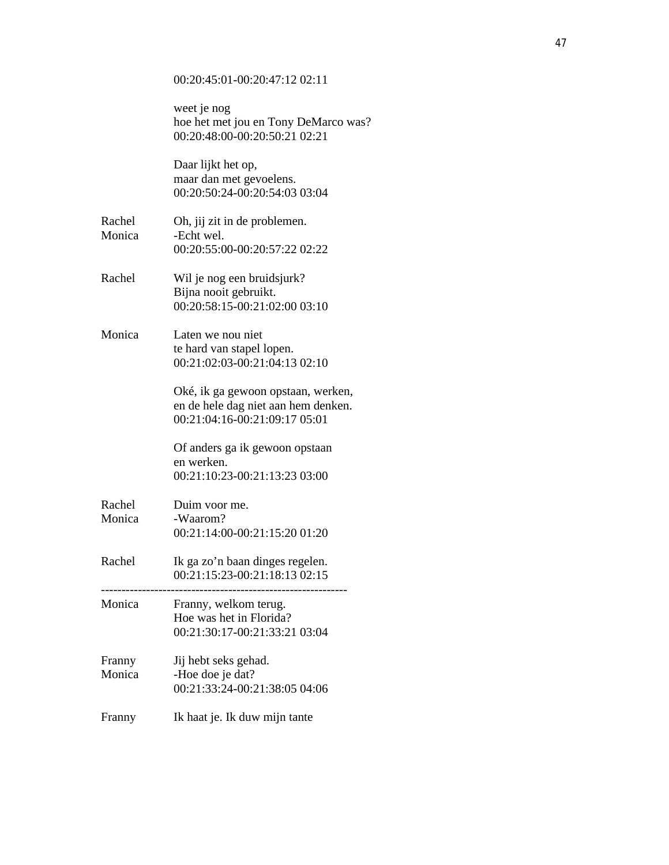## 00:20:45:01-00:20:47:12 02:11

|                  | weet je nog<br>hoe het met jou en Tony DeMarco was?<br>00:20:48:00-00:20:50:21 02:21                                     |
|------------------|--------------------------------------------------------------------------------------------------------------------------|
|                  | Daar lijkt het op,<br>maar dan met gevoelens.<br>00:20:50:24-00:20:54:03 03:04                                           |
| Rachel<br>Monica | Oh, jij zit in de problemen.<br>-Echt wel.<br>00:20:55:00-00:20:57:22 02:22                                              |
| Rachel           | Wil je nog een bruidsjurk?<br>Bijna nooit gebruikt.<br>00:20:58:15-00:21:02:00 03:10                                     |
| Monica           | Laten we nou niet<br>te hard van stapel lopen.<br>00:21:02:03-00:21:04:13 02:10                                          |
|                  | Oké, ik ga gewoon opstaan, werken,<br>en de hele dag niet aan hem denken.<br>00:21:04:16-00:21:09:17 05:01               |
|                  | Of anders ga ik gewoon opstaan<br>en werken.<br>00:21:10:23-00:21:13:23 03:00                                            |
| Rachel<br>Monica | Duim voor me.<br>-Waarom?<br>00:21:14:00-00:21:15:20 01:20                                                               |
| Rachel           | Ik ga zo'n baan dinges regelen.<br>00:21:15:23-00:21:18:13 02:15                                                         |
| Monica           | -----------------------------------<br>Franny, welkom terug.<br>Hoe was het in Florida?<br>00:21:30:17-00:21:33:21 03:04 |
| Franny<br>Monica | Jij hebt seks gehad.<br>-Hoe doe je dat?<br>00:21:33:24-00:21:38:05 04:06                                                |
| Franny           | Ik haat je. Ik duw mijn tante                                                                                            |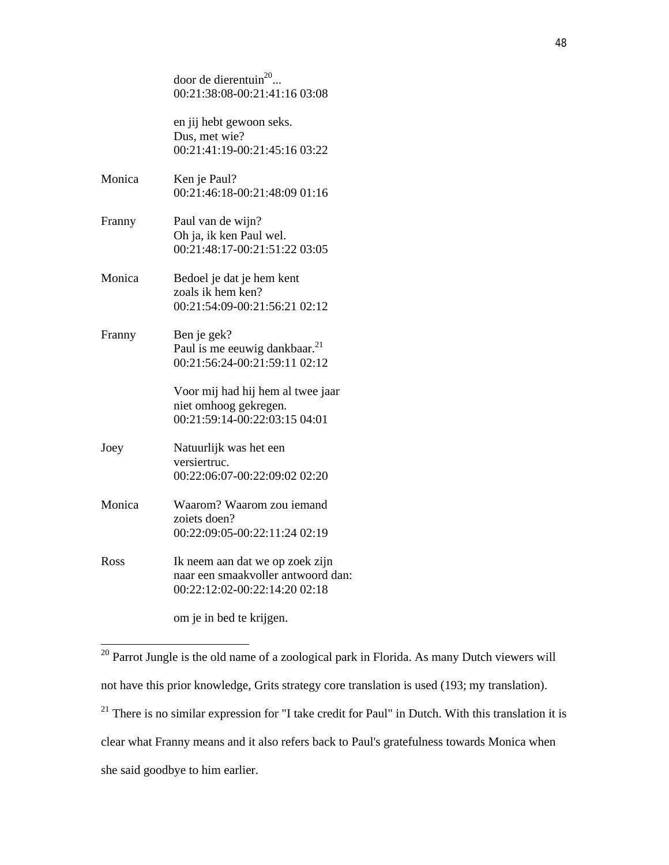|        | door de dierentuin $20$<br>00:21:38:08-00:21:41:16 03:08                                               |
|--------|--------------------------------------------------------------------------------------------------------|
|        | en jij hebt gewoon seks.<br>Dus, met wie?<br>00:21:41:19-00:21:45:16 03:22                             |
| Monica | Ken je Paul?<br>00:21:46:18-00:21:48:09 01:16                                                          |
| Franny | Paul van de wijn?<br>Oh ja, ik ken Paul wel.<br>00:21:48:17-00:21:51:22 03:05                          |
| Monica | Bedoel je dat je hem kent<br>zoals ik hem ken?<br>00:21:54:09-00:21:56:21 02:12                        |
| Franny | Ben je gek?<br>Paul is me eeuwig dankbaar. <sup>21</sup><br>00:21:56:24-00:21:59:11 02:12              |
|        | Voor mij had hij hem al twee jaar<br>niet omhoog gekregen.<br>00:21:59:14-00:22:03:15 04:01            |
| Joey   | Natuurlijk was het een<br>versiertruc.<br>00:22:06:07-00:22:09:02 02:20                                |
| Monica | Waarom? Waarom zou iemand<br>zoiets doen?<br>00:22:09:05-00:22:11:24 02:19                             |
| Ross   | Ik neem aan dat we op zoek zijn<br>naar een smaakvoller antwoord dan:<br>00:22:12:02-00:22:14:20 02:18 |
|        | om je in bed te krijgen.                                                                               |

 $\overline{a}$  $20$  Parrot Jungle is the old name of a zoological park in Florida. As many Dutch viewers will not have this prior knowledge, Grits strategy core translation is used (193; my translation).  $21$  There is no similar expression for "I take credit for Paul" in Dutch. With this translation it is clear what Franny means and it also refers back to Paul's gratefulness towards Monica when she said goodbye to him earlier.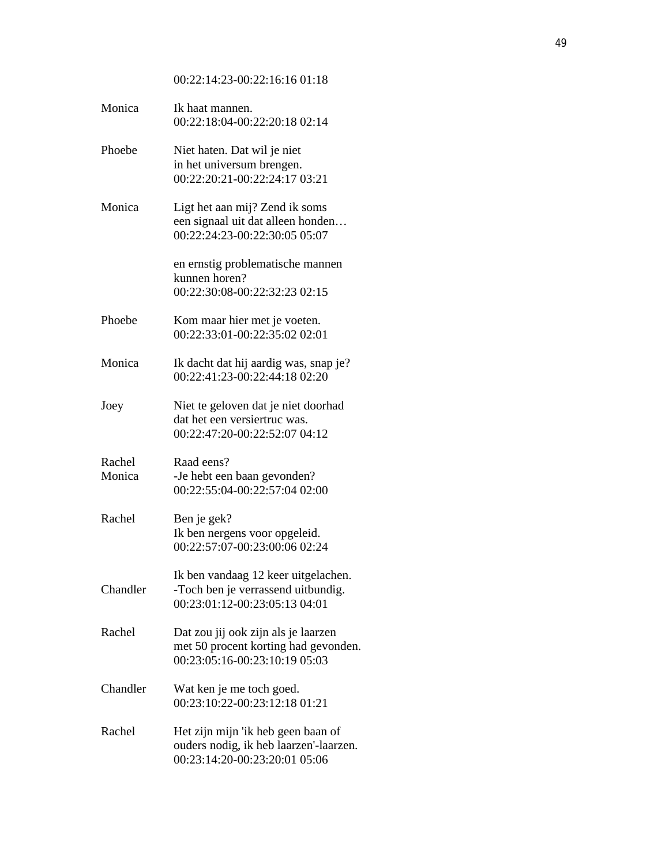## 00:22:14:23-00:22:16:16 01:18

| Monica           | Ik haat mannen.<br>00:22:18:04-00:22:20:18 02:14                                                              |
|------------------|---------------------------------------------------------------------------------------------------------------|
| Phoebe           | Niet haten. Dat wil je niet<br>in het universum brengen.<br>00:22:20:21-00:22:24:17 03:21                     |
| Monica           | Ligt het aan mij? Zend ik soms<br>een signaal uit dat alleen honden<br>00:22:24:23-00:22:30:05 05:07          |
|                  | en ernstig problematische mannen<br>kunnen horen?<br>00:22:30:08-00:22:32:23 02:15                            |
| Phoebe           | Kom maar hier met je voeten.<br>00:22:33:01-00:22:35:02 02:01                                                 |
| Monica           | Ik dacht dat hij aardig was, snap je?<br>00:22:41:23-00:22:44:18 02:20                                        |
| Joey             | Niet te geloven dat je niet doorhad<br>dat het een versiertruc was.<br>00:22:47:20-00:22:52:07 04:12          |
| Rachel<br>Monica | Raad eens?<br>-Je hebt een baan gevonden?<br>00:22:55:04-00:22:57:04 02:00                                    |
| Rachel           | Ben je gek?<br>Ik ben nergens voor opgeleid.<br>00:22:57:07-00:23:00:06 02:24                                 |
| Chandler         | Ik ben vandaag 12 keer uitgelachen.<br>-Toch ben je verrassend uitbundig.<br>00:23:01:12-00:23:05:13 04:01    |
| Rachel           | Dat zou jij ook zijn als je laarzen<br>met 50 procent korting had gevonden.<br>00:23:05:16-00:23:10:19 05:03  |
| Chandler         | Wat ken je me toch goed.<br>00:23:10:22-00:23:12:18 01:21                                                     |
| Rachel           | Het zijn mijn 'ik heb geen baan of<br>ouders nodig, ik heb laarzen'-laarzen.<br>00:23:14:20-00:23:20:01 05:06 |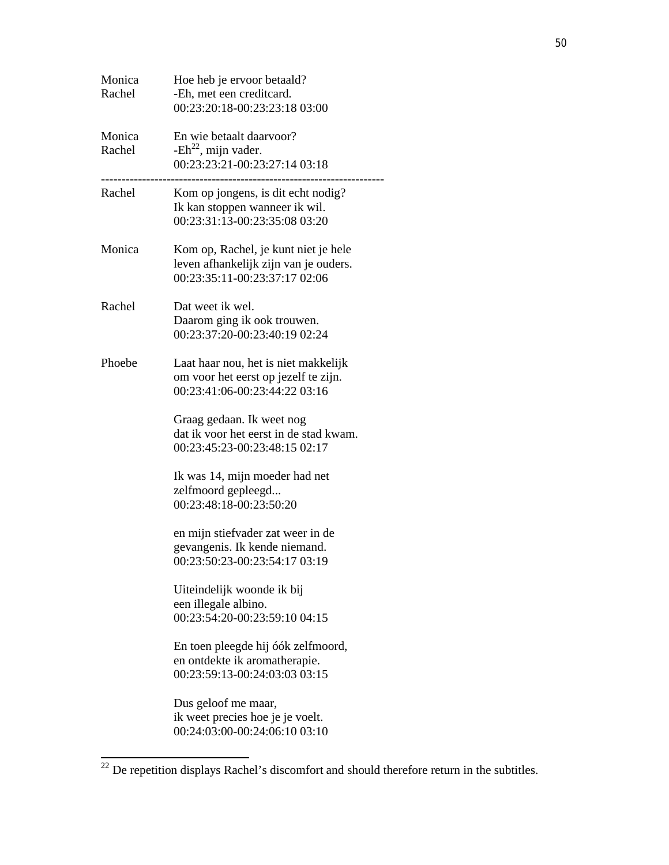| Monica<br>Rachel | Hoe heb je ervoor betaald?<br>-Eh, met een creditcard.<br>00:23:20:18-00:23:23:18 03:00                        |
|------------------|----------------------------------------------------------------------------------------------------------------|
| Monica<br>Rachel | En wie betaalt daarvoor?<br>$-Eh22$ , mijn vader.<br>00:23:23:21-00:23:27:14 03:18                             |
| Rachel           | Kom op jongens, is dit echt nodig?<br>Ik kan stoppen wanneer ik wil.<br>00:23:31:13-00:23:35:08 03:20          |
| Monica           | Kom op, Rachel, je kunt niet je hele<br>leven afhankelijk zijn van je ouders.<br>00:23:35:11-00:23:37:17 02:06 |
| Rachel           | Dat weet ik wel.<br>Daarom ging ik ook trouwen.<br>00:23:37:20-00:23:40:19 02:24                               |
| Phoebe           | Laat haar nou, het is niet makkelijk<br>om voor het eerst op jezelf te zijn.<br>00:23:41:06-00:23:44:22 03:16  |
|                  | Graag gedaan. Ik weet nog<br>dat ik voor het eerst in de stad kwam.<br>00:23:45:23-00:23:48:15 02:17           |
|                  | Ik was 14, mijn moeder had net<br>zelfmoord gepleegd<br>00:23:48:18-00:23:50:20                                |
|                  | en mijn stiefvader zat weer in de<br>gevangenis. Ik kende niemand.<br>00:23:50:23-00:23:54:17 03:19            |
|                  | Uiteindelijk woonde ik bij<br>een illegale albino.<br>00:23:54:20-00:23:59:10 04:15                            |
|                  | En toen pleegde hij óók zelfmoord,<br>en ontdekte ik aromatherapie.<br>00:23:59:13-00:24:03:03 03:15           |
|                  | Dus geloof me maar,<br>ik weet precies hoe je je voelt.<br>00:24:03:00-00:24:06:10 03:10                       |

 $\overline{a}$ 

 $22$  De repetition displays Rachel's discomfort and should therefore return in the subtitles.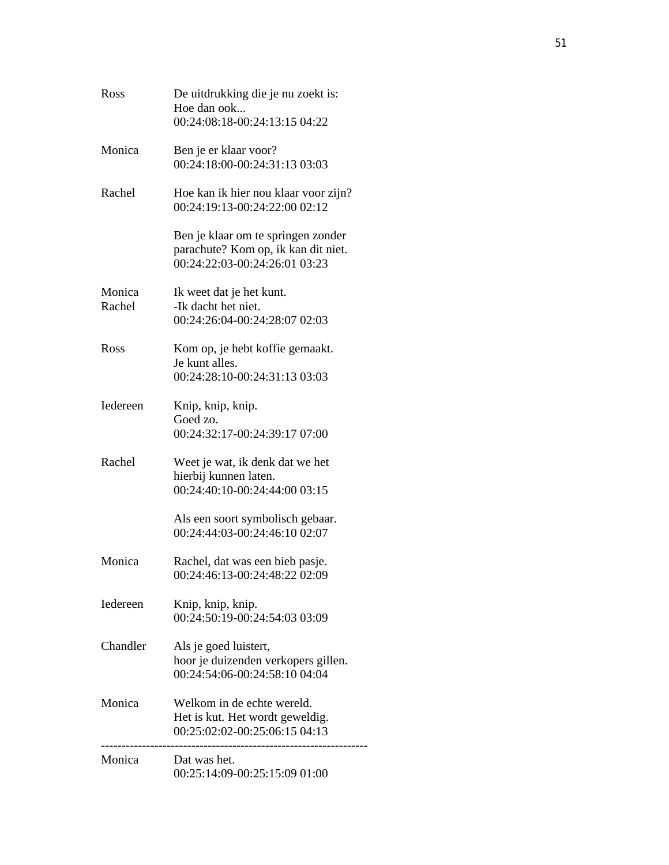| Ross             | De uitdrukking die je nu zoekt is:<br>Hoe dan ook<br>00:24:08:18-00:24:13:15 04:22                         |
|------------------|------------------------------------------------------------------------------------------------------------|
| Monica           | Ben je er klaar voor?<br>00:24:18:00-00:24:31:13 03:03                                                     |
| Rachel           | Hoe kan ik hier nou klaar voor zijn?<br>00:24:19:13-00:24:22:00 02:12                                      |
|                  | Ben je klaar om te springen zonder<br>parachute? Kom op, ik kan dit niet.<br>00:24:22:03-00:24:26:01 03:23 |
| Monica<br>Rachel | Ik weet dat je het kunt.<br>-Ik dacht het niet.<br>00:24:26:04-00:24:28:07 02:03                           |
| <b>Ross</b>      | Kom op, je hebt koffie gemaakt.<br>Je kunt alles.<br>00:24:28:10-00:24:31:13 03:03                         |
| Iedereen         | Knip, knip, knip.<br>Goed zo.<br>00:24:32:17-00:24:39:17 07:00                                             |
| Rachel           | Weet je wat, ik denk dat we het<br>hierbij kunnen laten.<br>00:24:40:10-00:24:44:00 03:15                  |
|                  | Als een soort symbolisch gebaar.<br>00:24:44:03-00:24:46:10 02:07                                          |
| Monica           | Rachel, dat was een bieb pasje.<br>00:24:46:13-00:24:48:22 02:09                                           |
| Iedereen         | Knip, knip, knip.<br>00:24:50:19-00:24:54:03 03:09                                                         |
| Chandler         | Als je goed luistert,<br>hoor je duizenden verkopers gillen.<br>00:24:54:06-00:24:58:10 04:04              |
| Monica           | Welkom in de echte wereld.<br>Het is kut. Het wordt geweldig.<br>00:25:02:02-00:25:06:15 04:13             |
| Monica           | Dat was het.<br>00:25:14:09-00:25:15:09 01:00                                                              |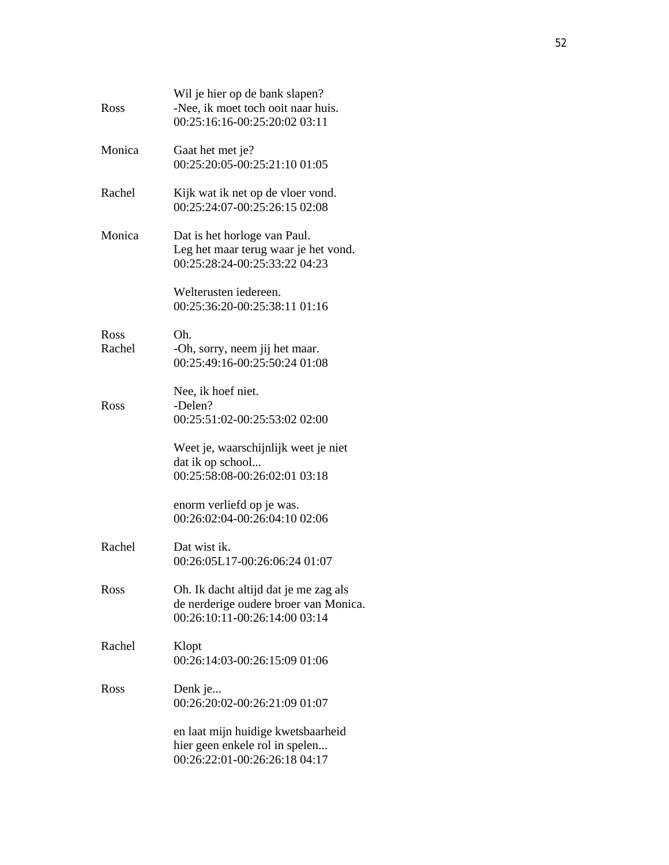| Ross           | Wil je hier op de bank slapen?<br>-Nee, ik moet toch ooit naar huis.<br>00:25:16:16-00:25:20:02 03:11           |
|----------------|-----------------------------------------------------------------------------------------------------------------|
| Monica         | Gaat het met je?<br>00:25:20:05-00:25:21:10 01:05                                                               |
| Rachel         | Kijk wat ik net op de vloer vond.<br>00:25:24:07-00:25:26:15 02:08                                              |
| Monica         | Dat is het horloge van Paul.<br>Leg het maar terug waar je het vond.<br>00:25:28:24-00:25:33:22 04:23           |
|                | Welterusten iedereen.<br>00:25:36:20-00:25:38:11 01:16                                                          |
| Ross<br>Rachel | Oh.<br>-Oh, sorry, neem jij het maar.<br>00:25:49:16-00:25:50:24 01:08                                          |
| <b>Ross</b>    | Nee, ik hoef niet.<br>-Delen?<br>00:25:51:02-00:25:53:02 02:00                                                  |
|                | Weet je, waarschijnlijk weet je niet<br>dat ik op school<br>00:25:58:08-00:26:02:01 03:18                       |
|                | enorm verliefd op je was.<br>00:26:02:04-00:26:04:10 02:06                                                      |
| Rachel         | Dat wist ik.<br>00:26:05L17-00:26:06:24 01:07                                                                   |
| Ross           | Oh. Ik dacht altijd dat je me zag als<br>de nerderige oudere broer van Monica.<br>00:26:10:11-00:26:14:00 03:14 |
| Rachel         | Klopt<br>00:26:14:03-00:26:15:09 01:06                                                                          |
| Ross           | Denk je<br>00:26:20:02-00:26:21:09 01:07                                                                        |
|                | en laat mijn huidige kwetsbaarheid<br>hier geen enkele rol in spelen<br>00:26:22:01-00:26:26:18 04:17           |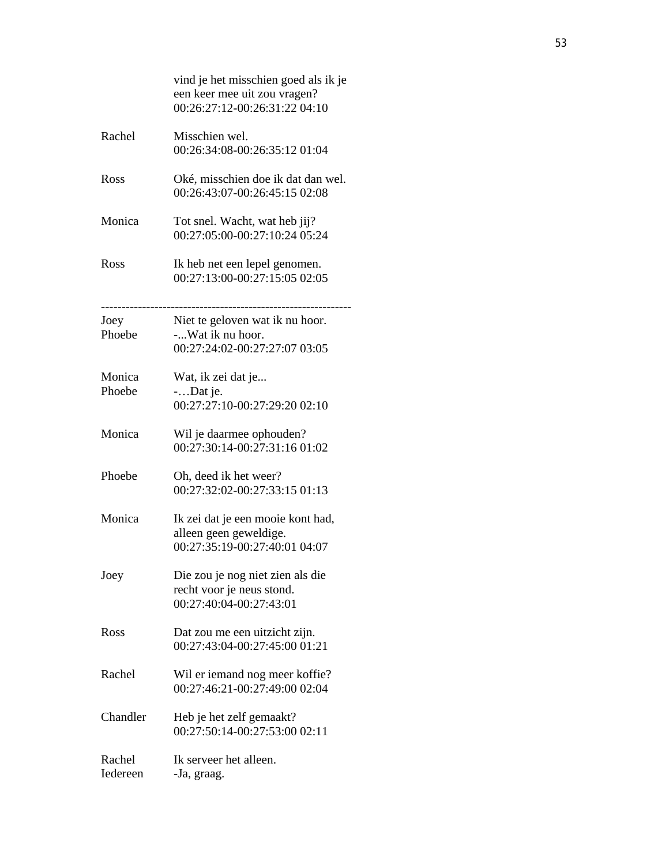|                    | vind je het misschien goed als ik je<br>een keer mee uit zou vragen?<br>00:26:27:12-00:26:31:22 04:10 |
|--------------------|-------------------------------------------------------------------------------------------------------|
| Rachel             | Misschien wel.<br>00:26:34:08-00:26:35:12 01:04                                                       |
| Ross               | Oké, misschien doe ik dat dan wel.<br>00:26:43:07-00:26:45:15 02:08                                   |
| Monica             | Tot snel. Wacht, wat heb jij?<br>00:27:05:00-00:27:10:24 05:24                                        |
| Ross               | Ik heb net een lepel genomen.<br>00:27:13:00-00:27:15:05 02:05                                        |
| Joey<br>Phoebe     | Niet te geloven wat ik nu hoor.<br>-Wat ik nu hoor.<br>00:27:24:02-00:27:27:07 03:05                  |
| Monica<br>Phoebe   | Wat, ik zei dat je<br>$-.$ Dat je.<br>00:27:27:10-00:27:29:20 02:10                                   |
| Monica             | Wil je daarmee ophouden?<br>00:27:30:14-00:27:31:16 01:02                                             |
| Phoebe             | Oh, deed ik het weer?<br>00:27:32:02-00:27:33:15 01:13                                                |
| Monica             | Ik zei dat je een mooie kont had,<br>alleen geen geweldige.<br>00:27:35:19-00:27:40:01 04:07          |
| Joey               | Die zou je nog niet zien als die<br>recht voor je neus stond.<br>00:27:40:04-00:27:43:01              |
| <b>Ross</b>        | Dat zou me een uitzicht zijn.<br>00:27:43:04-00:27:45:00 01:21                                        |
| Rachel             | Wil er iemand nog meer koffie?<br>00:27:46:21-00:27:49:00 02:04                                       |
| Chandler           | Heb je het zelf gemaakt?<br>00:27:50:14-00:27:53:00 02:11                                             |
| Rachel<br>Iedereen | Ik serveer het alleen.<br>-Ja, graag.                                                                 |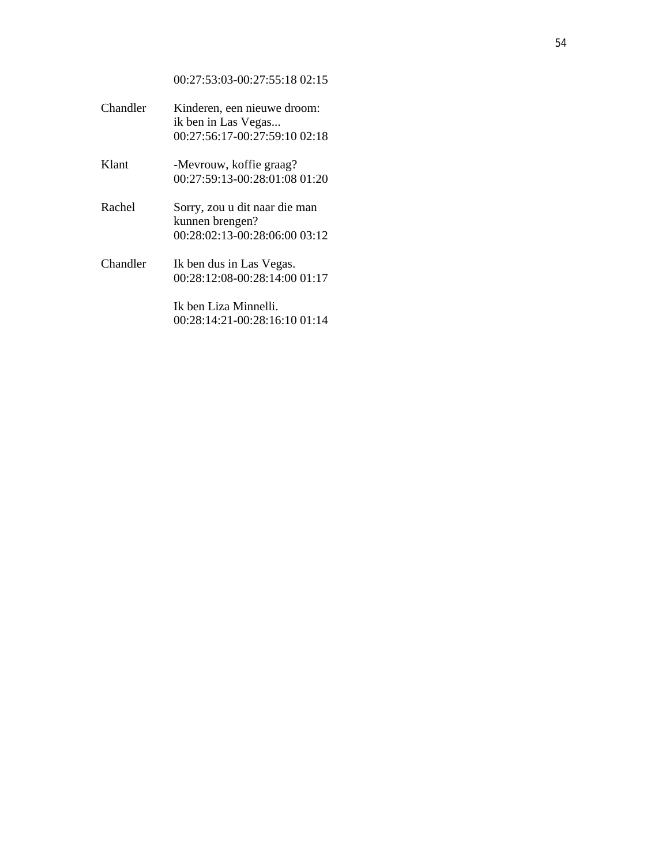00:27:53:03-00:27:55:18 02:15

| Chandler | Kinderen, een nieuwe droom:<br>ik ben in Las Vegas<br>00:27:56:17-00:27:59:10 02:18 |
|----------|-------------------------------------------------------------------------------------|
| Klant    | -Mevrouw, koffie graag?<br>00:27:59:13-00:28:01:08 01:20                            |
| Rachel   | Sorry, zou u dit naar die man<br>kunnen brengen?<br>00:28:02:13-00:28:06:00 03:12   |
| Chandler | Ik ben dus in Las Vegas.<br>00:28:12:08-00:28:14:00 01:17                           |
|          | Ik ben Liza Minnelli.<br>00:28:14:21-00:28:16:10 01:14                              |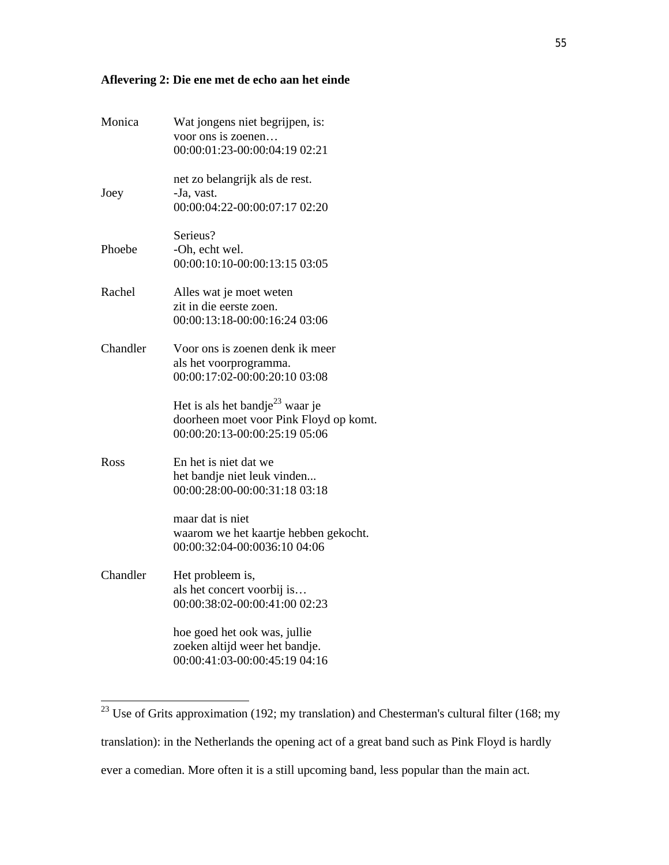## **Aflevering 2: Die ene met de echo aan het einde**

| Monica   | Wat jongens niet begrijpen, is:<br>voor ons is zoenen<br>00:00:01:23-00:00:04:19 02:21                                 |
|----------|------------------------------------------------------------------------------------------------------------------------|
| Joey     | net zo belangrijk als de rest.<br>-Ja, vast.<br>00:00:04:22-00:00:07:17 02:20                                          |
| Phoebe   | Serieus?<br>-Oh, echt wel.<br>00:00:10:10-00:00:13:15 03:05                                                            |
| Rachel   | Alles wat je moet weten<br>zit in die eerste zoen.<br>00:00:13:18-00:00:16:24 03:06                                    |
| Chandler | Voor ons is zoenen denk ik meer<br>als het voorprogramma.<br>00:00:17:02-00:00:20:10 03:08                             |
|          | Het is als het bandje <sup>23</sup> waar je<br>doorheen moet voor Pink Floyd op komt.<br>00:00:20:13-00:00:25:19 05:06 |
| Ross     | En het is niet dat we<br>het bandje niet leuk vinden<br>00:00:28:00-00:00:31:18 03:18                                  |
|          | maar dat is niet<br>waarom we het kaartje hebben gekocht.<br>00:00:32:04-00:0036:10 04:06                              |
| Chandler | Het probleem is,<br>als het concert voorbij is<br>00:00:38:02-00:00:41:00 02:23                                        |
|          | hoe goed het ook was, jullie<br>zoeken altijd weer het bandje.<br>00:00:41:03-00:00:45:19 04:16                        |

l,

<sup>&</sup>lt;sup>23</sup> Use of Grits approximation (192; my translation) and Chesterman's cultural filter (168; my translation): in the Netherlands the opening act of a great band such as Pink Floyd is hardly ever a comedian. More often it is a still upcoming band, less popular than the main act.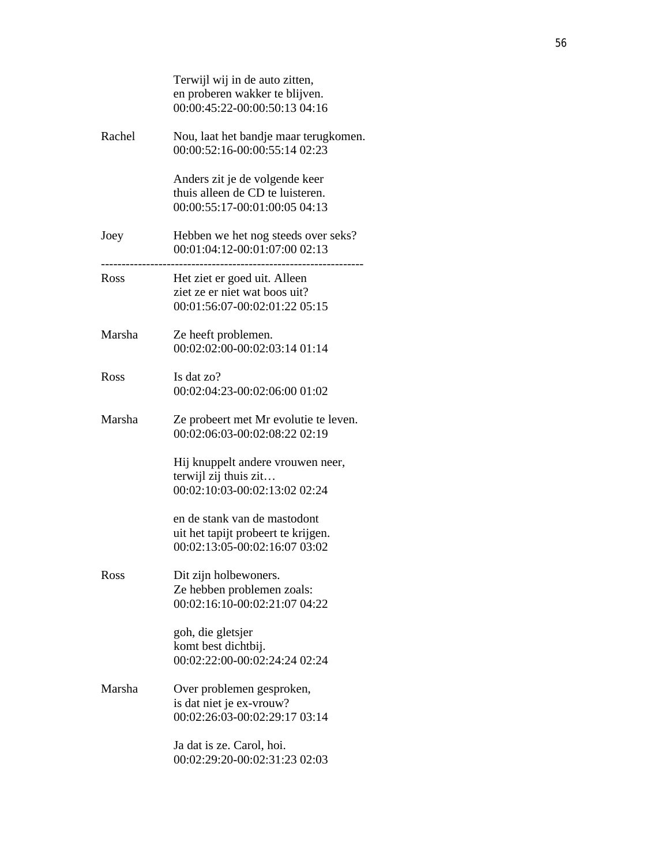|        | Terwijl wij in de auto zitten,<br>en proberen wakker te blijven.<br>00:00:45:22-00:00:50:13 04:16    |
|--------|------------------------------------------------------------------------------------------------------|
| Rachel | Nou, laat het bandje maar terugkomen.<br>00:00:52:16-00:00:55:14 02:23                               |
|        | Anders zit je de volgende keer<br>thuis alleen de CD te luisteren.<br>00:00:55:17-00:01:00:05 04:13  |
| Joey   | Hebben we het nog steeds over seks?<br>00:01:04:12-00:01:07:00 02:13                                 |
| Ross   | Het ziet er goed uit. Alleen<br>ziet ze er niet wat boos uit?<br>00:01:56:07-00:02:01:22 05:15       |
| Marsha | Ze heeft problemen.<br>00:02:02:00-00:02:03:14 01:14                                                 |
| Ross   | Is dat zo?<br>00:02:04:23-00:02:06:00 01:02                                                          |
| Marsha | Ze probeert met Mr evolutie te leven.<br>00:02:06:03-00:02:08:22 02:19                               |
|        | Hij knuppelt andere vrouwen neer,<br>terwijl zij thuis zit<br>00:02:10:03-00:02:13:02 02:24          |
|        | en de stank van de mastodont<br>uit het tapijt probeert te krijgen.<br>00:02:13:05-00:02:16:07 03:02 |
| Ross   | Dit zijn holbewoners.<br>Ze hebben problemen zoals:<br>00:02:16:10-00:02:21:07 04:22                 |
|        | goh, die gletsjer<br>komt best dichtbij.<br>00:02:22:00-00:02:24:24 02:24                            |
| Marsha | Over problemen gesproken,<br>is dat niet je ex-vrouw?<br>00:02:26:03-00:02:29:17 03:14               |
|        | Ja dat is ze. Carol, hoi.<br>00:02:29:20-00:02:31:23 02:03                                           |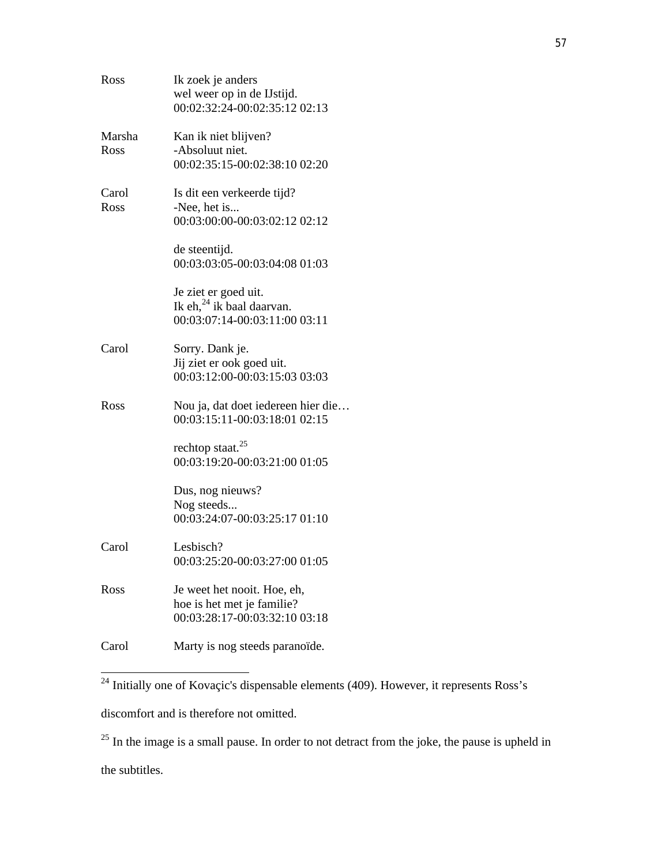| Ross           | Ik zoek je anders<br>wel weer op in de IJstijd.<br>00:02:32:24-00:02:35:12 02:13           |
|----------------|--------------------------------------------------------------------------------------------|
| Marsha<br>Ross | Kan ik niet blijven?<br>-Absoluut niet.<br>00:02:35:15-00:02:38:10 02:20                   |
| Carol<br>Ross  | Is dit een verkeerde tijd?<br>-Nee, het is<br>00:03:00:00-00:03:02:12 02:12                |
|                | de steentijd.<br>00:03:03:05-00:03:04:08 01:03                                             |
|                | Je ziet er goed uit.<br>Ik eh, $^{24}$ ik baal daarvan.<br>00:03:07:14-00:03:11:00 03:11   |
| Carol          | Sorry. Dank je.<br>Jij ziet er ook goed uit.<br>00:03:12:00-00:03:15:03 03:03              |
| Ross           | Nou ja, dat doet iedereen hier die<br>00:03:15:11-00:03:18:01 02:15                        |
|                | rechtop staat. <sup>25</sup><br>00:03:19:20-00:03:21:00 01:05                              |
|                | Dus, nog nieuws?<br>Nog steeds<br>00:03:24:07-00:03:25:17 01:10                            |
| Carol          | Lesbisch?<br>00:03:25:20-00:03:27:00 01:05                                                 |
| <b>Ross</b>    | Je weet het nooit. Hoe, eh,<br>hoe is het met je familie?<br>00:03:28:17-00:03:32:10 03:18 |
| Carol          | Marty is nog steeds paranoïde.                                                             |

 $^{24}$  Initially one of Kovaçic's dispensable elements (409). However, it represents Ross's

discomfort and is therefore not omitted.

 $\overline{a}$ 

 $25$  In the image is a small pause. In order to not detract from the joke, the pause is upheld in the subtitles.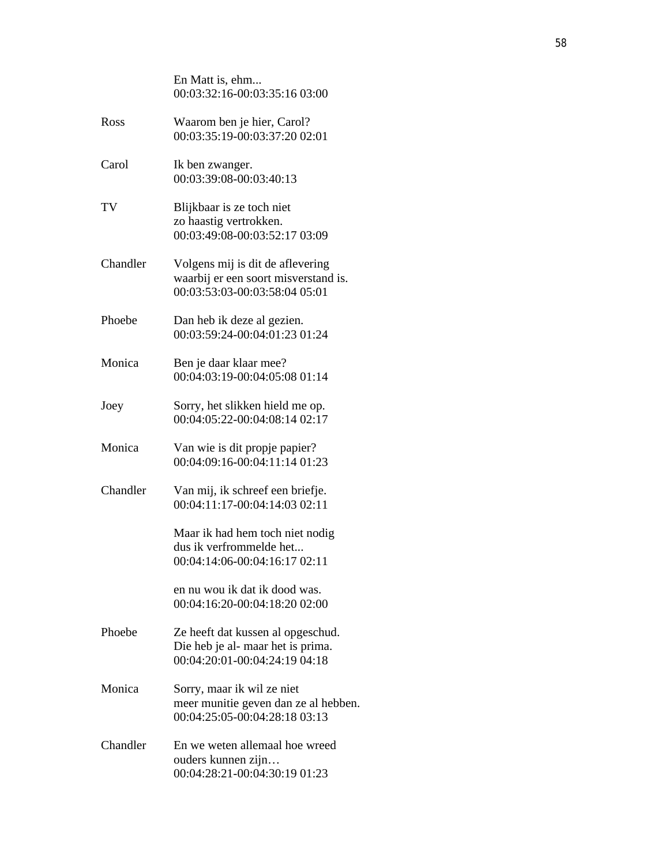|             | En Matt is, ehm<br>00:03:32:16-00:03:35:16 03:00                                                          |
|-------------|-----------------------------------------------------------------------------------------------------------|
| <b>Ross</b> | Waarom ben je hier, Carol?<br>00:03:35:19-00:03:37:20 02:01                                               |
| Carol       | Ik ben zwanger.<br>00:03:39:08-00:03:40:13                                                                |
| TV          | Blijkbaar is ze toch niet<br>zo haastig vertrokken.<br>00:03:49:08-00:03:52:17 03:09                      |
| Chandler    | Volgens mij is dit de aflevering<br>waarbij er een soort misverstand is.<br>00:03:53:03-00:03:58:04 05:01 |
| Phoebe      | Dan heb ik deze al gezien.<br>00:03:59:24-00:04:01:23 01:24                                               |
| Monica      | Ben je daar klaar mee?<br>00:04:03:19-00:04:05:08 01:14                                                   |
| Joey        | Sorry, het slikken hield me op.<br>00:04:05:22-00:04:08:14 02:17                                          |
| Monica      | Van wie is dit propje papier?<br>00:04:09:16-00:04:11:14 01:23                                            |
| Chandler    | Van mij, ik schreef een briefje.<br>00:04:11:17-00:04:14:03 02:11                                         |
|             | Maar ik had hem toch niet nodig<br>dus ik verfrommelde het<br>00:04:14:06-00:04:16:17 02:11               |
|             | en nu wou ik dat ik dood was.<br>00:04:16:20-00:04:18:20 02:00                                            |
| Phoebe      | Ze heeft dat kussen al opgeschud.<br>Die heb je al- maar het is prima.<br>00:04:20:01-00:04:24:19 04:18   |
| Monica      | Sorry, maar ik wil ze niet<br>meer munitie geven dan ze al hebben.<br>00:04:25:05-00:04:28:18 03:13       |
| Chandler    | En we weten allemaal hoe wreed<br>ouders kunnen zijn<br>00:04:28:21-00:04:30:19 01:23                     |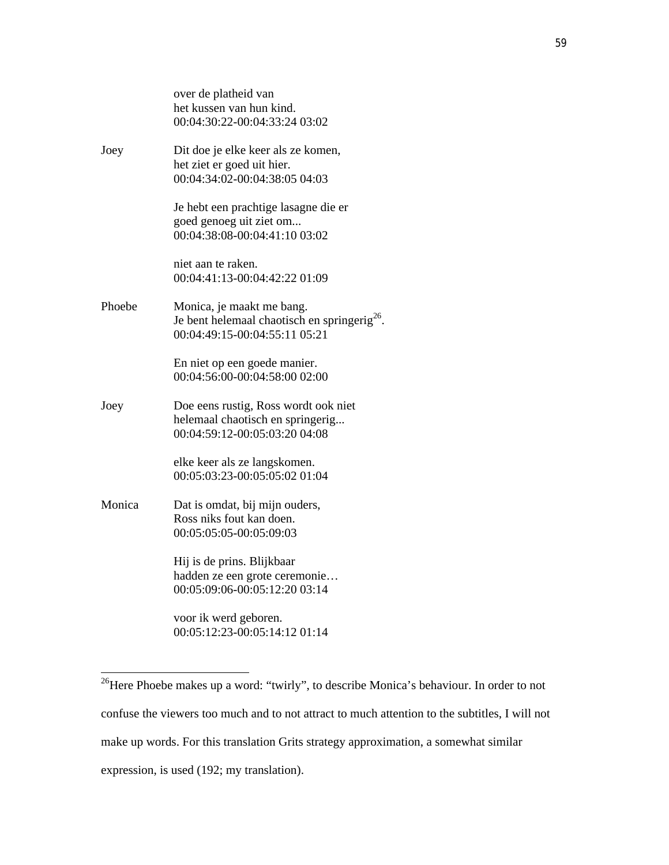|        | over de platheid van<br>het kussen van hun kind.<br>00:04:30:22-00:04:33:24 03:02                                      |
|--------|------------------------------------------------------------------------------------------------------------------------|
| Joey   | Dit doe je elke keer als ze komen,<br>het ziet er goed uit hier.<br>00:04:34:02-00:04:38:05 04:03                      |
|        | Je hebt een prachtige lasagne die er<br>goed genoeg uit ziet om<br>00:04:38:08-00:04:41:10 03:02                       |
|        | niet aan te raken.<br>00:04:41:13-00:04:42:22 01:09                                                                    |
| Phoebe | Monica, je maakt me bang.<br>Je bent helemaal chaotisch en springerig <sup>26</sup> .<br>00:04:49:15-00:04:55:11 05:21 |
|        | En niet op een goede manier.<br>00:04:56:00-00:04:58:00 02:00                                                          |
| Joey   | Doe eens rustig, Ross wordt ook niet<br>helemaal chaotisch en springerig<br>00:04:59:12-00:05:03:20 04:08              |
|        | elke keer als ze langskomen.<br>00:05:03:23-00:05:05:02 01:04                                                          |
| Monica | Dat is omdat, bij mijn ouders,<br>Ross niks fout kan doen.<br>00:05:05:05-00:05:09:03                                  |
|        | Hij is de prins. Blijkbaar<br>hadden ze een grote ceremonie<br>00:05:09:06-00:05:12:20 03:14                           |
|        | voor ik werd geboren.<br>00:05:12:23-00:05:14:12 01:14                                                                 |

 $\overline{a}$ <sup>26</sup>Here Phoebe makes up a word: "twirly", to describe Monica's behaviour. In order to not confuse the viewers too much and to not attract to much attention to the subtitles, I will not make up words. For this translation Grits strategy approximation, a somewhat similar expression, is used (192; my translation).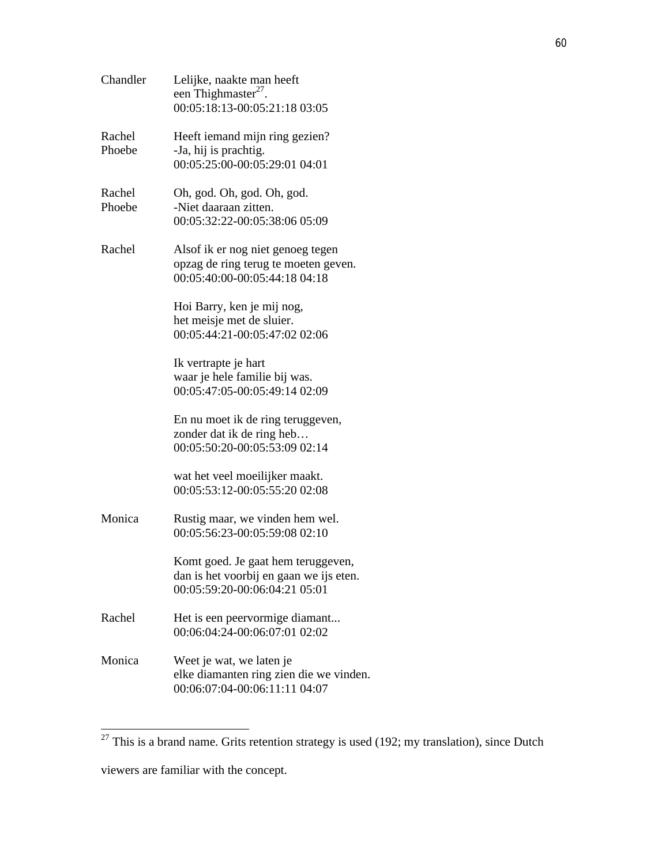| Chandler         | Lelijke, naakte man heeft<br>een Thighmaster <sup>27</sup> .<br>00:05:18:13-00:05:21:18 03:05                  |
|------------------|----------------------------------------------------------------------------------------------------------------|
| Rachel<br>Phoebe | Heeft iemand mijn ring gezien?<br>-Ja, hij is prachtig.<br>00:05:25:00-00:05:29:01 04:01                       |
| Rachel<br>Phoebe | Oh, god. Oh, god. Oh, god.<br>-Niet daaraan zitten.<br>00:05:32:22-00:05:38:06 05:09                           |
| Rachel           | Alsof ik er nog niet genoeg tegen<br>opzag de ring terug te moeten geven.<br>00:05:40:00-00:05:44:18 04:18     |
|                  | Hoi Barry, ken je mij nog,<br>het meisje met de sluier.<br>00:05:44:21-00:05:47:02 02:06                       |
|                  | Ik vertrapte je hart<br>waar je hele familie bij was.<br>00:05:47:05-00:05:49:14 02:09                         |
|                  | En nu moet ik de ring teruggeven,<br>zonder dat ik de ring heb<br>00:05:50:20-00:05:53:09 02:14                |
|                  | wat het veel moeilijker maakt.<br>00:05:53:12-00:05:55:20 02:08                                                |
| Monica           | Rustig maar, we vinden hem wel.<br>00:05:56:23-00:05:59:08 02:10                                               |
|                  | Komt goed. Je gaat hem teruggeven,<br>dan is het voorbij en gaan we ijs eten.<br>00:05:59:20-00:06:04:21 05:01 |
| Rachel           | Het is een peervormige diamant<br>00:06:04:24-00:06:07:01 02:02                                                |
| Monica           | Weet je wat, we laten je<br>elke diamanten ring zien die we vinden.<br>00:06:07:04-00:06:11:11 04:07           |

 $\overline{\phantom{a}}$ 

<sup>&</sup>lt;sup>27</sup> This is a brand name. Grits retention strategy is used (192; my translation), since Dutch viewers are familiar with the concept.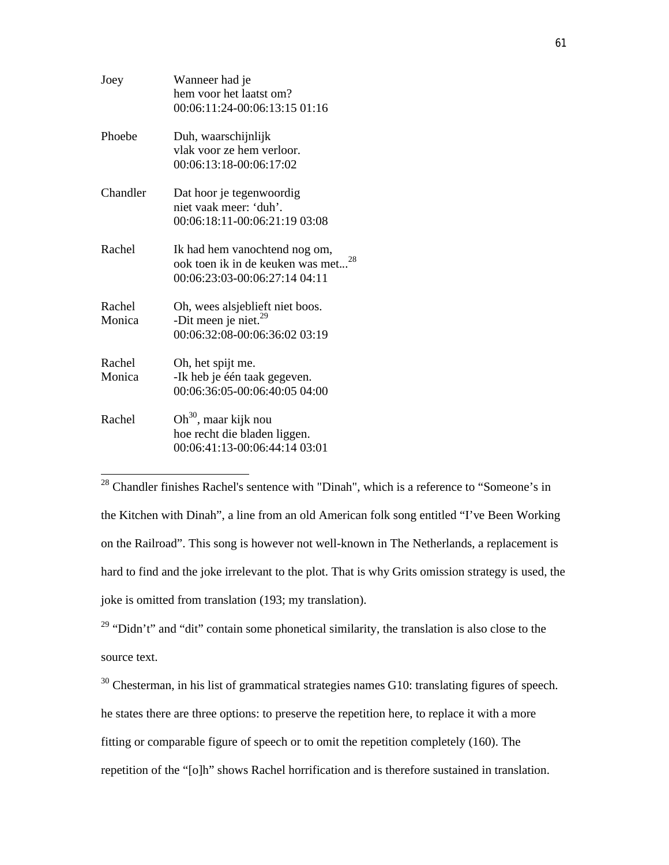| Joey     | Wanneer had je                         |
|----------|----------------------------------------|
|          | hem voor het laatst om?                |
|          | 00:06:11:24-00:06:13:15 01:16          |
| Phoebe   | Duh, waarschijnlijk                    |
|          | vlak voor ze hem verloor.              |
|          | 00:06:13:18-00:06:17:02                |
| Chandler | Dat hoor je tegenwoordig               |
|          | niet vaak meer: 'duh'.                 |
|          | 00:06:18:11-00:06:21:19 03:08          |
| Rachel   | Ik had hem vanochtend nog om,          |
|          | 28<br>ook toen ik in de keuken was met |
|          | 00:06:23:03-00:06:27:14 04:11          |
| Rachel   | Oh, wees alsjeblieft niet boos.        |
| Monica   | -Dit meen je niet. $^{29}$             |
|          | 00:06:32:08-00:06:36:02 03:19          |
| Rachel   | Oh, het spijt me.                      |
| Monica   | -Ik heb je één taak gegeven.           |
|          | 00:06:36:05-00:06:40:05 04:00          |
| Rachel   | Oh <sup>30</sup> , maar kijk nou       |
|          | hoe recht die bladen liggen.           |
|          | 00:06:41:13-00:06:44:14 03:01          |
|          |                                        |

 $\overline{a}$ 

<sup>29</sup> "Didn't" and "dit" contain some phonetical similarity, the translation is also close to the source text.

 $30$  Chesterman, in his list of grammatical strategies names G10: translating figures of speech. he states there are three options: to preserve the repetition here, to replace it with a more fitting or comparable figure of speech or to omit the repetition completely (160). The repetition of the "[o]h" shows Rachel horrification and is therefore sustained in translation.

 $28$  Chandler finishes Rachel's sentence with "Dinah", which is a reference to "Someone's in the Kitchen with Dinah", a line from an old American folk song entitled "I've Been Working on the Railroad". This song is however not well-known in The Netherlands, a replacement is hard to find and the joke irrelevant to the plot. That is why Grits omission strategy is used, the joke is omitted from translation (193; my translation).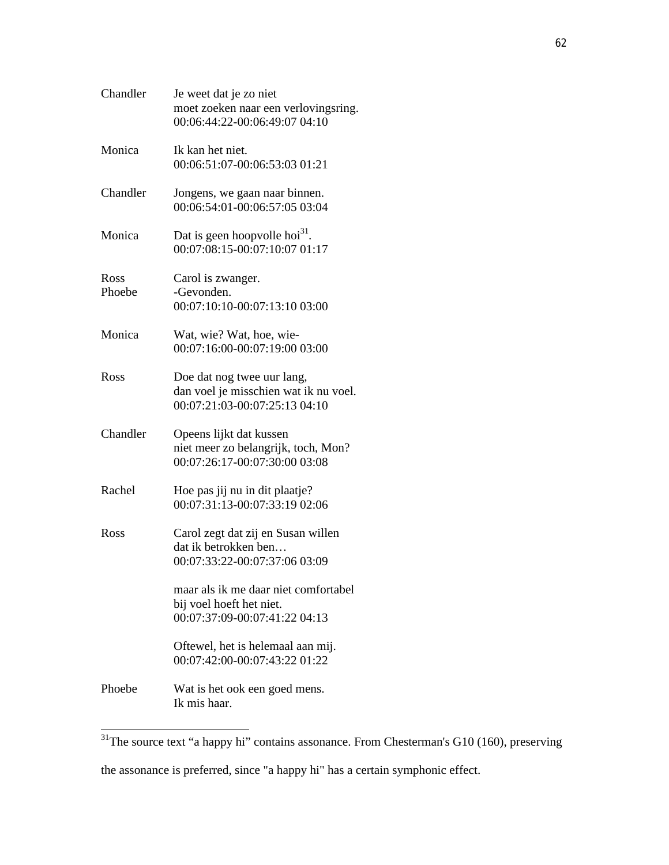| Chandler              | Je weet dat je zo niet<br>moet zoeken naar een verlovingsring.<br>00:06:44:22-00:06:49:07 04:10      |
|-----------------------|------------------------------------------------------------------------------------------------------|
| Monica                | Ik kan het niet.<br>00:06:51:07-00:06:53:03 01:21                                                    |
| Chandler              | Jongens, we gaan naar binnen.<br>00:06:54:01-00:06:57:05 03:04                                       |
| Monica                | Dat is geen hoopvolle hoi <sup>31</sup> .<br>00:07:08:15-00:07:10:07 01:17                           |
| <b>Ross</b><br>Phoebe | Carol is zwanger.<br>-Gevonden.<br>00:07:10:10-00:07:13:10 03:00                                     |
| Monica                | Wat, wie? Wat, hoe, wie-<br>00:07:16:00-00:07:19:00 03:00                                            |
| Ross                  | Doe dat nog twee uur lang,<br>dan voel je misschien wat ik nu voel.<br>00:07:21:03-00:07:25:13 04:10 |
| Chandler              | Opeens lijkt dat kussen<br>niet meer zo belangrijk, toch, Mon?<br>00:07:26:17-00:07:30:00 03:08      |
| Rachel                | Hoe pas jij nu in dit plaatje?<br>00:07:31:13-00:07:33:19 02:06                                      |
| Ross                  | Carol zegt dat zij en Susan willen<br>dat ik betrokken ben<br>00:07:33:22-00:07:37:06 03:09          |
|                       | maar als ik me daar niet comfortabel<br>bij voel hoeft het niet.<br>00:07:37:09-00:07:41:22 04:13    |
|                       | Oftewel, het is helemaal aan mij.<br>00:07:42:00-00:07:43:22 01:22                                   |
| Phoebe                | Wat is het ook een goed mens.<br>Ik mis haar.                                                        |

 $31$ The source text "a happy hi" contains assonance. From Chesterman's G10 (160), preserving the assonance is preferred, since "a happy hi" has a certain symphonic effect.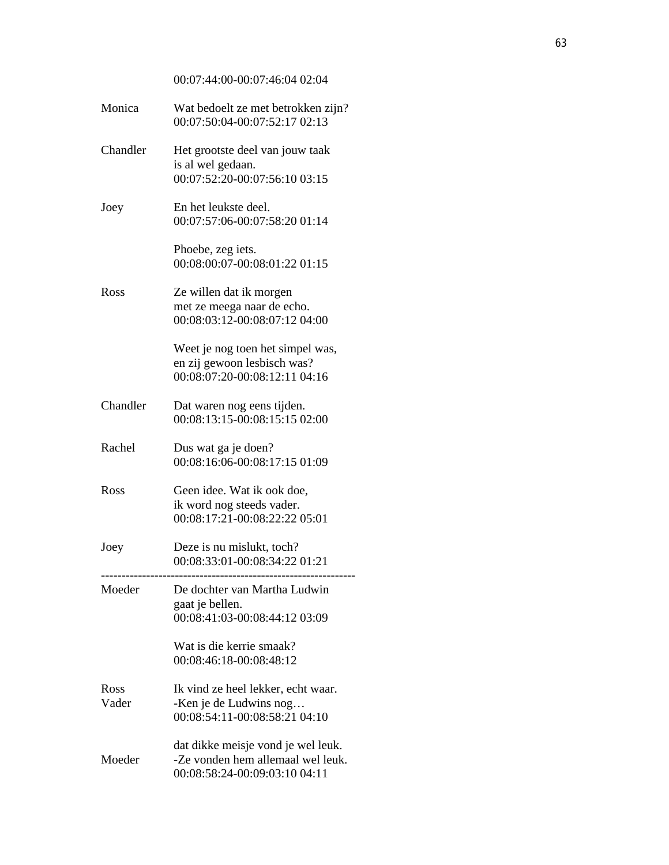## 00:07:44:00-00:07:46:04 02:04

| Monica               | Wat bedoelt ze met betrokken zijn?<br>00:07:50:04-00:07:52:17 02:13                                      |
|----------------------|----------------------------------------------------------------------------------------------------------|
| Chandler             | Het grootste deel van jouw taak<br>is al wel gedaan.<br>00:07:52:20-00:07:56:10 03:15                    |
| Joey                 | En het leukste deel.<br>00:07:57:06-00:07:58:20 01:14                                                    |
|                      | Phoebe, zeg iets.<br>00:08:00:07-00:08:01:22 01:15                                                       |
| Ross                 | Ze willen dat ik morgen<br>met ze meega naar de echo.<br>00:08:03:12-00:08:07:12 04:00                   |
|                      | Weet je nog toen het simpel was,<br>en zij gewoon lesbisch was?<br>00:08:07:20-00:08:12:11 04:16         |
| Chandler             | Dat waren nog eens tijden.<br>00:08:13:15-00:08:15:15 02:00                                              |
| Rachel               | Dus wat ga je doen?<br>00:08:16:06-00:08:17:15 01:09                                                     |
| <b>Ross</b>          | Geen idee. Wat ik ook doe,<br>ik word nog steeds vader.<br>00:08:17:21-00:08:22:22 05:01                 |
| Joey                 | Deze is nu mislukt, toch?<br>00:08:33:01-00:08:34:22 01:21                                               |
| Moeder               | De dochter van Martha Ludwin<br>gaat je bellen.<br>00:08:41:03-00:08:44:12 03:09                         |
|                      | Wat is die kerrie smaak?<br>00:08:46:18-00:08:48:12                                                      |
| <b>Ross</b><br>Vader | Ik vind ze heel lekker, echt waar.<br>-Ken je de Ludwins nog<br>00:08:54:11-00:08:58:21 04:10            |
| Moeder               | dat dikke meisje vond je wel leuk.<br>-Ze vonden hem allemaal wel leuk.<br>00:08:58:24-00:09:03:10 04:11 |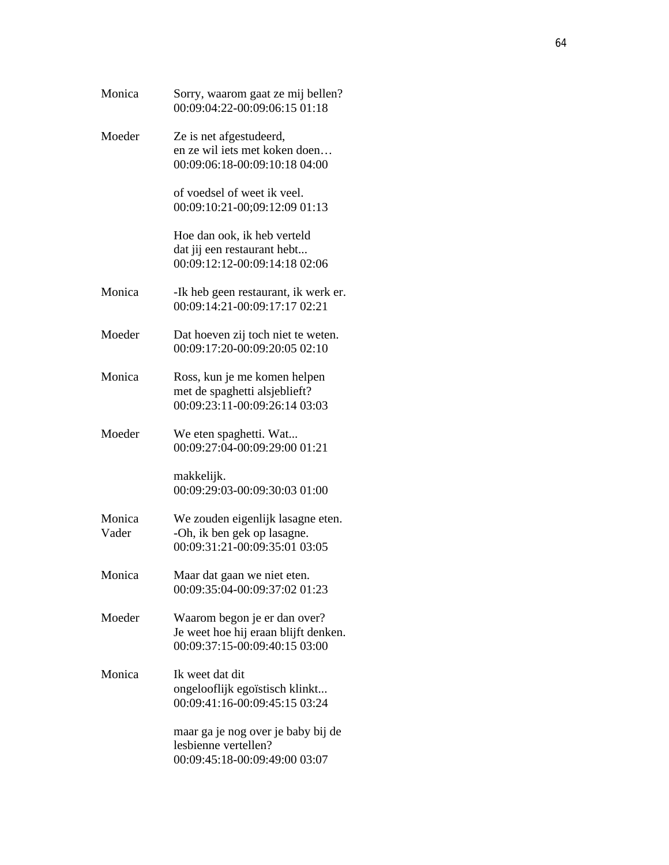| Monica          | Sorry, waarom gaat ze mij bellen?<br>00:09:04:22-00:09:06:15 01:18                                    |
|-----------------|-------------------------------------------------------------------------------------------------------|
| Moeder          | Ze is net afgestudeerd,<br>en ze wil iets met koken doen<br>00:09:06:18-00:09:10:18 04:00             |
|                 | of voedsel of weet ik veel.<br>00:09:10:21-00;09:12:09 01:13                                          |
|                 | Hoe dan ook, ik heb verteld<br>dat jij een restaurant hebt<br>00:09:12:12-00:09:14:18 02:06           |
| Monica          | -Ik heb geen restaurant, ik werk er.<br>00:09:14:21-00:09:17:17 02:21                                 |
| Moeder          | Dat hoeven zij toch niet te weten.<br>00:09:17:20-00:09:20:05 02:10                                   |
| Monica          | Ross, kun je me komen helpen<br>met de spaghetti alsjeblieft?<br>00:09:23:11-00:09:26:14 03:03        |
| Moeder          | We eten spaghetti. Wat<br>00:09:27:04-00:09:29:00 01:21                                               |
|                 | makkelijk.<br>00:09:29:03-00:09:30:03 01:00                                                           |
| Monica<br>Vader | We zouden eigenlijk lasagne eten.<br>-Oh, ik ben gek op lasagne.<br>00:09:31:21-00:09:35:01 03:05     |
| Monica          | Maar dat gaan we niet eten<br>00:09:35:04-00:09:37:02 01:23                                           |
| Moeder          | Waarom begon je er dan over?<br>Je weet hoe hij eraan blijft denken.<br>00:09:37:15-00:09:40:15 03:00 |
| Monica          | Ik weet dat dit<br>ongelooflijk egoïstisch klinkt<br>00:09:41:16-00:09:45:15 03:24                    |
|                 | maar ga je nog over je baby bij de<br>lesbienne vertellen?<br>00:09:45:18-00:09:49:00 03:07           |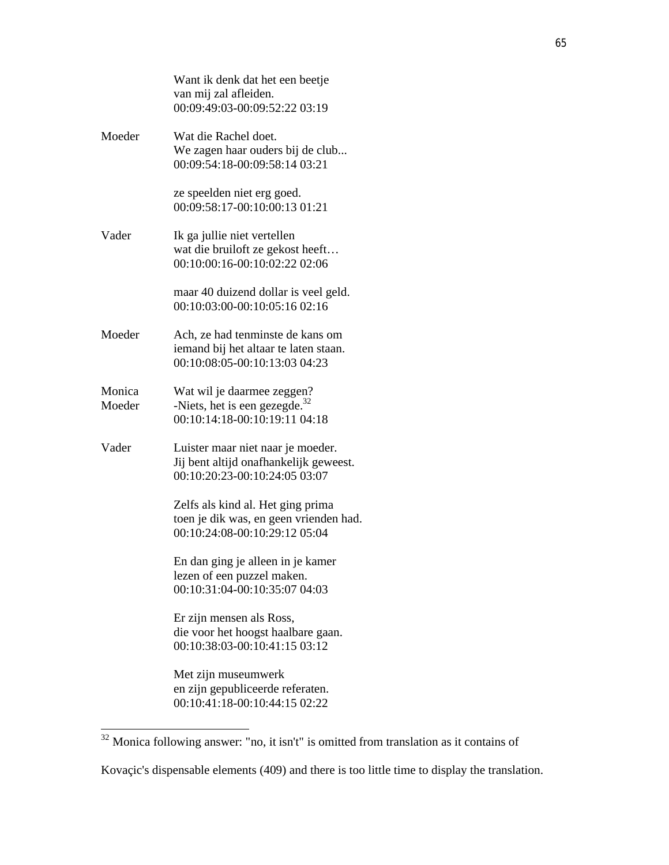|                  | Want ik denk dat het een beetje<br>van mij zal afleiden.<br>00:09:49:03-00:09:52:22 03:19                    |
|------------------|--------------------------------------------------------------------------------------------------------------|
| Moeder           | Wat die Rachel doet.<br>We zagen haar ouders bij de club<br>00:09:54:18-00:09:58:14 03:21                    |
|                  | ze speelden niet erg goed.<br>00:09:58:17-00:10:00:13 01:21                                                  |
| Vader            | Ik ga jullie niet vertellen<br>wat die bruiloft ze gekost heeft<br>00:10:00:16-00:10:02:22 02:06             |
|                  | maar 40 duizend dollar is veel geld.<br>00:10:03:00-00:10:05:16 02:16                                        |
| Moeder           | Ach, ze had tenminste de kans om<br>iemand bij het altaar te laten staan.<br>00:10:08:05-00:10:13:03 04:23   |
| Monica<br>Moeder | Wat wil je daarmee zeggen?<br>-Niets, het is een gezegde. $32$<br>00:10:14:18-00:10:19:11 04:18              |
| Vader            | Luister maar niet naar je moeder.<br>Jij bent altijd onafhankelijk geweest.<br>00:10:20:23-00:10:24:05 03:07 |
|                  | Zelfs als kind al. Het ging prima<br>toen je dik was, en geen vrienden had.<br>00:10:24:08-00:10:29:12 05:04 |
|                  | En dan ging je alleen in je kamer<br>lezen of een puzzel maken.<br>00:10:31:04-00:10:35:07 04:03             |
|                  | Er zijn mensen als Ross,<br>die voor het hoogst haalbare gaan.<br>00:10:38:03-00:10:41:15 03:12              |
|                  | Met zijn museumwerk<br>en zijn gepubliceerde referaten.<br>00:10:41:18-00:10:44:15 02:22                     |

 $32$  Monica following answer: "no, it isn't" is omitted from translation as it contains of

Kovaçic's dispensable elements (409) and there is too little time to display the translation.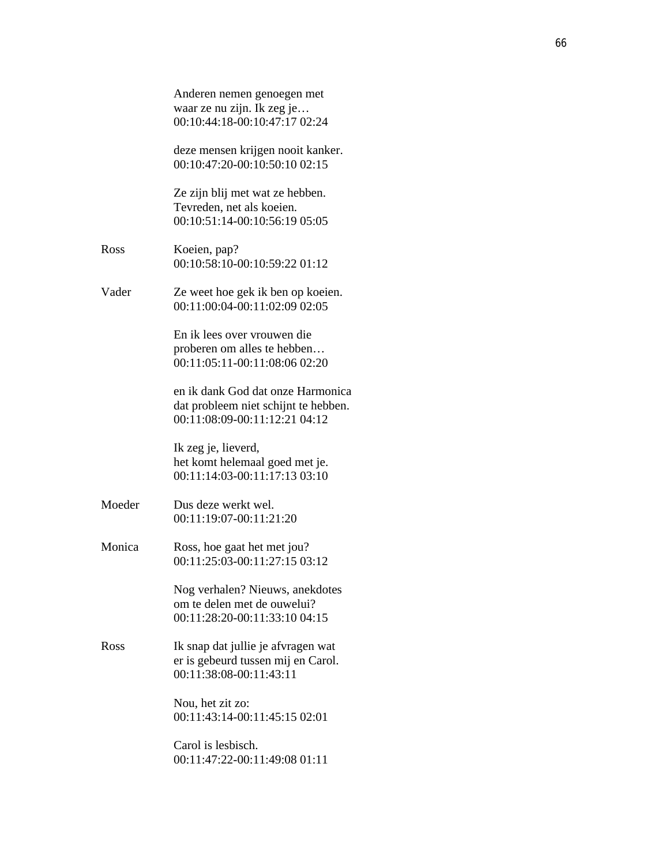|             | Anderen nemen genoegen met<br>waar ze nu zijn. Ik zeg je<br>00:10:44:18-00:10:47:17 02:24                  |
|-------------|------------------------------------------------------------------------------------------------------------|
|             | deze mensen krijgen nooit kanker.<br>00:10:47:20-00:10:50:10 02:15                                         |
|             | Ze zijn blij met wat ze hebben.<br>Tevreden, net als koeien.<br>00:10:51:14-00:10:56:19 05:05              |
| <b>Ross</b> | Koeien, pap?<br>00:10:58:10-00:10:59:22 01:12                                                              |
| Vader       | Ze weet hoe gek ik ben op koeien.<br>00:11:00:04-00:11:02:09 02:05                                         |
|             | En ik lees over vrouwen die<br>proberen om alles te hebben<br>00:11:05:11-00:11:08:06 02:20                |
|             | en ik dank God dat onze Harmonica<br>dat probleem niet schijnt te hebben.<br>00:11:08:09-00:11:12:21 04:12 |
|             | Ik zeg je, lieverd,<br>het komt helemaal goed met je.<br>00:11:14:03-00:11:17:13 03:10                     |
| Moeder      | Dus deze werkt wel.<br>00:11:19:07-00:11:21:20                                                             |
| Monica      | Ross, hoe gaat het met jou?<br>00:11:25:03-00:11:27:15 03:12                                               |
|             | Nog verhalen? Nieuws, anekdotes<br>om te delen met de ouwelui?<br>00:11:28:20-00:11:33:10 04:15            |
| Ross        | Ik snap dat jullie je afvragen wat<br>er is gebeurd tussen mij en Carol.<br>00:11:38:08-00:11:43:11        |
|             | Nou, het zit zo:<br>00:11:43:14-00:11:45:15 02:01                                                          |
|             | Carol is lesbisch.<br>00:11:47:22-00:11:49:08 01:11                                                        |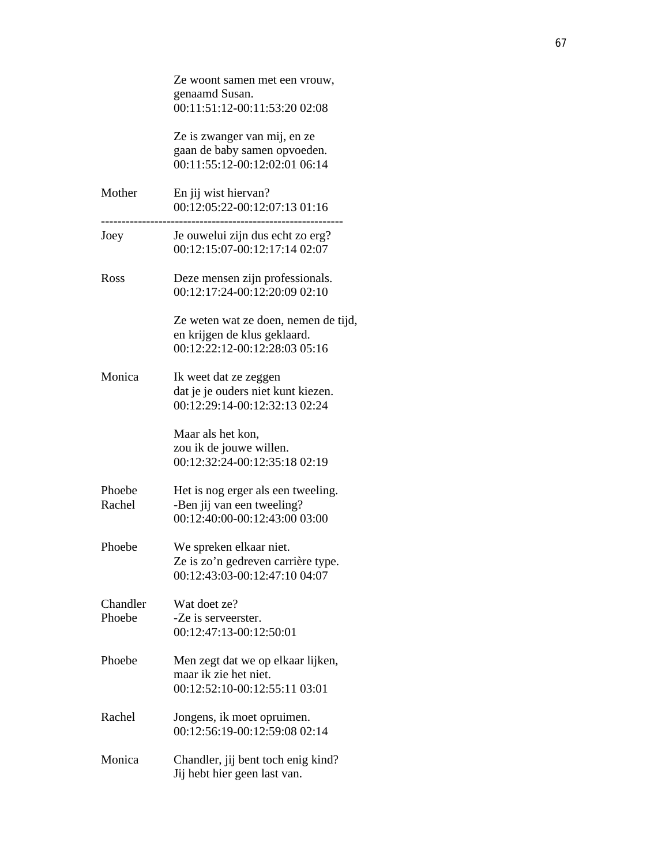|                    | Ze woont samen met een vrouw,<br>genaamd Susan.<br>00:11:51:12-00:11:53:20 02:08                      |
|--------------------|-------------------------------------------------------------------------------------------------------|
|                    | Ze is zwanger van mij, en ze<br>gaan de baby samen opvoeden.<br>00:11:55:12-00:12:02:01 06:14         |
| Mother             | En jij wist hiervan?<br>00:12:05:22-00:12:07:13 01:16                                                 |
| Joey               | Je ouwelui zijn dus echt zo erg?<br>00:12:15:07-00:12:17:14 02:07                                     |
| Ross               | Deze mensen zijn professionals.<br>00:12:17:24-00:12:20:09 02:10                                      |
|                    | Ze weten wat ze doen, nemen de tijd,<br>en krijgen de klus geklaard.<br>00:12:22:12-00:12:28:03 05:16 |
| Monica             | Ik weet dat ze zeggen<br>dat je je ouders niet kunt kiezen.<br>00:12:29:14-00:12:32:13 02:24          |
|                    | Maar als het kon,<br>zou ik de jouwe willen.<br>00:12:32:24-00:12:35:18 02:19                         |
| Phoebe<br>Rachel   | Het is nog erger als een tweeling.<br>-Ben jij van een tweeling?<br>00:12:40:00-00:12:43:00 03:00     |
| Phoebe             | We spreken elkaar niet.<br>Ze is zo'n gedreven carrière type.<br>00:12:43:03-00:12:47:10 04:07        |
| Chandler<br>Phoebe | Wat doet ze?<br>-Ze is serveerster.<br>00:12:47:13-00:12:50:01                                        |
| Phoebe             | Men zegt dat we op elkaar lijken,<br>maar ik zie het niet.<br>00:12:52:10-00:12:55:11 03:01           |
| Rachel             | Jongens, ik moet opruimen.<br>00:12:56:19-00:12:59:08 02:14                                           |
| Monica             | Chandler, jij bent toch enig kind?<br>Jij hebt hier geen last van.                                    |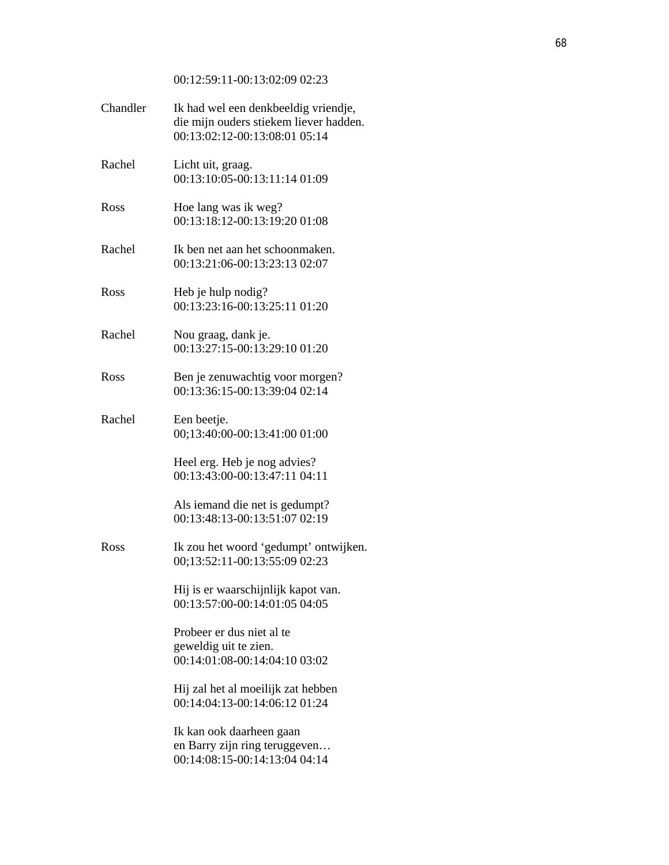00:12:59:11-00:13:02:09 02:23

| Chandler | Ik had wel een denkbeeldig vriendje,<br>die mijn ouders stiekem liever hadden.<br>00:13:02:12-00:13:08:01 05:14 |
|----------|-----------------------------------------------------------------------------------------------------------------|
| Rachel   | Licht uit, graag.<br>00:13:10:05-00:13:11:14 01:09                                                              |
| Ross     | Hoe lang was ik weg?<br>00:13:18:12-00:13:19:20 01:08                                                           |
| Rachel   | Ik ben net aan het schoonmaken.<br>00:13:21:06-00:13:23:13 02:07                                                |
| Ross     | Heb je hulp nodig?<br>00:13:23:16-00:13:25:11 01:20                                                             |
| Rachel   | Nou graag, dank je.<br>00:13:27:15-00:13:29:10 01:20                                                            |
| Ross     | Ben je zenuwachtig voor morgen?<br>00:13:36:15-00:13:39:04 02:14                                                |
| Rachel   | Een beetje.<br>00;13:40:00-00:13:41:00 01:00                                                                    |
|          | Heel erg. Heb je nog advies?<br>00:13:43:00-00:13:47:11 04:11                                                   |
|          | Als iemand die net is gedumpt?<br>00:13:48:13-00:13:51:07 02:19                                                 |
| Ross     | Ik zou het woord 'gedumpt' ontwijken.<br>00;13:52:11-00:13:55:09 02:23                                          |
|          | Hij is er waarschijnlijk kapot van.<br>00:13:57:00-00:14:01:05 04:05                                            |
|          | Probeer er dus niet al te<br>geweldig uit te zien.<br>00:14:01:08-00:14:04:10 03:02                             |
|          | Hij zal het al moeilijk zat hebben<br>00:14:04:13-00:14:06:12 01:24                                             |
|          | Ik kan ook daarheen gaan<br>en Barry zijn ring teruggeven<br>00:14:08:15-00:14:13:04 04:14                      |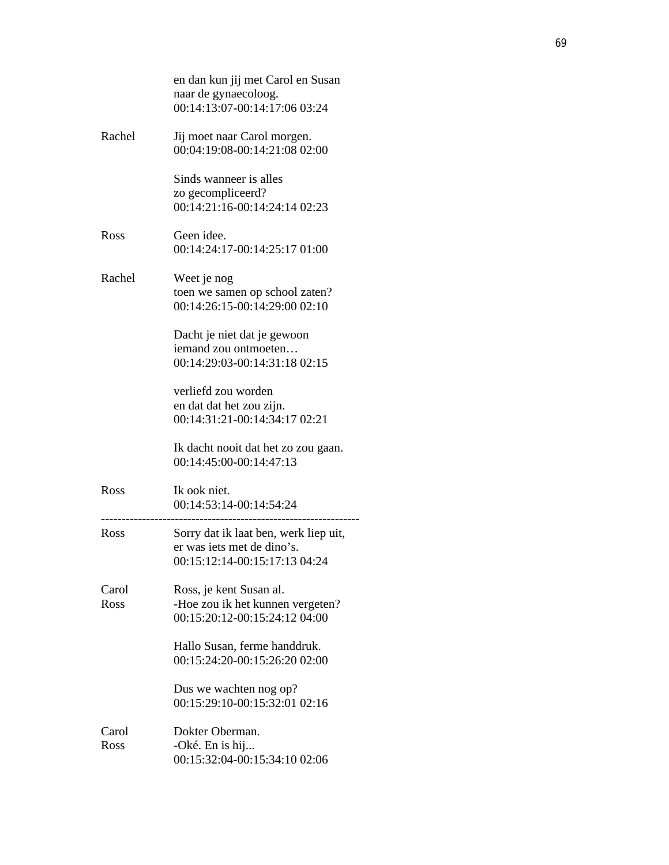|               | en dan kun jij met Carol en Susan<br>naar de gynaecoloog.<br>00:14:13:07-00:14:17:06 03:24           |
|---------------|------------------------------------------------------------------------------------------------------|
| Rachel        | Jij moet naar Carol morgen.<br>00:04:19:08-00:14:21:08 02:00                                         |
|               | Sinds wanneer is alles<br>zo gecompliceerd?<br>00:14:21:16-00:14:24:14 02:23                         |
| Ross          | Geen idee.<br>00:14:24:17-00:14:25:17 01:00                                                          |
| Rachel        | Weet je nog<br>toen we samen op school zaten?<br>00:14:26:15-00:14:29:00 02:10                       |
|               | Dacht je niet dat je gewoon<br>iemand zou ontmoeten<br>00:14:29:03-00:14:31:18 02:15                 |
|               | verliefd zou worden<br>en dat dat het zou zijn.<br>00:14:31:21-00:14:34:17 02:21                     |
|               | Ik dacht nooit dat het zo zou gaan.<br>00:14:45:00-00:14:47:13                                       |
| Ross          | Ik ook niet.<br>00:14:53:14-00:14:54:24                                                              |
| Ross          | Sorry dat ik laat ben, werk liep uit,<br>er was iets met de dino's.<br>00:15:12:14-00:15:17:13 04:24 |
| Carol<br>Ross | Ross, je kent Susan al.<br>-Hoe zou ik het kunnen vergeten?<br>00:15:20:12-00:15:24:12 04:00         |
|               | Hallo Susan, ferme handdruk.<br>00:15:24:20-00:15:26:20 02:00                                        |
|               | Dus we wachten nog op?<br>00:15:29:10-00:15:32:01 02:16                                              |
| Carol<br>Ross | Dokter Oberman.<br>-Oké. En is hij<br>00:15:32:04-00:15:34:10 02:06                                  |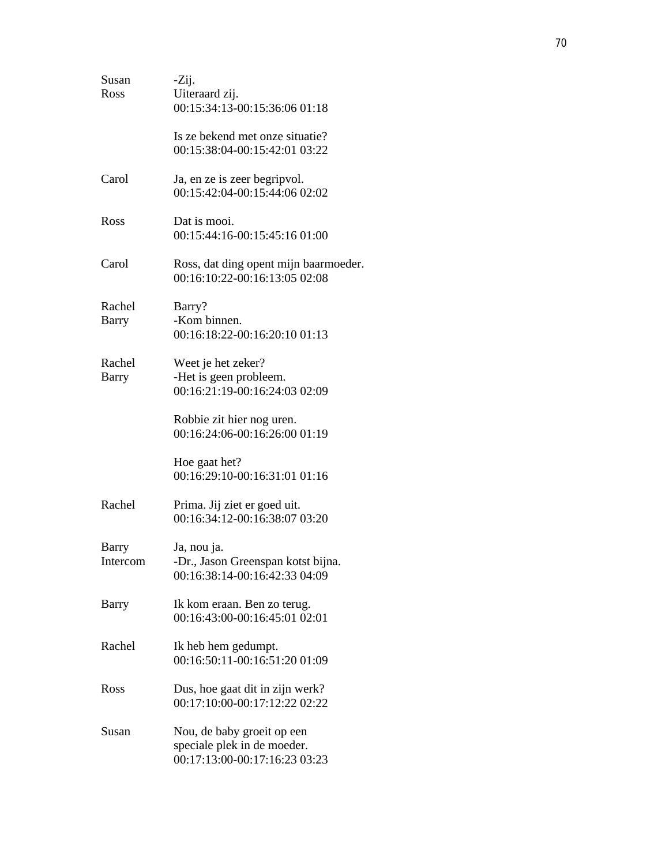| Susan<br>Ross            | -Zij.<br>Uiteraard zij.<br>00:15:34:13-00:15:36:06 01:18                                   |
|--------------------------|--------------------------------------------------------------------------------------------|
|                          | Is ze bekend met onze situatie?<br>00:15:38:04-00:15:42:01 03:22                           |
| Carol                    | Ja, en ze is zeer begripvol.<br>00:15:42:04-00:15:44:06 02:02                              |
| Ross                     | Dat is mooi.<br>00:15:44:16-00:15:45:16 01:00                                              |
| Carol                    | Ross, dat ding opent mijn baarmoeder.<br>00:16:10:22-00:16:13:05 02:08                     |
| Rachel<br><b>Barry</b>   | Barry?<br>-Kom binnen.<br>00:16:18:22-00:16:20:10 01:13                                    |
| Rachel<br><b>Barry</b>   | Weet je het zeker?<br>-Het is geen probleem.<br>00:16:21:19-00:16:24:03 02:09              |
|                          | Robbie zit hier nog uren.<br>00:16:24:06-00:16:26:00 01:19                                 |
|                          | Hoe gaat het?<br>00:16:29:10-00:16:31:01 01:16                                             |
| Rachel                   | Prima. Jij ziet er goed uit.<br>00:16:34:12-00:16:38:07 03:20                              |
| <b>Barry</b><br>Intercom | Ja, nou ja.<br>-Dr., Jason Greenspan kotst bijna.<br>00:16:38:14-00:16:42:33 04:09         |
| Barry                    | Ik kom eraan. Ben zo terug.<br>00:16:43:00-00:16:45:01 02:01                               |
| Rachel                   | Ik heb hem gedumpt.<br>00:16:50:11-00:16:51:20 01:09                                       |
| Ross                     | Dus, hoe gaat dit in zijn werk?<br>00:17:10:00-00:17:12:22 02:22                           |
| Susan                    | Nou, de baby groeit op een<br>speciale plek in de moeder.<br>00:17:13:00-00:17:16:23 03:23 |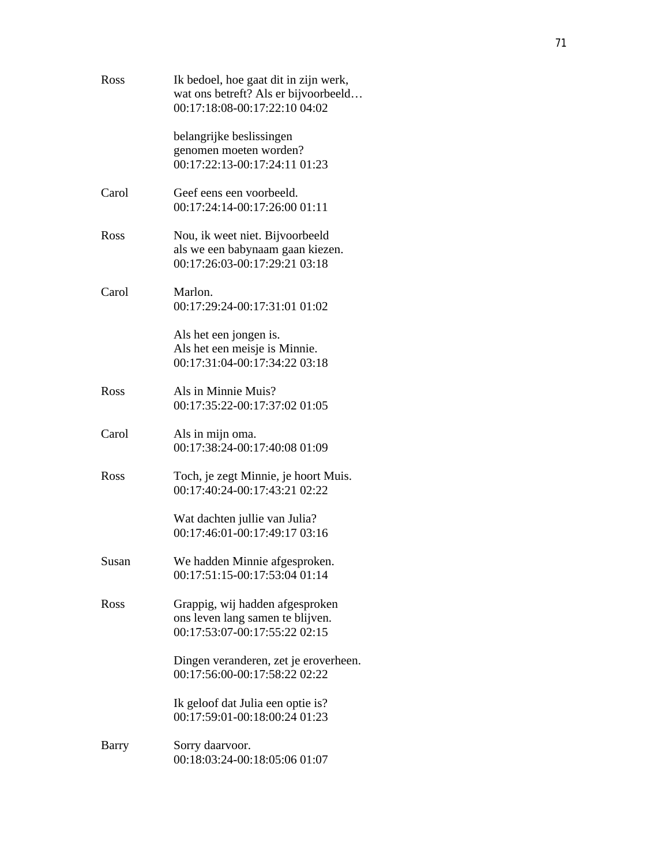| Ross        | Ik bedoel, hoe gaat dit in zijn werk,<br>wat ons betreft? Als er bijvoorbeeld<br>00:17:18:08-00:17:22:10 04:02 |
|-------------|----------------------------------------------------------------------------------------------------------------|
|             | belangrijke beslissingen<br>genomen moeten worden?<br>00:17:22:13-00:17:24:11 01:23                            |
| Carol       | Geef eens een voorbeeld.<br>00:17:24:14-00:17:26:00 01:11                                                      |
| Ross        | Nou, ik weet niet. Bijvoorbeeld<br>als we een babynaam gaan kiezen.<br>00:17:26:03-00:17:29:21 03:18           |
| Carol       | Marlon.<br>00:17:29:24-00:17:31:01 01:02                                                                       |
|             | Als het een jongen is.<br>Als het een meisje is Minnie.<br>00:17:31:04-00:17:34:22 03:18                       |
| Ross        | Als in Minnie Muis?<br>00:17:35:22-00:17:37:02 01:05                                                           |
| Carol       | Als in mijn oma.<br>00:17:38:24-00:17:40:08 01:09                                                              |
| <b>Ross</b> | Toch, je zegt Minnie, je hoort Muis.<br>00:17:40:24-00:17:43:21 02:22                                          |
|             | Wat dachten jullie van Julia?<br>00:17:46:01-00:17:49:17 03:16                                                 |
| Susan       | We hadden Minnie afgesproken.<br>00:17:51:15-00:17:53:04 01:14                                                 |
| Ross        | Grappig, wij hadden afgesproken<br>ons leven lang samen te blijven.<br>00:17:53:07-00:17:55:22 02:15           |
|             | Dingen veranderen, zet je eroverheen.<br>00:17:56:00-00:17:58:22 02:22                                         |
|             | Ik geloof dat Julia een optie is?<br>00:17:59:01-00:18:00:24 01:23                                             |
| Barry       | Sorry daarvoor.<br>00:18:03:24-00:18:05:06 01:07                                                               |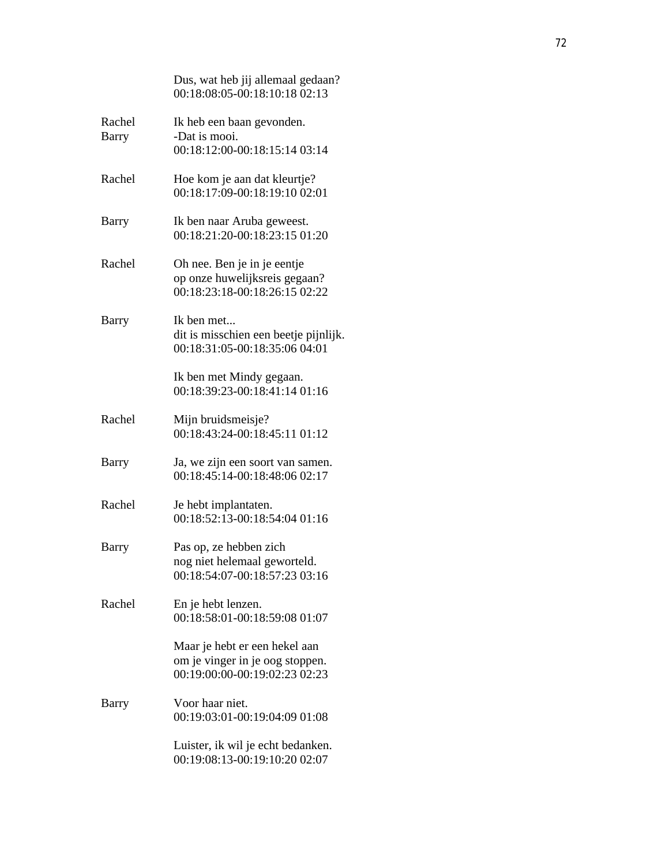|                        | Dus, wat heb jij allemaal gedaan?<br>00:18:08:05-00:18:10:18 02:13                                |
|------------------------|---------------------------------------------------------------------------------------------------|
| Rachel<br><b>Barry</b> | Ik heb een baan gevonden.<br>-Dat is mooi.<br>00:18:12:00-00:18:15:14 03:14                       |
| Rachel                 | Hoe kom je aan dat kleurtje?<br>00:18:17:09-00:18:19:10 02:01                                     |
| <b>Barry</b>           | Ik ben naar Aruba geweest.<br>00:18:21:20-00:18:23:15 01:20                                       |
| Rachel                 | Oh nee. Ben je in je eentje<br>op onze huwelijksreis gegaan?<br>00:18:23:18-00:18:26:15 02:22     |
| <b>Barry</b>           | Ik ben met<br>dit is misschien een beetje pijnlijk.<br>00:18:31:05-00:18:35:06 04:01              |
|                        | Ik ben met Mindy gegaan.<br>00:18:39:23-00:18:41:14 01:16                                         |
| Rachel                 | Mijn bruidsmeisje?<br>00:18:43:24-00:18:45:11 01:12                                               |
| <b>Barry</b>           | Ja, we zijn een soort van samen.<br>00:18:45:14-00:18:48:06 02:17                                 |
| Rachel                 | Je hebt implantaten.<br>00:18:52:13-00:18:54:04 01:16                                             |
| <b>Barry</b>           | Pas op, ze hebben zich<br>nog niet helemaal geworteld.<br>00:18:54:07-00:18:57:23 03:16           |
| Rachel                 | En je hebt lenzen.<br>00:18:58:01-00:18:59:08 01:07                                               |
|                        | Maar je hebt er een hekel aan<br>om je vinger in je oog stoppen.<br>00:19:00:00-00:19:02:23 02:23 |
| Barry                  | Voor haar niet.<br>00:19:03:01-00:19:04:09 01:08                                                  |
|                        | Luister, ik wil je echt bedanken.<br>00:19:08:13-00:19:10:20 02:07                                |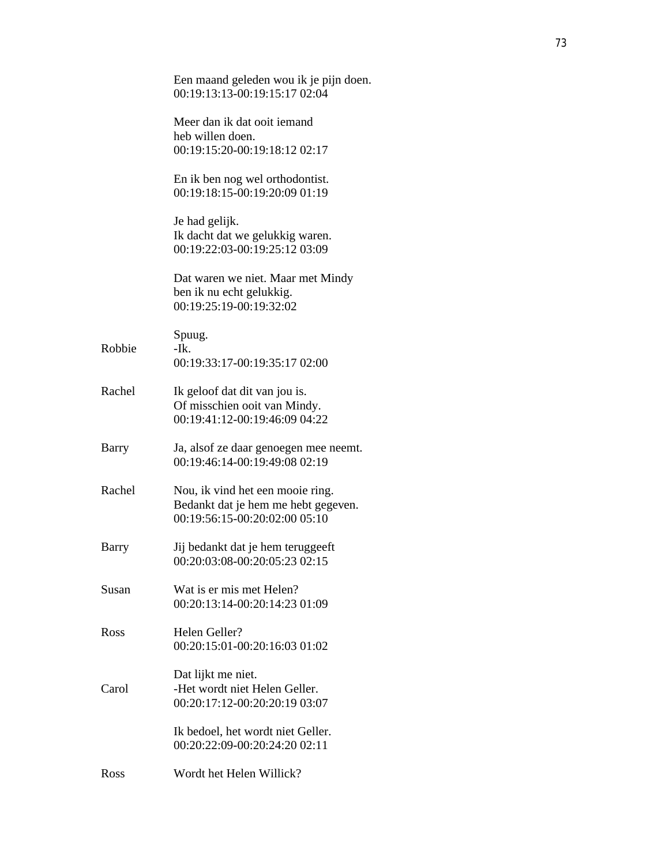|              | Een maand geleden wou ik je pijn doen.<br>00:19:13:13-00:19:15:17 02:04                                  |
|--------------|----------------------------------------------------------------------------------------------------------|
|              | Meer dan ik dat ooit iemand<br>heb willen doen.<br>00:19:15:20-00:19:18:12 02:17                         |
|              | En ik ben nog wel orthodontist.<br>00:19:18:15-00:19:20:09 01:19                                         |
|              | Je had gelijk.<br>Ik dacht dat we gelukkig waren.<br>00:19:22:03-00:19:25:12 03:09                       |
|              | Dat waren we niet. Maar met Mindy<br>ben ik nu echt gelukkig.<br>00:19:25:19-00:19:32:02                 |
| Robbie       | Spuug.<br>-Ik.<br>00:19:33:17-00:19:35:17 02:00                                                          |
| Rachel       | Ik geloof dat dit van jou is.<br>Of misschien ooit van Mindy.<br>00:19:41:12-00:19:46:09 04:22           |
| <b>Barry</b> | Ja, alsof ze daar genoegen mee neemt.<br>00:19:46:14-00:19:49:08 02:19                                   |
| Rachel       | Nou, ik vind het een mooie ring.<br>Bedankt dat je hem me hebt gegeven.<br>00:19:56:15-00:20:02:00 05:10 |
| <b>Barry</b> | Jij bedankt dat je hem teruggeeft<br>00:20:03:08-00:20:05:23 02:15                                       |
| Susan        | Wat is er mis met Helen?<br>00:20:13:14-00:20:14:23 01:09                                                |
| Ross         | Helen Geller?<br>00:20:15:01-00:20:16:03 01:02                                                           |
| Carol        | Dat lijkt me niet.<br>-Het wordt niet Helen Geller.<br>00:20:17:12-00:20:20:19 03:07                     |
|              | Ik bedoel, het wordt niet Geller.<br>00:20:22:09-00:20:24:20 02:11                                       |
| Ross         | Wordt het Helen Willick?                                                                                 |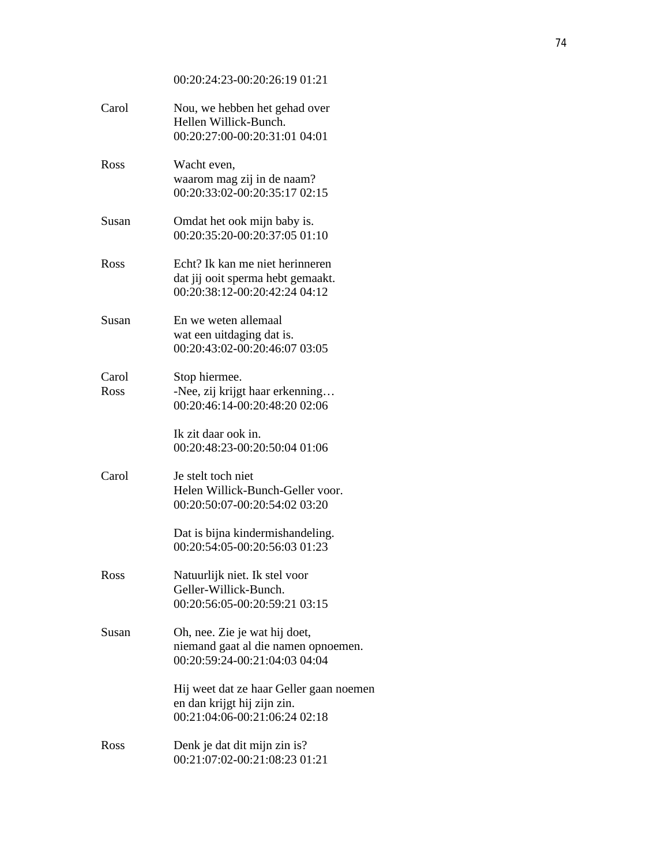00:20:24:23-00:20:26:19 01:21

| Carol                | Nou, we hebben het gehad over<br>Hellen Willick-Bunch.<br>00:20:27:00-00:20:31:01 04:01                 |
|----------------------|---------------------------------------------------------------------------------------------------------|
| Ross                 | Wacht even,<br>waarom mag zij in de naam?<br>00:20:33:02-00:20:35:17 02:15                              |
| Susan                | Omdat het ook mijn baby is.<br>00:20:35:20-00:20:37:05 01:10                                            |
| <b>Ross</b>          | Echt? Ik kan me niet herinneren<br>dat jij ooit sperma hebt gemaakt.<br>00:20:38:12-00:20:42:24 04:12   |
| Susan                | En we weten allemaal<br>wat een uitdaging dat is.<br>00:20:43:02-00:20:46:07 03:05                      |
| Carol<br><b>Ross</b> | Stop hiermee.<br>-Nee, zij krijgt haar erkenning<br>00:20:46:14-00:20:48:20 02:06                       |
|                      | Ik zit daar ook in.<br>00:20:48:23-00:20:50:04 01:06                                                    |
| Carol                | Je stelt toch niet<br>Helen Willick-Bunch-Geller voor.<br>00:20:50:07-00:20:54:02 03:20                 |
|                      | Dat is bijna kindermishandeling.<br>00:20:54:05-00:20:56:03 01:23                                       |
| Ross                 | Natuurlijk niet. Ik stel voor<br>Geller-Willick-Bunch.<br>00:20:56:05-00:20:59:21 03:15                 |
| Susan                | Oh, nee. Zie je wat hij doet,<br>niemand gaat al die namen opnoemen.<br>00:20:59:24-00:21:04:03 04:04   |
|                      | Hij weet dat ze haar Geller gaan noemen<br>en dan krijgt hij zijn zin.<br>00:21:04:06-00:21:06:24 02:18 |
| Ross                 | Denk je dat dit mijn zin is?<br>00:21:07:02-00:21:08:23 01:21                                           |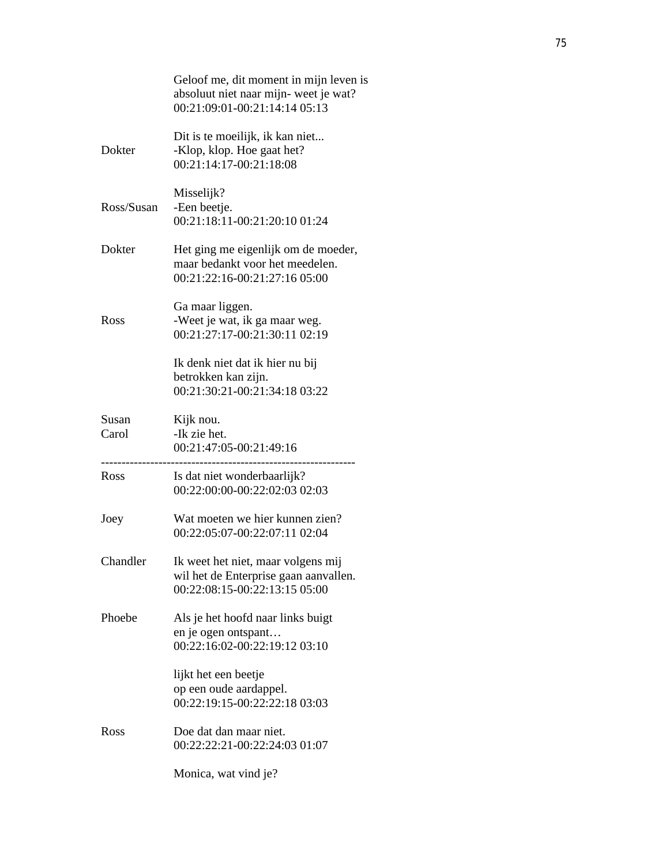|                | Geloof me, dit moment in mijn leven is<br>absoluut niet naar mijn- weet je wat?<br>00:21:09:01-00:21:14:14 05:13 |
|----------------|------------------------------------------------------------------------------------------------------------------|
| Dokter         | Dit is te moeilijk, ik kan niet<br>-Klop, klop. Hoe gaat het?<br>00:21:14:17-00:21:18:08                         |
| Ross/Susan     | Misselijk?<br>-Een beetje.<br>00:21:18:11-00:21:20:10 01:24                                                      |
| Dokter         | Het ging me eigenlijk om de moeder,<br>maar bedankt voor het meedelen.<br>00:21:22:16-00:21:27:16 05:00          |
| <b>Ross</b>    | Ga maar liggen.<br>-Weet je wat, ik ga maar weg.<br>00:21:27:17-00:21:30:11 02:19                                |
|                | Ik denk niet dat ik hier nu bij<br>betrokken kan zijn.<br>00:21:30:21-00:21:34:18 03:22                          |
| Susan<br>Carol | Kijk nou.<br>-Ik zie het.<br>00:21:47:05-00:21:49:16                                                             |
| Ross           | Is dat niet wonderbaarlijk?<br>00:22:00:00-00:22:02:03 02:03                                                     |
| Joey           | Wat moeten we hier kunnen zien?<br>00:22:05:07-00:22:07:11 02:04                                                 |
| Chandler       | Ik weet het niet, maar volgens mij<br>wil het de Enterprise gaan aanvallen.<br>00:22:08:15-00:22:13:15 05:00     |
| Phoebe         | Als je het hoofd naar links buigt<br>en je ogen ontspant<br>00:22:16:02-00:22:19:12 03:10                        |
|                | lijkt het een beetje<br>op een oude aardappel.<br>00:22:19:15-00:22:22:18 03:03                                  |
| Ross           | Doe dat dan maar niet.<br>00:22:22:21-00:22:24:03 01:07                                                          |
|                | Monica, wat vind je?                                                                                             |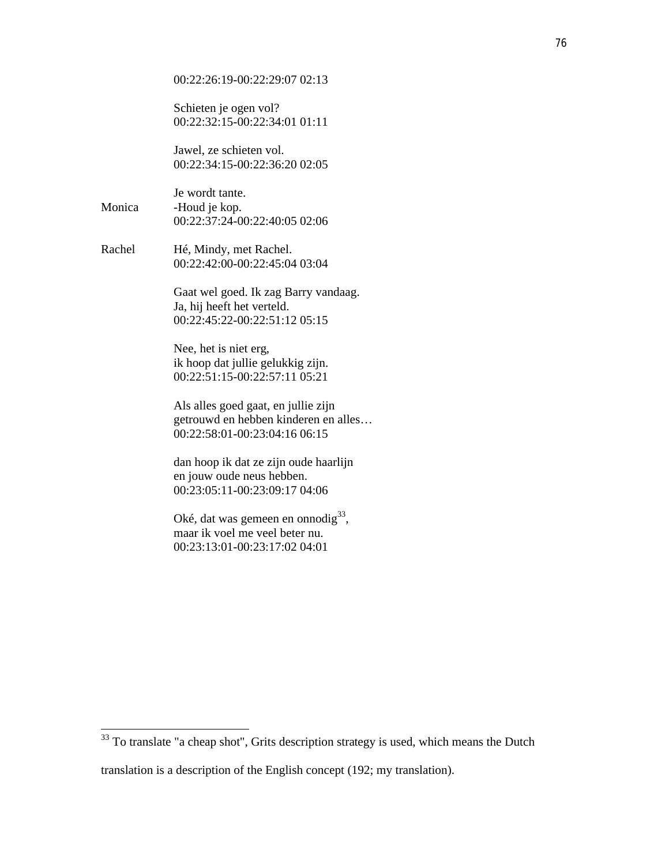### 00:22:26:19-00:22:29:07 02:13

Schieten je ogen vol? 00:22:32:15-00:22:34:01 01:11

Jawel, ze schieten vol. 00:22:34:15-00:22:36:20 02:05

Je wordt tante. Monica -Houd je kop. 00:22:37:24-00:22:40:05 02:06

Rachel Hé, Mindy, met Rachel. 00:22:42:00-00:22:45:04 03:04

> Gaat wel goed. Ik zag Barry vandaag. Ja, hij heeft het verteld. 00:22:45:22-00:22:51:12 05:15

Nee, het is niet erg, ik hoop dat jullie gelukkig zijn. 00:22:51:15-00:22:57:11 05:21

Als alles goed gaat, en jullie zijn getrouwd en hebben kinderen en alles… 00:22:58:01-00:23:04:16 06:15

dan hoop ik dat ze zijn oude haarlijn en jouw oude neus hebben. 00:23:05:11-00:23:09:17 04:06

Oké, dat was gemeen en onnodig $^{33}$ , maar ik voel me veel beter nu. 00:23:13:01-00:23:17:02 04:01

1

 $33$  To translate "a cheap shot", Grits description strategy is used, which means the Dutch translation is a description of the English concept (192; my translation).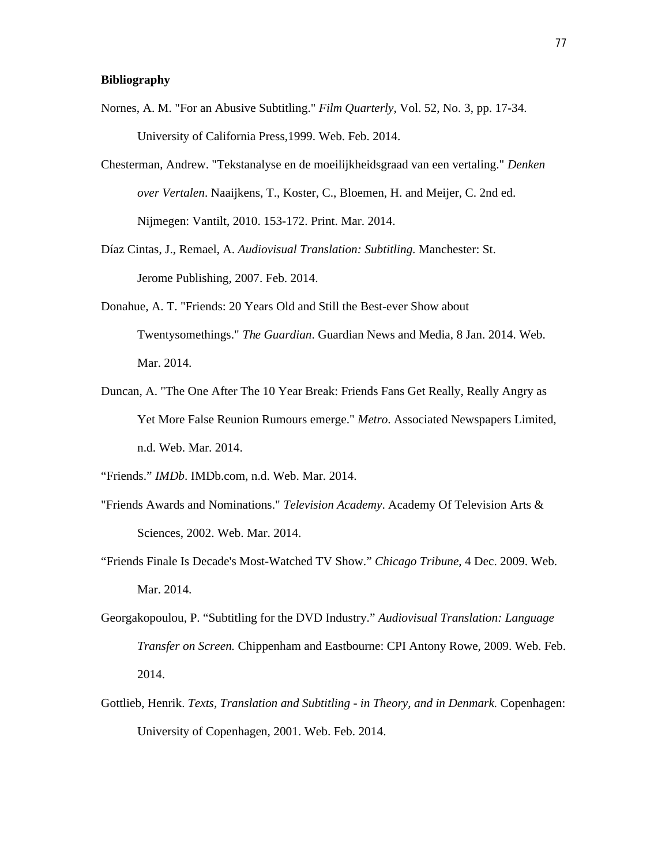#### **Bibliography**

- Nornes, A. M. "For an Abusive Subtitling." *Film Quarterly*, Vol. 52, No. 3, pp. 17-34. University of California Press,1999. Web. Feb. 2014.
- Chesterman, Andrew. "Tekstanalyse en de moeilijkheidsgraad van een vertaling." *Denken over Vertalen*. Naaijkens, T., Koster, C., Bloemen, H. and Meijer, C. 2nd ed. Nijmegen: Vantilt, 2010. 153-172. Print. Mar. 2014.
- Díaz Cintas, J., Remael, A. *Audiovisual Translation: Subtitling*. Manchester: St. Jerome Publishing, 2007. Feb. 2014.
- Donahue, A. T. "Friends: 20 Years Old and Still the Best-ever Show about Twentysomethings." *The Guardian*. Guardian News and Media, 8 Jan. 2014. Web. Mar. 2014.
- Duncan, A. "The One After The 10 Year Break: Friends Fans Get Really, Really Angry as Yet More False Reunion Rumours emerge." *Metro*. Associated Newspapers Limited, n.d. Web. Mar. 2014.
- "Friends." *IMDb*. IMDb.com, n.d. Web. Mar. 2014.
- "Friends Awards and Nominations." *Television Academy*. Academy Of Television Arts & Sciences, 2002. Web. Mar. 2014.
- "Friends Finale Is Decade's Most-Watched TV Show." *Chicago Tribune*, 4 Dec. 2009. Web. Mar. 2014.
- Georgakopoulou, P. "Subtitling for the DVD Industry." *Audiovisual Translation: Language Transfer on Screen.* Chippenham and Eastbourne: CPI Antony Rowe, 2009. Web. Feb. 2014.
- Gottlieb, Henrik. *Texts, Translation and Subtitling in Theory, and in Denmark.* Copenhagen: University of Copenhagen, 2001. Web. Feb. 2014.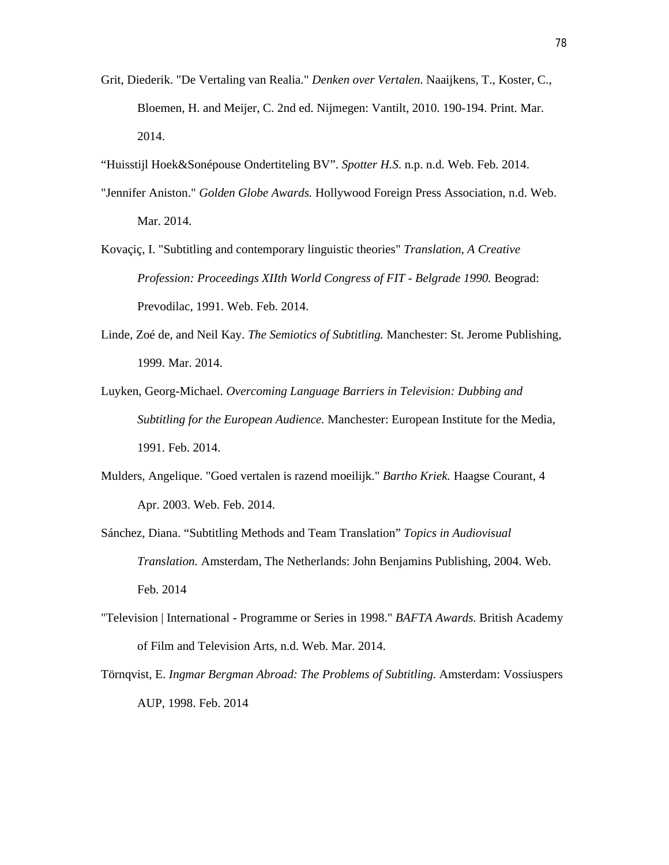- Grit, Diederik. "De Vertaling van Realia." *Denken over Vertalen*. Naaijkens, T., Koster, C., Bloemen, H. and Meijer, C. 2nd ed. Nijmegen: Vantilt, 2010. 190-194. Print. Mar. 2014.
- "Huisstijl Hoek&Sonépouse Ondertiteling BV". *Spotter H.S*. n.p. n.d. Web. Feb. 2014.
- "Jennifer Aniston." *Golden Globe Awards.* Hollywood Foreign Press Association, n.d. Web. Mar. 2014.
- Kovaçiç, I. "Subtitling and contemporary linguistic theories" *Translation, A Creative Profession: Proceedings XIIth World Congress of FIT - Belgrade 1990.* Beograd: Prevodilac, 1991. Web. Feb. 2014.
- Linde, Zoé de, and Neil Kay. *The Semiotics of Subtitling.* Manchester: St. Jerome Publishing, 1999. Mar. 2014.
- Luyken, Georg-Michael. *Overcoming Language Barriers in Television: Dubbing and Subtitling for the European Audience.* Manchester: European Institute for the Media, 1991. Feb. 2014.
- Mulders, Angelique. "Goed vertalen is razend moeilijk." *Bartho Kriek.* Haagse Courant, 4 Apr. 2003. Web. Feb. 2014.
- Sánchez, Diana. "Subtitling Methods and Team Translation" *Topics in Audiovisual Translation.* Amsterdam, The Netherlands: John Benjamins Publishing, 2004. Web. Feb. 2014
- "Television | International Programme or Series in 1998." *BAFTA Awards.* British Academy of Film and Television Arts, n.d. Web. Mar. 2014.
- Törnqvist, E. *Ingmar Bergman Abroad: The Problems of Subtitling.* Amsterdam: Vossiuspers AUP, 1998. Feb. 2014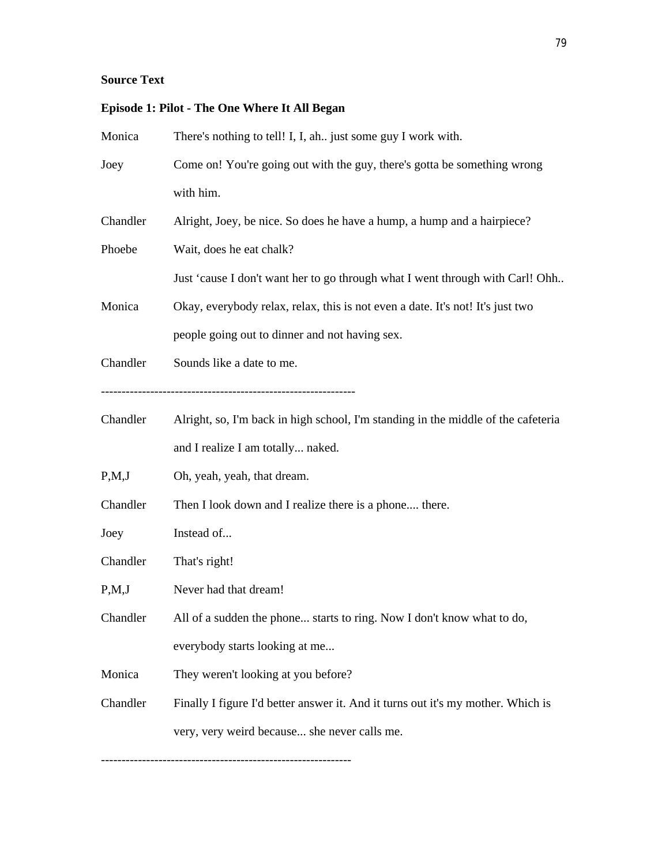### **Source Text**

# **Episode 1: Pilot - The One Where It All Began**

| Monica   | There's nothing to tell! I, I, ah., just some guy I work with.                    |
|----------|-----------------------------------------------------------------------------------|
| Joey     | Come on! You're going out with the guy, there's gotta be something wrong          |
|          | with him.                                                                         |
| Chandler | Alright, Joey, be nice. So does he have a hump, a hump and a hairpiece?           |
| Phoebe   | Wait, does he eat chalk?                                                          |
|          | Just 'cause I don't want her to go through what I went through with Carl! Ohh     |
| Monica   | Okay, everybody relax, relax, this is not even a date. It's not! It's just two    |
|          | people going out to dinner and not having sex.                                    |
| Chandler | Sounds like a date to me.                                                         |
|          |                                                                                   |
| Chandler | Alright, so, I'm back in high school, I'm standing in the middle of the cafeteria |
|          | and I realize I am totally naked.                                                 |
| P,M,J    | Oh, yeah, yeah, that dream.                                                       |
| Chandler | Then I look down and I realize there is a phone there.                            |
| Joey     | Instead of                                                                        |
| Chandler | That's right!                                                                     |
| P,M,J    | Never had that dream!                                                             |
| Chandler | All of a sudden the phone starts to ring. Now I don't know what to do,            |
|          | everybody starts looking at me                                                    |
| Monica   | They weren't looking at you before?                                               |
| Chandler | Finally I figure I'd better answer it. And it turns out it's my mother. Which is  |
|          | very, very weird because she never calls me.                                      |
|          |                                                                                   |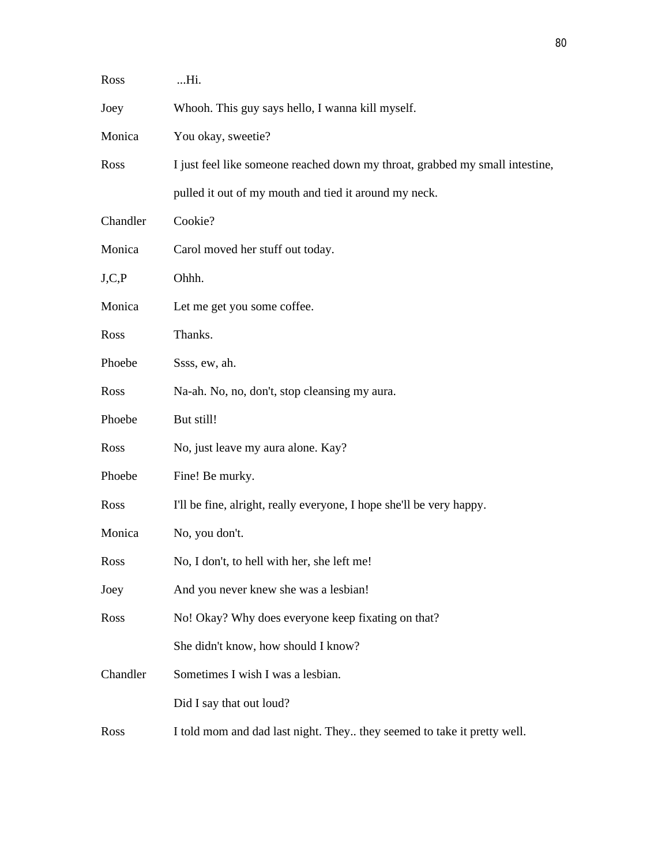| Ross     | $$ Hi.                                                                       |
|----------|------------------------------------------------------------------------------|
| Joey     | Whooh. This guy says hello, I wanna kill myself.                             |
| Monica   | You okay, sweetie?                                                           |
| Ross     | I just feel like someone reached down my throat, grabbed my small intestine, |
|          | pulled it out of my mouth and tied it around my neck.                        |
| Chandler | Cookie?                                                                      |
| Monica   | Carol moved her stuff out today.                                             |
| J, C, P  | Ohhh.                                                                        |
| Monica   | Let me get you some coffee.                                                  |
| Ross     | Thanks.                                                                      |
| Phoebe   | Ssss, ew, ah.                                                                |
| Ross     | Na-ah. No, no, don't, stop cleansing my aura.                                |
| Phoebe   | But still!                                                                   |
| Ross     | No, just leave my aura alone. Kay?                                           |
| Phoebe   | Fine! Be murky.                                                              |
| Ross     | I'll be fine, alright, really everyone, I hope she'll be very happy.         |
| Monica   | No, you don't.                                                               |
| Ross     | No, I don't, to hell with her, she left me!                                  |
| Joey     | And you never knew she was a lesbian!                                        |
| Ross     | No! Okay? Why does everyone keep fixating on that?                           |
|          | She didn't know, how should I know?                                          |
| Chandler | Sometimes I wish I was a lesbian.                                            |
|          | Did I say that out loud?                                                     |
| Ross     | I told mom and dad last night. They they seemed to take it pretty well.      |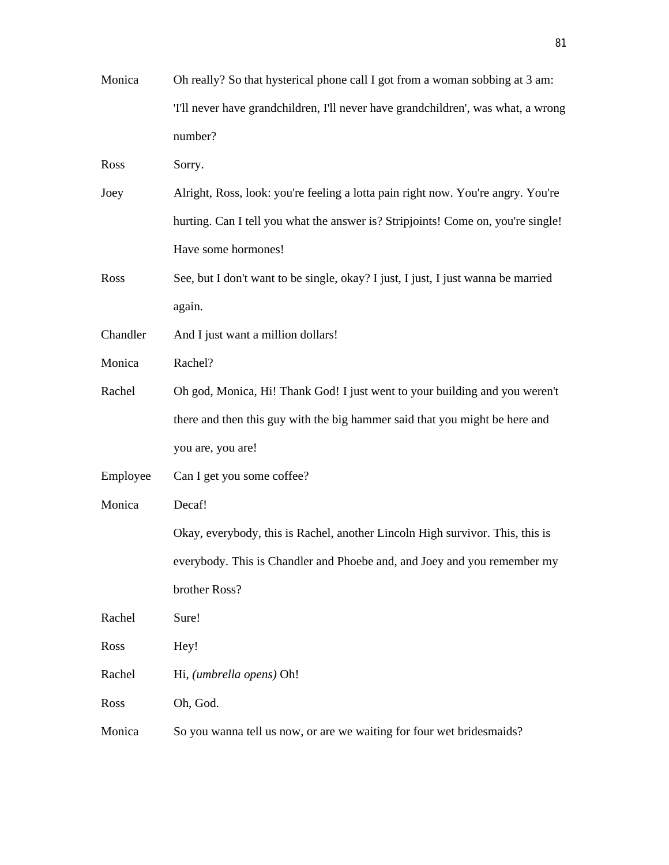| Monica   | Oh really? So that hysterical phone call I got from a woman sobbing at 3 am:      |
|----------|-----------------------------------------------------------------------------------|
|          | T'll never have grandchildren, I'll never have grandchildren', was what, a wrong  |
|          | number?                                                                           |
| Ross     | Sorry.                                                                            |
| Joey     | Alright, Ross, look: you're feeling a lotta pain right now. You're angry. You're  |
|          | hurting. Can I tell you what the answer is? Stripjoints! Come on, you're single!  |
|          | Have some hormones!                                                               |
| Ross     | See, but I don't want to be single, okay? I just, I just, I just wanna be married |
|          | again.                                                                            |
| Chandler | And I just want a million dollars!                                                |
| Monica   | Rachel?                                                                           |
| Rachel   | Oh god, Monica, Hi! Thank God! I just went to your building and you weren't       |
|          | there and then this guy with the big hammer said that you might be here and       |
|          | you are, you are!                                                                 |
| Employee | Can I get you some coffee?                                                        |
| Monica   | Decaf!                                                                            |
|          | Okay, everybody, this is Rachel, another Lincoln High survivor. This, this is     |
|          | everybody. This is Chandler and Phoebe and, and Joey and you remember my          |
|          | brother Ross?                                                                     |
| Rachel   | Sure!                                                                             |
| Ross     | Hey!                                                                              |
| Rachel   | Hi, (umbrella opens) Oh!                                                          |
| Ross     | Oh, God.                                                                          |
| Monica   | So you wanna tell us now, or are we waiting for four wet bridesmaids?             |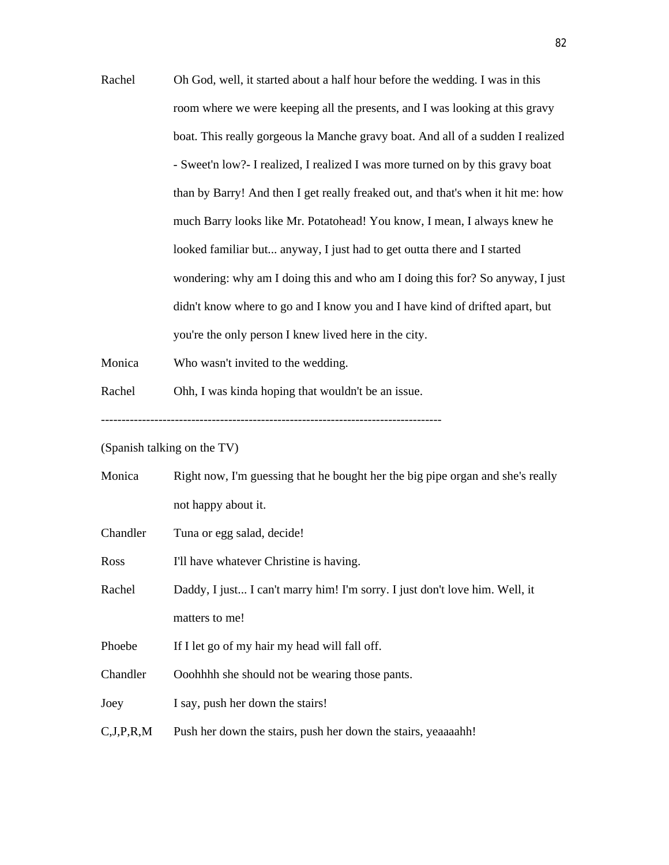Rachel Oh God, well, it started about a half hour before the wedding. I was in this room where we were keeping all the presents, and I was looking at this gravy boat. This really gorgeous la Manche gravy boat. And all of a sudden I realized - Sweet'n low?- I realized, I realized I was more turned on by this gravy boat than by Barry! And then I get really freaked out, and that's when it hit me: how much Barry looks like Mr. Potatohead! You know, I mean, I always knew he looked familiar but... anyway, I just had to get outta there and I started wondering: why am I doing this and who am I doing this for? So anyway, I just didn't know where to go and I know you and I have kind of drifted apart, but you're the only person I knew lived here in the city.

Monica Who wasn't invited to the wedding.

Rachel Ohh, I was kinda hoping that wouldn't be an issue.

-----------------------------------------------------------------------------------

(Spanish talking on the TV)

| Monica | Right now, I'm guessing that he bought her the big pipe organ and she's really |
|--------|--------------------------------------------------------------------------------|
|        | not happy about it.                                                            |

Chandler Tuna or egg salad, decide!

Ross I'll have whatever Christine is having.

Rachel Daddy, I just... I can't marry him! I'm sorry. I just don't love him. Well, it matters to me!

Phoebe If I let go of my hair my head will fall off.

Chandler Ooohhhh she should not be wearing those pants.

- Joey I say, push her down the stairs!
- C,J,P,R,M Push her down the stairs, push her down the stairs, yeaaaahh!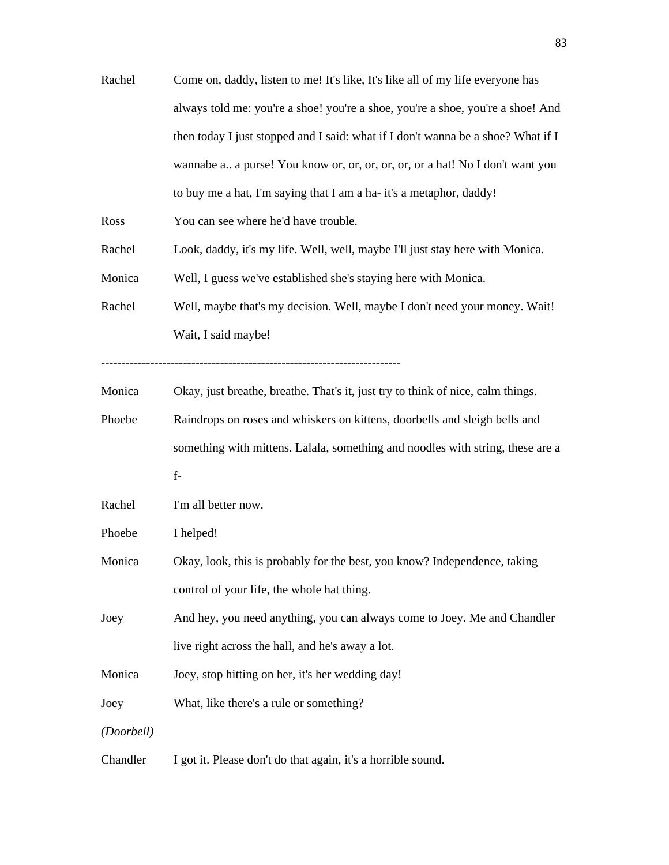| Rachel     | Come on, daddy, listen to me! It's like, It's like all of my life everyone has   |  |  |
|------------|----------------------------------------------------------------------------------|--|--|
|            | always told me: you're a shoe! you're a shoe, you're a shoe, you're a shoe! And  |  |  |
|            | then today I just stopped and I said: what if I don't wanna be a shoe? What if I |  |  |
|            | wannabe a a purse! You know or, or, or, or, or, or a hat! No I don't want you    |  |  |
|            | to buy me a hat, I'm saying that I am a ha- it's a metaphor, daddy!              |  |  |
| Ross       | You can see where he'd have trouble.                                             |  |  |
| Rachel     | Look, daddy, it's my life. Well, well, maybe I'll just stay here with Monica.    |  |  |
| Monica     | Well, I guess we've established she's staying here with Monica.                  |  |  |
| Rachel     | Well, maybe that's my decision. Well, maybe I don't need your money. Wait!       |  |  |
|            | Wait, I said maybe!                                                              |  |  |
| Monica     | Okay, just breathe, breathe. That's it, just try to think of nice, calm things.  |  |  |
| Phoebe     | Raindrops on roses and whiskers on kittens, doorbells and sleigh bells and       |  |  |
|            |                                                                                  |  |  |
|            | something with mittens. Lalala, something and noodles with string, these are a   |  |  |
|            | $f-$                                                                             |  |  |
| Rachel     | I'm all better now.                                                              |  |  |
| Phoebe     | I helped!                                                                        |  |  |
| Monica     | Okay, look, this is probably for the best, you know? Independence, taking        |  |  |
|            | control of your life, the whole hat thing.                                       |  |  |
| Joey       | And hey, you need anything, you can always come to Joey. Me and Chandler         |  |  |
|            | live right across the hall, and he's away a lot.                                 |  |  |
| Monica     | Joey, stop hitting on her, it's her wedding day!                                 |  |  |
| Joey       | What, like there's a rule or something?                                          |  |  |
| (Doorbell) |                                                                                  |  |  |
| Chandler   | I got it. Please don't do that again, it's a horrible sound.                     |  |  |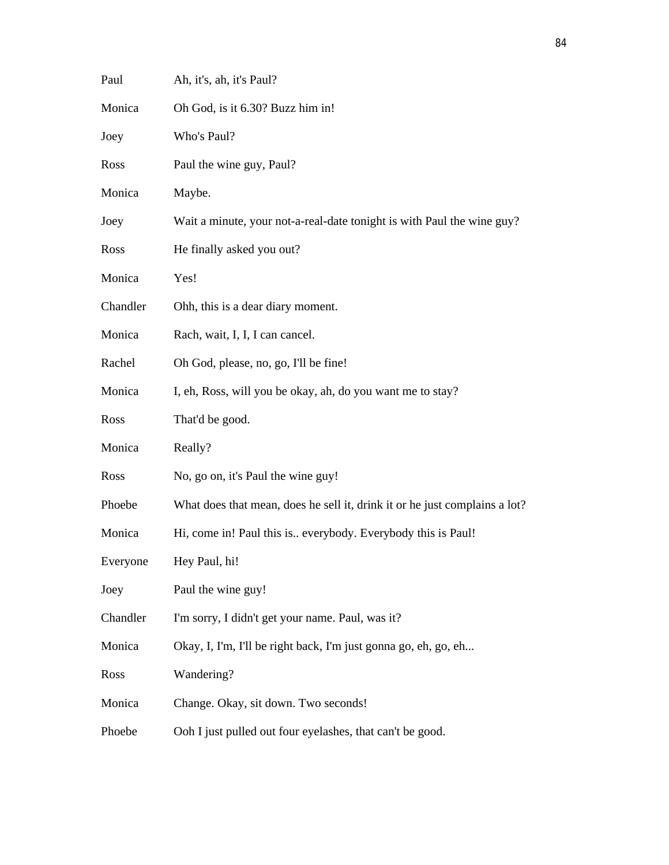| Paul     | Ah, it's, ah, it's Paul?                                                   |
|----------|----------------------------------------------------------------------------|
| Monica   | Oh God, is it 6.30? Buzz him in!                                           |
| Joey     | Who's Paul?                                                                |
| Ross     | Paul the wine guy, Paul?                                                   |
| Monica   | Maybe.                                                                     |
| Joey     | Wait a minute, your not-a-real-date tonight is with Paul the wine guy?     |
| Ross     | He finally asked you out?                                                  |
| Monica   | Yes!                                                                       |
| Chandler | Ohh, this is a dear diary moment.                                          |
| Monica   | Rach, wait, I, I, I can cancel.                                            |
| Rachel   | Oh God, please, no, go, I'll be fine!                                      |
| Monica   | I, eh, Ross, will you be okay, ah, do you want me to stay?                 |
| Ross     | That'd be good.                                                            |
| Monica   | Really?                                                                    |
| Ross     | No, go on, it's Paul the wine guy!                                         |
| Phoebe   | What does that mean, does he sell it, drink it or he just complains a lot? |
| Monica   | Hi, come in! Paul this is everybody. Everybody this is Paul!               |
| Everyone | Hey Paul, hi!                                                              |
| Joey     | Paul the wine guy!                                                         |
| Chandler | I'm sorry, I didn't get your name. Paul, was it?                           |
| Monica   | Okay, I, I'm, I'll be right back, I'm just gonna go, eh, go, eh            |
| Ross     | Wandering?                                                                 |
| Monica   | Change. Okay, sit down. Two seconds!                                       |
| Phoebe   | Ooh I just pulled out four eyelashes, that can't be good.                  |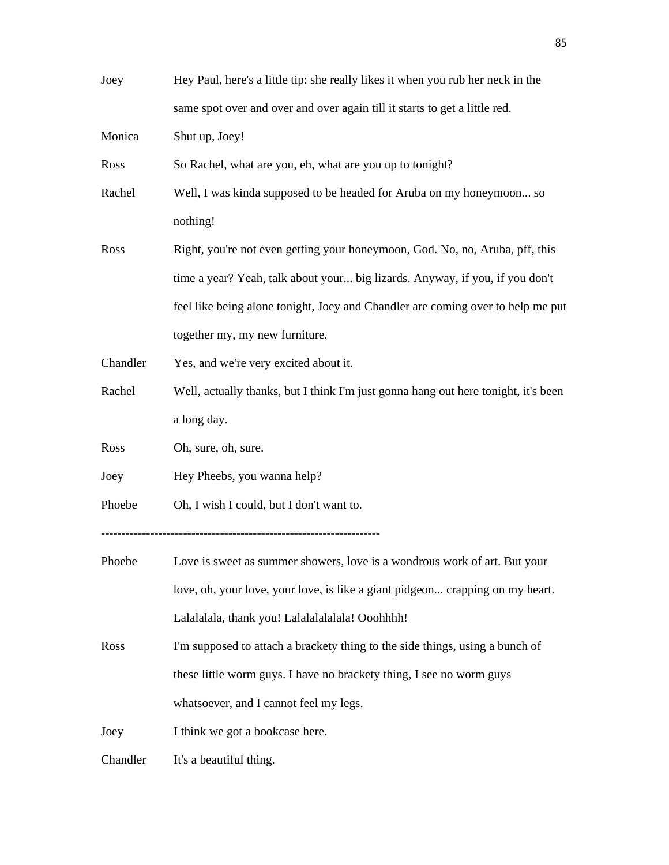|             | same spot over and over and over again till it starts to get a little red.         |
|-------------|------------------------------------------------------------------------------------|
| Monica      | Shut up, Joey!                                                                     |
| Ross        | So Rachel, what are you, eh, what are you up to tonight?                           |
| Rachel      | Well, I was kinda supposed to be headed for Aruba on my honeymoon so               |
|             | nothing!                                                                           |
| Ross        | Right, you're not even getting your honeymoon, God. No, no, Aruba, pff, this       |
|             | time a year? Yeah, talk about your big lizards. Anyway, if you, if you don't       |
|             | feel like being alone tonight, Joey and Chandler are coming over to help me put    |
|             | together my, my new furniture.                                                     |
| Chandler    | Yes, and we're very excited about it.                                              |
| Rachel      | Well, actually thanks, but I think I'm just gonna hang out here tonight, it's been |
|             | a long day.                                                                        |
|             |                                                                                    |
| Ross        | Oh, sure, oh, sure.                                                                |
| Joey        | Hey Pheebs, you wanna help?                                                        |
| Phoebe      | Oh, I wish I could, but I don't want to.                                           |
| Phoebe      | Love is sweet as summer showers, love is a wondrous work of art. But your          |
|             | love, oh, your love, your love, is like a giant pidgeon crapping on my heart.      |
|             | Lalalalala, thank you! Lalalalalalala! Ooohhhh!                                    |
| <b>Ross</b> | I'm supposed to attach a brackety thing to the side things, using a bunch of       |
|             | these little worm guys. I have no brackety thing, I see no worm guys               |
|             | whatsoever, and I cannot feel my legs.                                             |
| Joey        | I think we got a bookcase here.                                                    |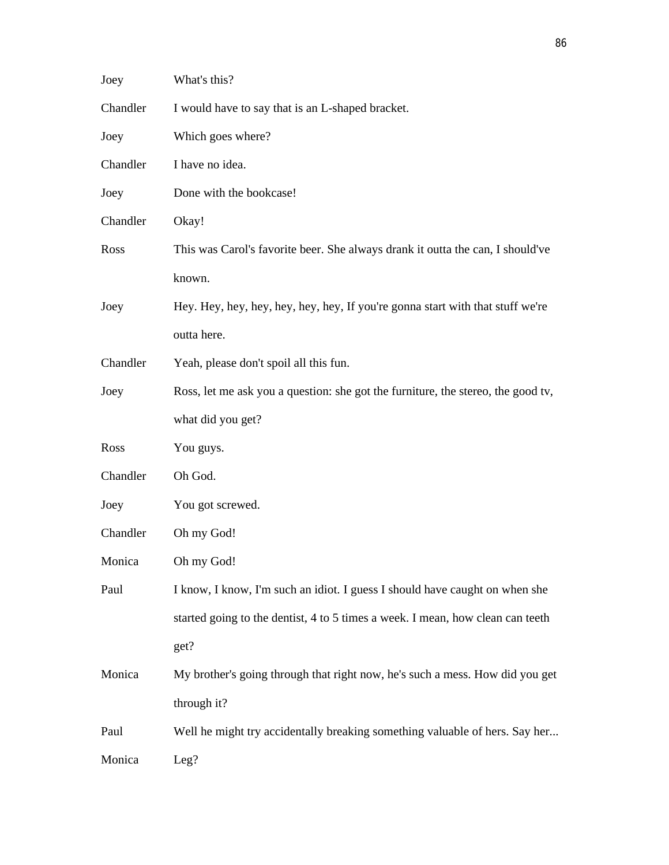| Joey     | What's this?                                                                     |
|----------|----------------------------------------------------------------------------------|
| Chandler | I would have to say that is an L-shaped bracket.                                 |
| Joey     | Which goes where?                                                                |
| Chandler | I have no idea.                                                                  |
| Joey     | Done with the bookcase!                                                          |
| Chandler | Okay!                                                                            |
| Ross     | This was Carol's favorite beer. She always drank it outta the can, I should've   |
|          | known.                                                                           |
| Joey     | Hey. Hey, hey, hey, hey, hey, If you're gonna start with that stuff we're        |
|          | outta here.                                                                      |
| Chandler | Yeah, please don't spoil all this fun.                                           |
| Joey     | Ross, let me ask you a question: she got the furniture, the stereo, the good tv, |
|          | what did you get?                                                                |
| Ross     | You guys.                                                                        |
| Chandler | Oh God.                                                                          |
| Joey     | You got screwed.                                                                 |
| Chandler | Oh my God!                                                                       |
| Monica   | Oh my God!                                                                       |
| Paul     | I know, I know, I'm such an idiot. I guess I should have caught on when she      |
|          | started going to the dentist, 4 to 5 times a week. I mean, how clean can teeth   |
|          | get?                                                                             |
| Monica   | My brother's going through that right now, he's such a mess. How did you get     |
|          | through it?                                                                      |
| Paul     | Well he might try accidentally breaking something valuable of hers. Say her      |
| Monica   | Leg?                                                                             |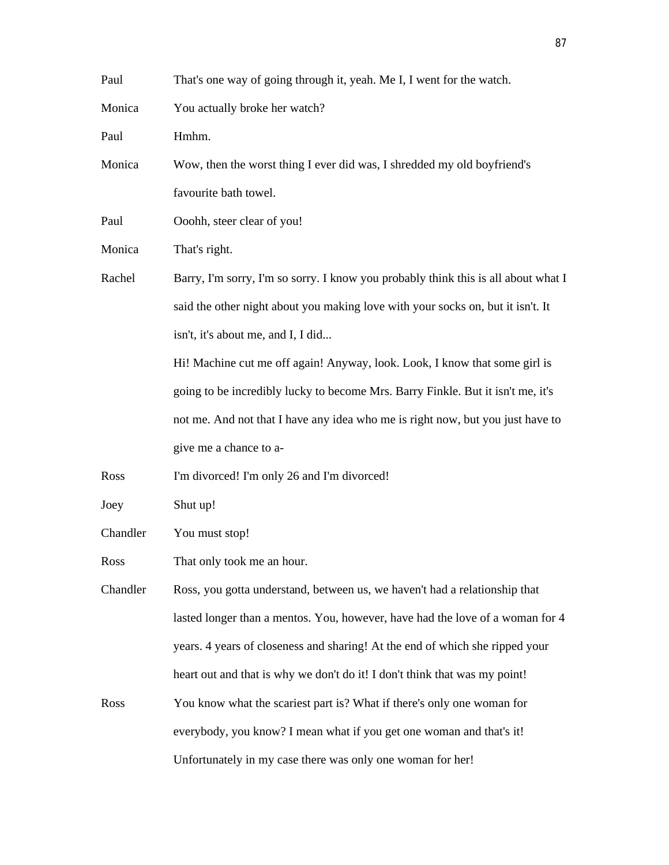| Paul     | That's one way of going through it, yeah. Me I, I went for the watch.              |
|----------|------------------------------------------------------------------------------------|
| Monica   | You actually broke her watch?                                                      |
| Paul     | Hmhm.                                                                              |
| Monica   | Wow, then the worst thing I ever did was, I shredded my old boyfriend's            |
|          | favourite bath towel.                                                              |
| Paul     | Ooohh, steer clear of you!                                                         |
| Monica   | That's right.                                                                      |
| Rachel   | Barry, I'm sorry, I'm so sorry. I know you probably think this is all about what I |
|          | said the other night about you making love with your socks on, but it isn't. It    |
|          | isn't, it's about me, and I, I did                                                 |
|          | Hi! Machine cut me off again! Anyway, look. Look, I know that some girl is         |
|          | going to be incredibly lucky to become Mrs. Barry Finkle. But it isn't me, it's    |
|          | not me. And not that I have any idea who me is right now, but you just have to     |
|          | give me a chance to a-                                                             |
| Ross     | I'm divorced! I'm only 26 and I'm divorced!                                        |
| Joey     | Shut up!                                                                           |
| Chandler | You must stop!                                                                     |
| Ross     | That only took me an hour.                                                         |
| Chandler | Ross, you gotta understand, between us, we haven't had a relationship that         |
|          | lasted longer than a mentos. You, however, have had the love of a woman for 4      |
|          | years. 4 years of closeness and sharing! At the end of which she ripped your       |
|          | heart out and that is why we don't do it! I don't think that was my point!         |
| Ross     | You know what the scariest part is? What if there's only one woman for             |
|          | everybody, you know? I mean what if you get one woman and that's it!               |
|          | Unfortunately in my case there was only one woman for her!                         |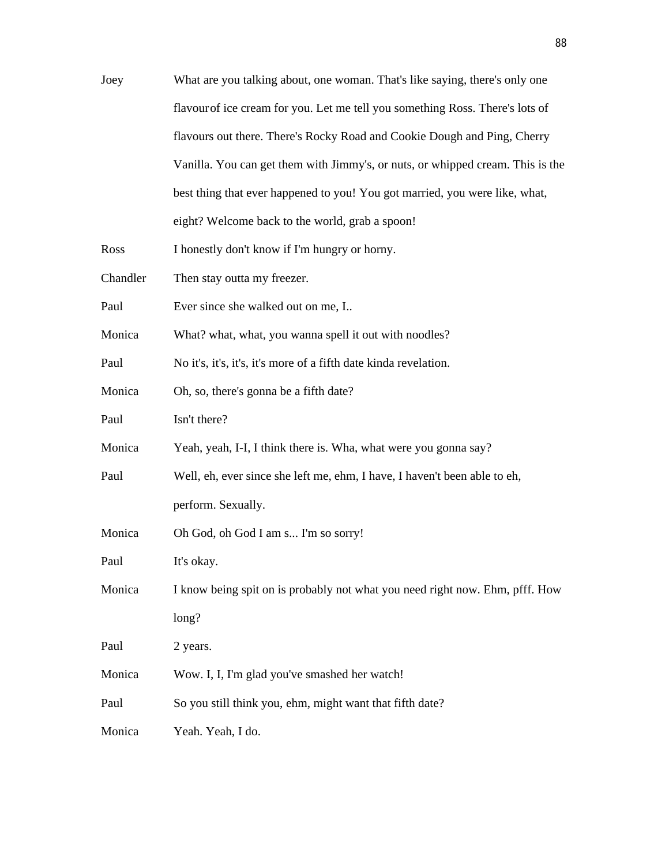| Joey     | What are you talking about, one woman. That's like saying, there's only one    |
|----------|--------------------------------------------------------------------------------|
|          | flavour of ice cream for you. Let me tell you something Ross. There's lots of  |
|          | flavours out there. There's Rocky Road and Cookie Dough and Ping, Cherry       |
|          | Vanilla. You can get them with Jimmy's, or nuts, or whipped cream. This is the |
|          | best thing that ever happened to you! You got married, you were like, what,    |
|          | eight? Welcome back to the world, grab a spoon!                                |
| Ross     | I honestly don't know if I'm hungry or horny.                                  |
| Chandler | Then stay outta my freezer.                                                    |
| Paul     | Ever since she walked out on me, I                                             |
| Monica   | What? what, what, you wanna spell it out with noodles?                         |
| Paul     | No it's, it's, it's, it's more of a fifth date kinda revelation.               |
| Monica   | Oh, so, there's gonna be a fifth date?                                         |
| Paul     | Isn't there?                                                                   |
| Monica   | Yeah, yeah, I-I, I think there is. Wha, what were you gonna say?               |
| Paul     | Well, eh, ever since she left me, ehm, I have, I haven't been able to eh,      |
|          | perform. Sexually.                                                             |
| Monica   | Oh God, oh God I am s I'm so sorry!                                            |
| Paul     | It's okay.                                                                     |
| Monica   | I know being spit on is probably not what you need right now. Ehm, pfff. How   |
|          | long?                                                                          |
| Paul     | 2 years.                                                                       |
| Monica   | Wow. I, I, I'm glad you've smashed her watch!                                  |
| Paul     | So you still think you, ehm, might want that fifth date?                       |
| Monica   | Yeah. Yeah, I do.                                                              |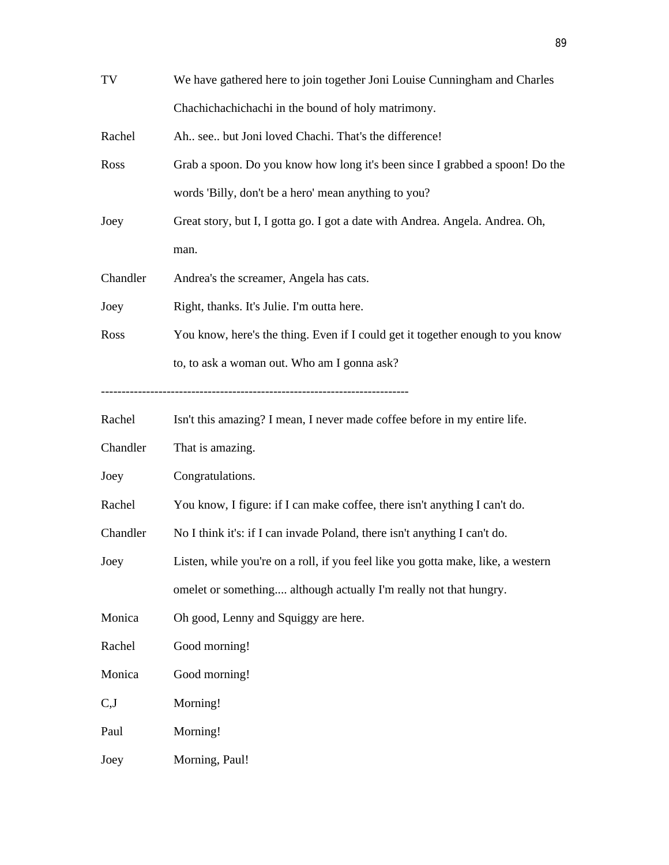| TV       | We have gathered here to join together Joni Louise Cunningham and Charles        |
|----------|----------------------------------------------------------------------------------|
|          | Chachichachichachi in the bound of holy matrimony.                               |
| Rachel   | Ah., see., but Joni loved Chachi. That's the difference!                         |
| Ross     | Grab a spoon. Do you know how long it's been since I grabbed a spoon! Do the     |
|          | words 'Billy, don't be a hero' mean anything to you?                             |
| Joey     | Great story, but I, I gotta go. I got a date with Andrea. Angela. Andrea. Oh,    |
|          | man.                                                                             |
| Chandler | Andrea's the screamer, Angela has cats.                                          |
| Joey     | Right, thanks. It's Julie. I'm outta here.                                       |
| Ross     | You know, here's the thing. Even if I could get it together enough to you know   |
|          | to, to ask a woman out. Who am I gonna ask?                                      |
| Rachel   | Isn't this amazing? I mean, I never made coffee before in my entire life.        |
| Chandler | That is amazing.                                                                 |
| Joey     | Congratulations.                                                                 |
| Rachel   | You know, I figure: if I can make coffee, there isn't anything I can't do.       |
| Chandler | No I think it's: if I can invade Poland, there isn't anything I can't do.        |
| Joey     | Listen, while you're on a roll, if you feel like you gotta make, like, a western |
|          | omelet or something although actually I'm really not that hungry.                |
| Monica   | Oh good, Lenny and Squiggy are here.                                             |
| Rachel   | Good morning!                                                                    |
| Monica   | Good morning!                                                                    |
| C, J     | Morning!                                                                         |
| Paul     | Morning!                                                                         |
| Joey     | Morning, Paul!                                                                   |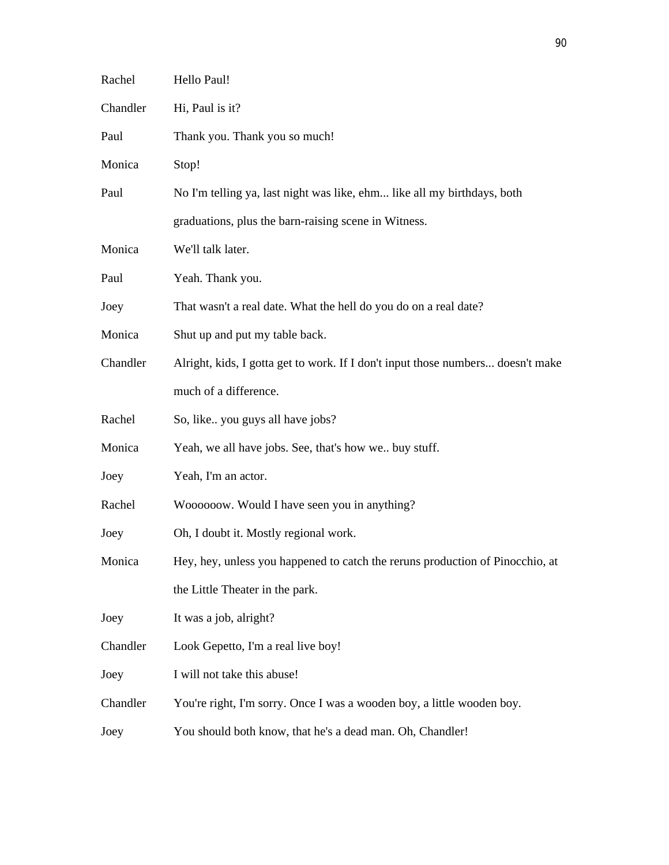| Rachel   | Hello Paul!                                                                     |
|----------|---------------------------------------------------------------------------------|
| Chandler | Hi, Paul is it?                                                                 |
| Paul     | Thank you. Thank you so much!                                                   |
| Monica   | Stop!                                                                           |
| Paul     | No I'm telling ya, last night was like, ehm like all my birthdays, both         |
|          | graduations, plus the barn-raising scene in Witness.                            |
| Monica   | We'll talk later.                                                               |
| Paul     | Yeah. Thank you.                                                                |
| Joey     | That wasn't a real date. What the hell do you do on a real date?                |
| Monica   | Shut up and put my table back.                                                  |
| Chandler | Alright, kids, I gotta get to work. If I don't input those numbers doesn't make |
|          | much of a difference.                                                           |
| Rachel   | So, like you guys all have jobs?                                                |
| Monica   | Yeah, we all have jobs. See, that's how we buy stuff.                           |
| Joey     | Yeah, I'm an actor.                                                             |
| Rachel   | Woooooow. Would I have seen you in anything?                                    |
| Joey     | Oh, I doubt it. Mostly regional work.                                           |
| Monica   | Hey, hey, unless you happened to catch the reruns production of Pinocchio, at   |
|          | the Little Theater in the park.                                                 |
| Joey     | It was a job, alright?                                                          |
| Chandler | Look Gepetto, I'm a real live boy!                                              |
| Joey     | I will not take this abuse!                                                     |
| Chandler | You're right, I'm sorry. Once I was a wooden boy, a little wooden boy.          |
| Joey     | You should both know, that he's a dead man. Oh, Chandler!                       |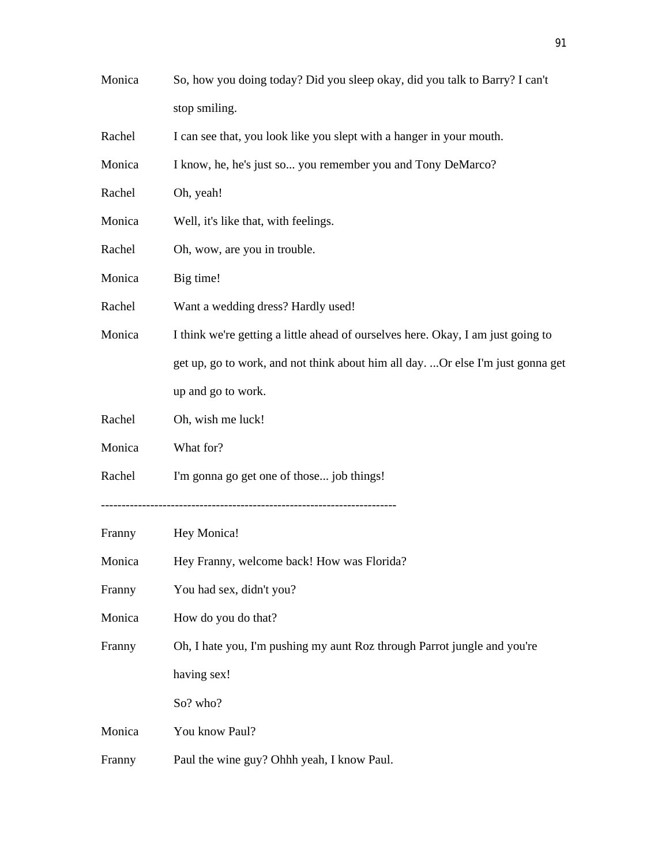| Monica | So, how you doing today? Did you sleep okay, did you talk to Barry? I can't      |
|--------|----------------------------------------------------------------------------------|
|        | stop smiling.                                                                    |
| Rachel | I can see that, you look like you slept with a hanger in your mouth.             |
| Monica | I know, he, he's just so you remember you and Tony DeMarco?                      |
| Rachel | Oh, yeah!                                                                        |
| Monica | Well, it's like that, with feelings.                                             |
| Rachel | Oh, wow, are you in trouble.                                                     |
| Monica | Big time!                                                                        |
| Rachel | Want a wedding dress? Hardly used!                                               |
| Monica | I think we're getting a little ahead of ourselves here. Okay, I am just going to |
|        | get up, go to work, and not think about him all day.  Or else I'm just gonna get |
|        | up and go to work.                                                               |
| Rachel | Oh, wish me luck!                                                                |
| Monica | What for?                                                                        |
| Rachel | I'm gonna go get one of those job things!                                        |
| Franny | Hey Monica!                                                                      |
| Monica | Hey Franny, welcome back! How was Florida?                                       |
| Franny | You had sex, didn't you?                                                         |
| Monica | How do you do that?                                                              |
| Franny | Oh, I hate you, I'm pushing my aunt Roz through Parrot jungle and you're         |
|        | having sex!                                                                      |
|        | So? who?                                                                         |
| Monica | You know Paul?                                                                   |
| Franny | Paul the wine guy? Ohhh yeah, I know Paul.                                       |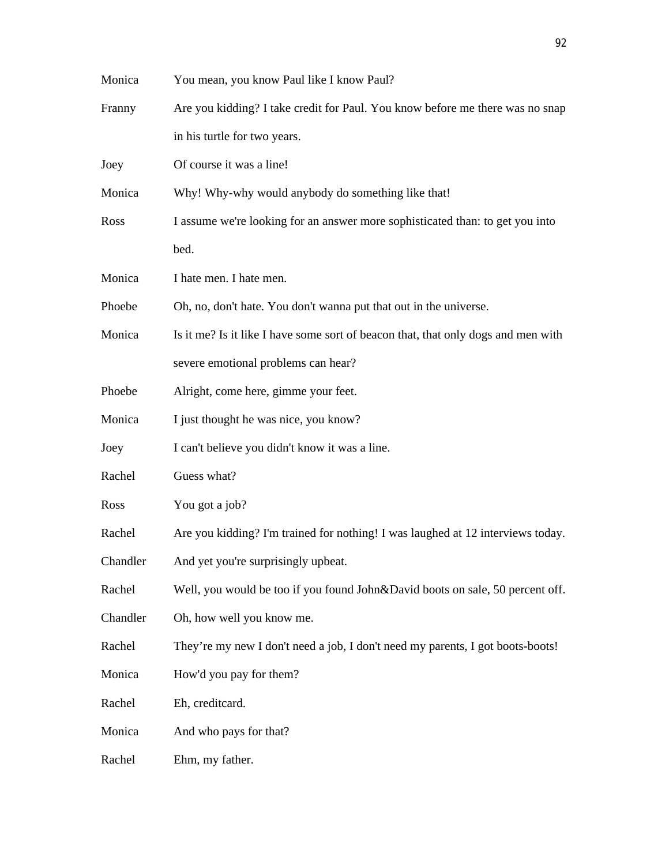| Monica   | You mean, you know Paul like I know Paul?                                         |
|----------|-----------------------------------------------------------------------------------|
| Franny   | Are you kidding? I take credit for Paul. You know before me there was no snap     |
|          | in his turtle for two years.                                                      |
| Joey     | Of course it was a line!                                                          |
| Monica   | Why! Why-why would anybody do something like that!                                |
| Ross     | I assume we're looking for an answer more sophisticated than: to get you into     |
|          | bed.                                                                              |
| Monica   | I hate men. I hate men.                                                           |
| Phoebe   | Oh, no, don't hate. You don't wanna put that out in the universe.                 |
| Monica   | Is it me? Is it like I have some sort of beacon that, that only dogs and men with |
|          | severe emotional problems can hear?                                               |
| Phoebe   | Alright, come here, gimme your feet.                                              |
| Monica   | I just thought he was nice, you know?                                             |
| Joey     | I can't believe you didn't know it was a line.                                    |
| Rachel   | Guess what?                                                                       |
| Ross     | You got a job?                                                                    |
| Rachel   | Are you kidding? I'm trained for nothing! I was laughed at 12 interviews today.   |
| Chandler | And yet you're surprisingly upbeat.                                               |
| Rachel   | Well, you would be too if you found John&David boots on sale, 50 percent off.     |
| Chandler | Oh, how well you know me.                                                         |
| Rachel   | They're my new I don't need a job, I don't need my parents, I got boots-boots!    |
| Monica   | How'd you pay for them?                                                           |
| Rachel   | Eh, creditcard.                                                                   |
| Monica   | And who pays for that?                                                            |
| Rachel   | Ehm, my father.                                                                   |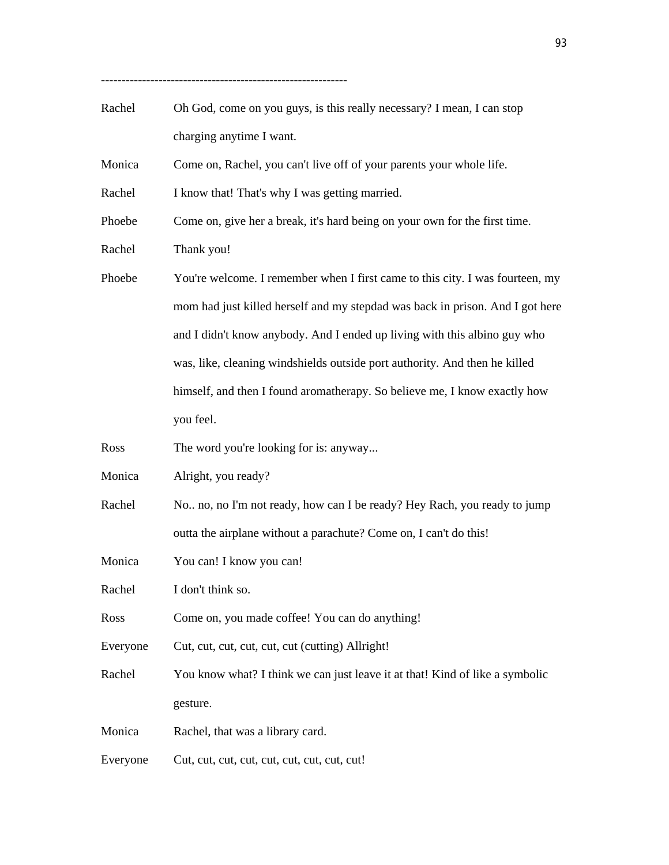| Rachel   | Oh God, come on you guys, is this really necessary? I mean, I can stop        |
|----------|-------------------------------------------------------------------------------|
|          | charging anytime I want.                                                      |
| Monica   | Come on, Rachel, you can't live off of your parents your whole life.          |
| Rachel   | I know that! That's why I was getting married.                                |
| Phoebe   | Come on, give her a break, it's hard being on your own for the first time.    |
| Rachel   | Thank you!                                                                    |
| Phoebe   | You're welcome. I remember when I first came to this city. I was fourteen, my |
|          | mom had just killed herself and my stepdad was back in prison. And I got here |
|          | and I didn't know anybody. And I ended up living with this albino guy who     |
|          | was, like, cleaning windshields outside port authority. And then he killed    |
|          | himself, and then I found aromatherapy. So believe me, I know exactly how     |
|          | you feel.                                                                     |
| Ross     | The word you're looking for is: anyway                                        |
| Monica   | Alright, you ready?                                                           |
| Rachel   | No no, no I'm not ready, how can I be ready? Hey Rach, you ready to jump      |
|          | outta the airplane without a parachute? Come on, I can't do this!             |
| Monica   | You can! I know you can!                                                      |
| Rachel   | I don't think so.                                                             |
| Ross     | Come on, you made coffee! You can do anything!                                |
| Everyone | Cut, cut, cut, cut, cut, cut (cutting) Allright!                              |
| Rachel   | You know what? I think we can just leave it at that! Kind of like a symbolic  |
|          | gesture.                                                                      |
| Monica   | Rachel, that was a library card.                                              |
| Everyone | Cut, cut, cut, cut, cut, cut, cut, cut!                                       |

------------------------------------------------------------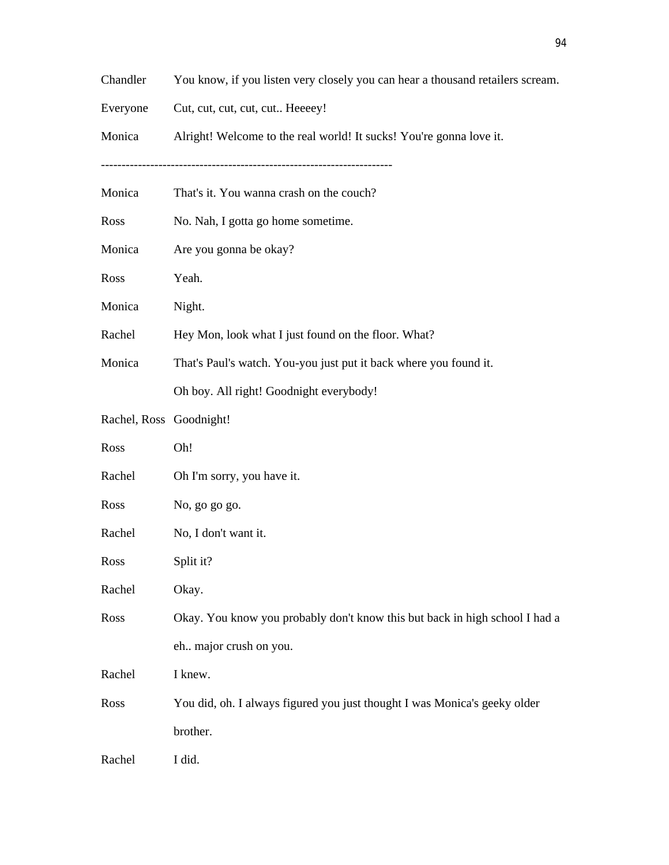| Chandler                | You know, if you listen very closely you can hear a thousand retailers scream. |
|-------------------------|--------------------------------------------------------------------------------|
| Everyone                | Cut, cut, cut, cut Heeeey!                                                     |
| Monica                  | Alright! Welcome to the real world! It sucks! You're gonna love it.            |
|                         |                                                                                |
| Monica                  | That's it. You wanna crash on the couch?                                       |
| Ross                    | No. Nah, I gotta go home sometime.                                             |
| Monica                  | Are you gonna be okay?                                                         |
| Ross                    | Yeah.                                                                          |
| Monica                  | Night.                                                                         |
| Rachel                  | Hey Mon, look what I just found on the floor. What?                            |
| Monica                  | That's Paul's watch. You-you just put it back where you found it.              |
|                         | Oh boy. All right! Goodnight everybody!                                        |
| Rachel, Ross Goodnight! |                                                                                |
| Ross                    | Oh!                                                                            |
| Rachel                  | Oh I'm sorry, you have it.                                                     |
| Ross                    | No, go go go.                                                                  |
| Rachel                  | No, I don't want it.                                                           |
| Ross                    | Split it?                                                                      |
| Rachel                  | Okay.                                                                          |
| <b>Ross</b>             | Okay. You know you probably don't know this but back in high school I had a    |
|                         | eh major crush on you.                                                         |
| Rachel                  | I knew.                                                                        |
| <b>Ross</b>             | You did, oh. I always figured you just thought I was Monica's geeky older      |
|                         | brother.                                                                       |
| Rachel                  | I did.                                                                         |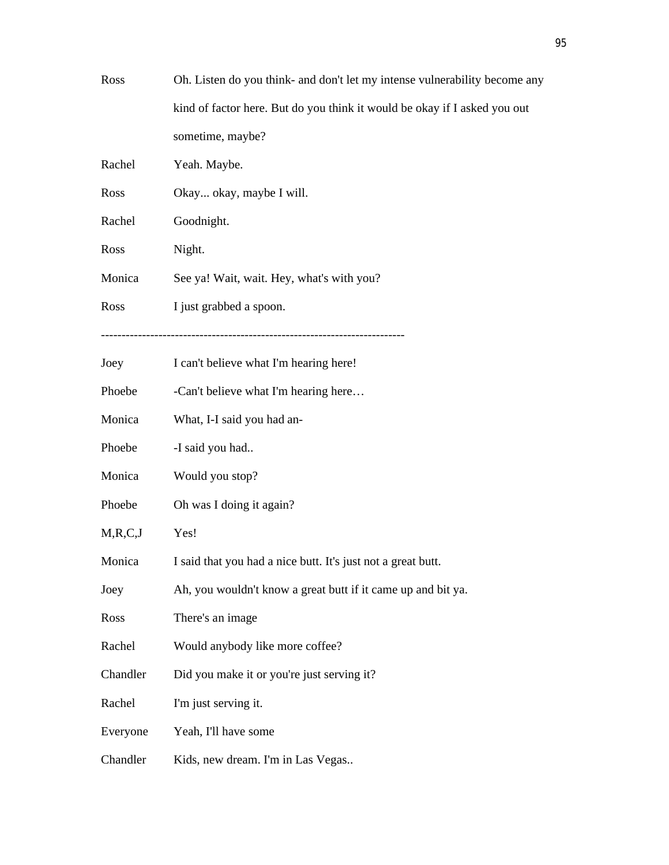| Ross       | Oh. Listen do you think- and don't let my intense vulnerability become any |
|------------|----------------------------------------------------------------------------|
|            | kind of factor here. But do you think it would be okay if I asked you out  |
|            | sometime, maybe?                                                           |
| Rachel     | Yeah. Maybe.                                                               |
| Ross       | Okay okay, maybe I will.                                                   |
| Rachel     | Goodnight.                                                                 |
| Ross       | Night.                                                                     |
| Monica     | See ya! Wait, wait. Hey, what's with you?                                  |
| Ross       | I just grabbed a spoon.                                                    |
|            |                                                                            |
| Joey       | I can't believe what I'm hearing here!                                     |
| Phoebe     | -Can't believe what I'm hearing here                                       |
| Monica     | What, I-I said you had an-                                                 |
| Phoebe     | -I said you had                                                            |
| Monica     | Would you stop?                                                            |
| Phoebe     | Oh was I doing it again?                                                   |
| M, R, C, J | Yes!                                                                       |
| Monica     | I said that you had a nice butt. It's just not a great butt.               |
| Joey       | Ah, you wouldn't know a great butt if it came up and bit ya.               |
| Ross       | There's an image                                                           |
| Rachel     | Would anybody like more coffee?                                            |
| Chandler   | Did you make it or you're just serving it?                                 |
| Rachel     | I'm just serving it.                                                       |
| Everyone   | Yeah, I'll have some                                                       |
| Chandler   | Kids, new dream. I'm in Las Vegas                                          |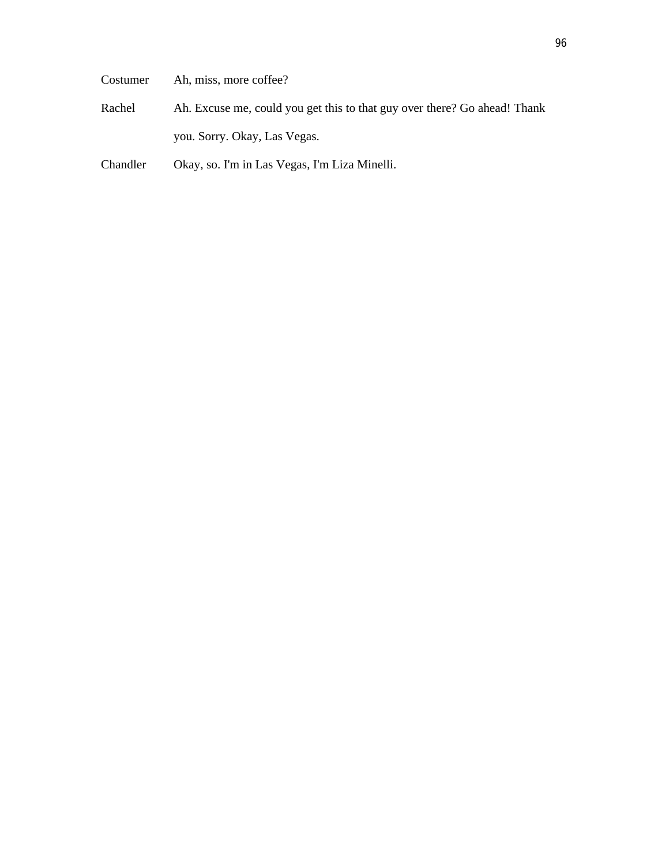Costumer Ah, miss, more coffee?

Rachel Ah. Excuse me, could you get this to that guy over there? Go ahead! Thank you. Sorry. Okay, Las Vegas.

Chandler Okay, so. I'm in Las Vegas, I'm Liza Minelli.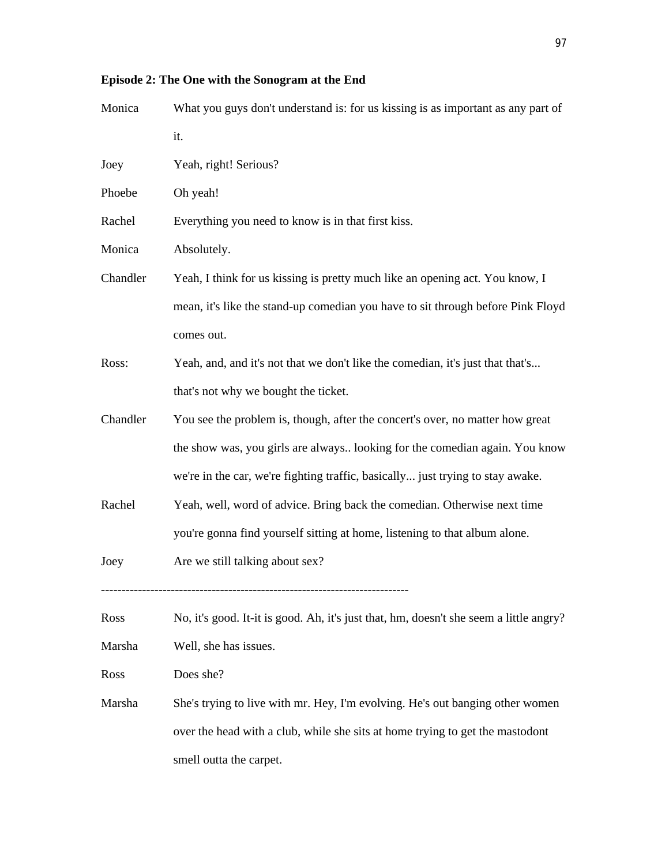## **Episode 2: The One with the Sonogram at the End**

| Monica   | What you guys don't understand is: for us kissing is as important as any part of       |
|----------|----------------------------------------------------------------------------------------|
|          | it.                                                                                    |
| Joey     | Yeah, right! Serious?                                                                  |
| Phoebe   | Oh yeah!                                                                               |
| Rachel   | Everything you need to know is in that first kiss.                                     |
| Monica   | Absolutely.                                                                            |
| Chandler | Yeah, I think for us kissing is pretty much like an opening act. You know, I           |
|          | mean, it's like the stand-up comedian you have to sit through before Pink Floyd        |
|          | comes out.                                                                             |
| Ross:    | Yeah, and, and it's not that we don't like the comedian, it's just that that's         |
|          | that's not why we bought the ticket.                                                   |
| Chandler | You see the problem is, though, after the concert's over, no matter how great          |
|          | the show was, you girls are always looking for the comedian again. You know            |
|          | we're in the car, we're fighting traffic, basically just trying to stay awake.         |
| Rachel   | Yeah, well, word of advice. Bring back the comedian. Otherwise next time               |
|          | you're gonna find yourself sitting at home, listening to that album alone.             |
| Joey     | Are we still talking about sex?                                                        |
| Ross     | No, it's good. It-it is good. Ah, it's just that, hm, doesn't she seem a little angry? |
| Marsha   | Well, she has issues.                                                                  |
| Ross     | Does she?                                                                              |
| Marsha   | She's trying to live with mr. Hey, I'm evolving. He's out banging other women          |
|          | over the head with a club, while she sits at home trying to get the mastodont          |
|          | smell outta the carpet.                                                                |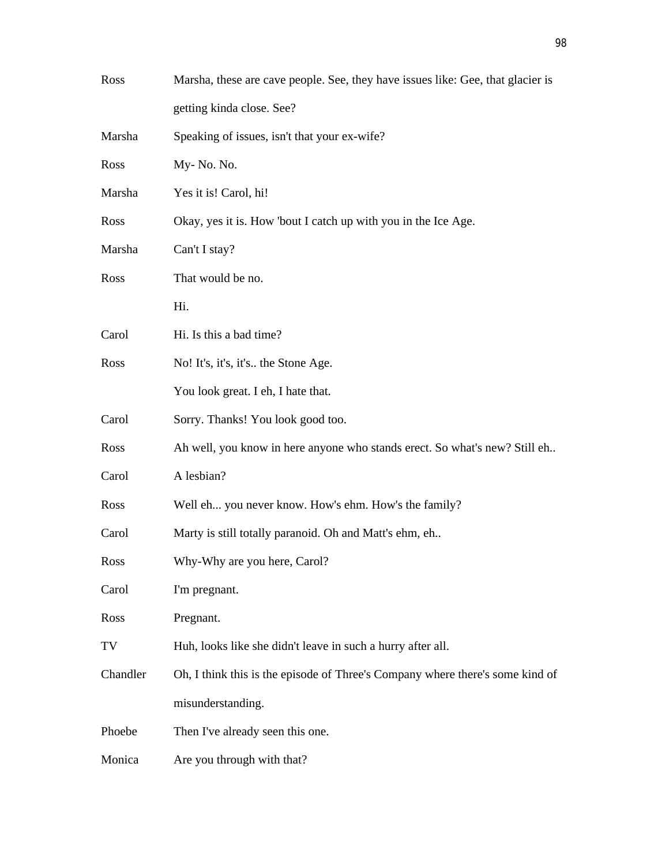| Ross     | Marsha, these are cave people. See, they have issues like: Gee, that glacier is |
|----------|---------------------------------------------------------------------------------|
|          | getting kinda close. See?                                                       |
| Marsha   | Speaking of issues, isn't that your ex-wife?                                    |
| Ross     | My-No. No.                                                                      |
| Marsha   | Yes it is! Carol, hi!                                                           |
| Ross     | Okay, yes it is. How 'bout I catch up with you in the Ice Age.                  |
| Marsha   | Can't I stay?                                                                   |
| Ross     | That would be no.                                                               |
|          | Hi.                                                                             |
| Carol    | Hi. Is this a bad time?                                                         |
| Ross     | No! It's, it's, it's the Stone Age.                                             |
|          | You look great. I eh, I hate that.                                              |
| Carol    | Sorry. Thanks! You look good too.                                               |
| Ross     | Ah well, you know in here anyone who stands erect. So what's new? Still eh      |
| Carol    | A lesbian?                                                                      |
| Ross     | Well eh you never know. How's ehm. How's the family?                            |
| Carol    | Marty is still totally paranoid. Oh and Matt's ehm, eh                          |
| Ross     | Why-Why are you here, Carol?                                                    |
| Carol    | I'm pregnant.                                                                   |
| Ross     | Pregnant.                                                                       |
| TV       | Huh, looks like she didn't leave in such a hurry after all.                     |
| Chandler | Oh, I think this is the episode of Three's Company where there's some kind of   |
|          | misunderstanding.                                                               |
| Phoebe   | Then I've already seen this one.                                                |
| Monica   | Are you through with that?                                                      |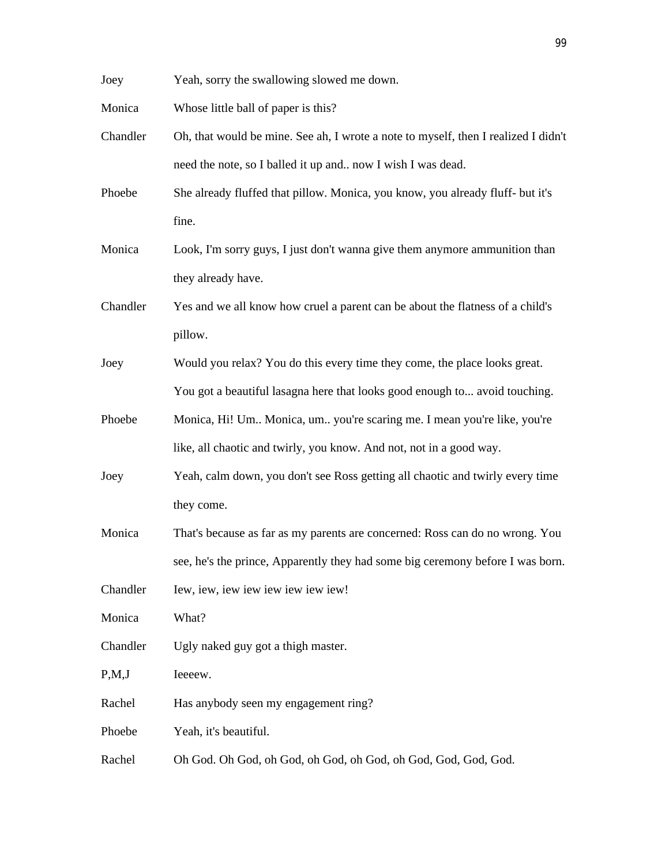Joey Yeah, sorry the swallowing slowed me down.

Monica Whose little ball of paper is this?

Chandler Oh, that would be mine. See ah, I wrote a note to myself, then I realized I didn't need the note, so I balled it up and.. now I wish I was dead.

Phoebe She already fluffed that pillow. Monica, you know, you already fluff- but it's fine.

- Monica Look, I'm sorry guys, I just don't wanna give them anymore ammunition than they already have.
- Chandler Yes and we all know how cruel a parent can be about the flatness of a child's pillow.

Joey Would you relax? You do this every time they come, the place looks great. You got a beautiful lasagna here that looks good enough to... avoid touching.

- Phoebe Monica, Hi! Um.. Monica, um.. you're scaring me. I mean you're like, you're like, all chaotic and twirly, you know. And not, not in a good way.
- Joey Yeah, calm down, you don't see Ross getting all chaotic and twirly every time they come.
- Monica That's because as far as my parents are concerned: Ross can do no wrong. You see, he's the prince, Apparently they had some big ceremony before I was born.
- Chandler Iew, iew, iew iew iew iew iew iew!
- Monica What?
- Chandler Ugly naked guy got a thigh master.

P,M,J Ieeeew.

Rachel Has anybody seen my engagement ring?

Phoebe Yeah, it's beautiful.

Rachel Oh God. Oh God, oh God, oh God, oh God, oh God, God, God, God.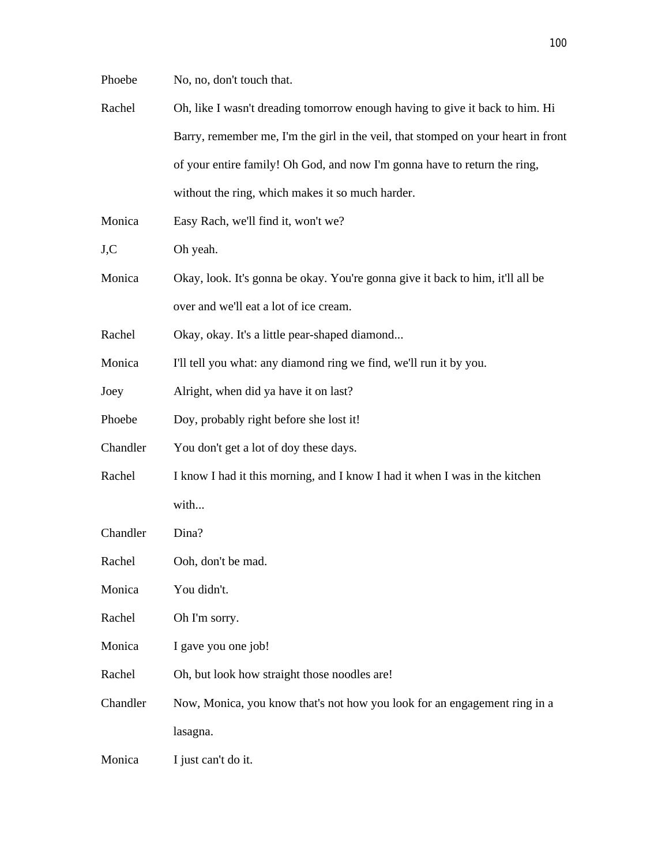Phoebe No, no, don't touch that.

- Rachel Oh, like I wasn't dreading tomorrow enough having to give it back to him. Hi Barry, remember me, I'm the girl in the veil, that stomped on your heart in front of your entire family! Oh God, and now I'm gonna have to return the ring, without the ring, which makes it so much harder.
- Monica Easy Rach, we'll find it, won't we?
- J,C Oh yeah.
- Monica Okay, look. It's gonna be okay. You're gonna give it back to him, it'll all be over and we'll eat a lot of ice cream.
- Rachel Okay, okay. It's a little pear-shaped diamond...
- Monica I'll tell you what: any diamond ring we find, we'll run it by you.
- Joey Alright, when did ya have it on last?
- Phoebe Doy, probably right before she lost it!
- Chandler You don't get a lot of doy these days.
- Rachel I know I had it this morning, and I know I had it when I was in the kitchen with...
- Chandler Dina?
- Rachel Ooh, don't be mad.
- Monica You didn't.
- Rachel Oh I'm sorry.
- Monica I gave you one job!
- Rachel Oh, but look how straight those noodles are!
- Chandler Now, Monica, you know that's not how you look for an engagement ring in a lasagna.
- Monica I just can't do it.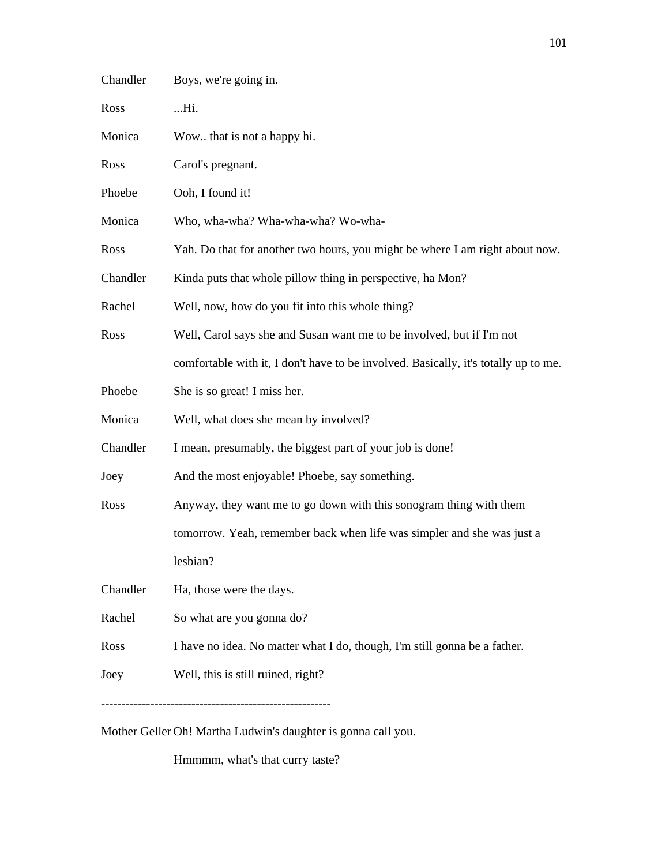| Chandler | Boys, we're going in.                                                               |
|----------|-------------------------------------------------------------------------------------|
| Ross     | Hi.                                                                                 |
| Monica   | Wow that is not a happy hi.                                                         |
| Ross     | Carol's pregnant.                                                                   |
| Phoebe   | Ooh, I found it!                                                                    |
| Monica   | Who, wha-wha? Wha-wha-wha? Wo-wha-                                                  |
| Ross     | Yah. Do that for another two hours, you might be where I am right about now.        |
| Chandler | Kinda puts that whole pillow thing in perspective, ha Mon?                          |
| Rachel   | Well, now, how do you fit into this whole thing?                                    |
| Ross     | Well, Carol says she and Susan want me to be involved, but if I'm not               |
|          | comfortable with it, I don't have to be involved. Basically, it's totally up to me. |
| Phoebe   | She is so great! I miss her.                                                        |
| Monica   | Well, what does she mean by involved?                                               |
| Chandler | I mean, presumably, the biggest part of your job is done!                           |
| Joey     | And the most enjoyable! Phoebe, say something.                                      |
| Ross     | Anyway, they want me to go down with this sonogram thing with them                  |
|          | tomorrow. Yeah, remember back when life was simpler and she was just a              |
|          | lesbian?                                                                            |
| Chandler | Ha, those were the days.                                                            |
| Rachel   | So what are you gonna do?                                                           |
| Ross     | I have no idea. No matter what I do, though, I'm still gonna be a father.           |
| Joey     | Well, this is still ruined, right?                                                  |
|          |                                                                                     |

Mother Geller Oh! Martha Ludwin's daughter is gonna call you.

Hmmmm, what's that curry taste?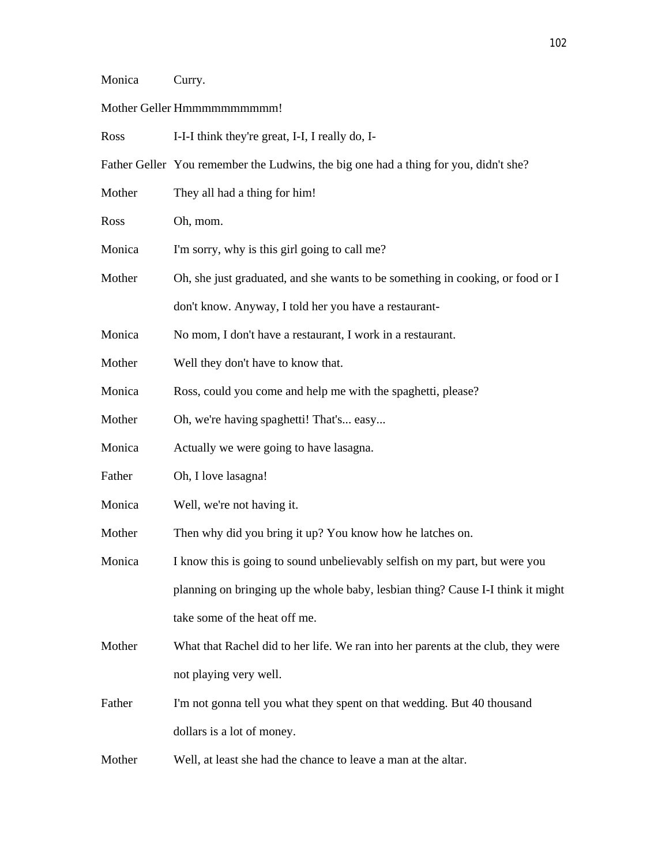|        | Mother Geller Hmmmmmmmmm!                                                            |
|--------|--------------------------------------------------------------------------------------|
| Ross   | I-I-I think they're great, I-I, I really do, I-                                      |
|        | Father Geller You remember the Ludwins, the big one had a thing for you, didn't she? |
| Mother | They all had a thing for him!                                                        |
| Ross   | Oh, mom.                                                                             |
| Monica | I'm sorry, why is this girl going to call me?                                        |
| Mother | Oh, she just graduated, and she wants to be something in cooking, or food or I       |
|        | don't know. Anyway, I told her you have a restaurant-                                |
| Monica | No mom, I don't have a restaurant, I work in a restaurant.                           |
| Mother | Well they don't have to know that.                                                   |
| Monica | Ross, could you come and help me with the spaghetti, please?                         |
| Mother | Oh, we're having spaghetti! That's easy                                              |
| Monica | Actually we were going to have lasagna.                                              |
| Father | Oh, I love lasagna!                                                                  |
| Monica | Well, we're not having it.                                                           |
| Mother | Then why did you bring it up? You know how he latches on.                            |
| Monica | I know this is going to sound unbelievably selfish on my part, but were you          |
|        | planning on bringing up the whole baby, lesbian thing? Cause I-I think it might      |
|        | take some of the heat off me.                                                        |
| Mother | What that Rachel did to her life. We ran into her parents at the club, they were     |
|        | not playing very well.                                                               |
| Father | I'm not gonna tell you what they spent on that wedding. But 40 thousand              |
|        | dollars is a lot of money.                                                           |
| Mother | Well, at least she had the chance to leave a man at the altar.                       |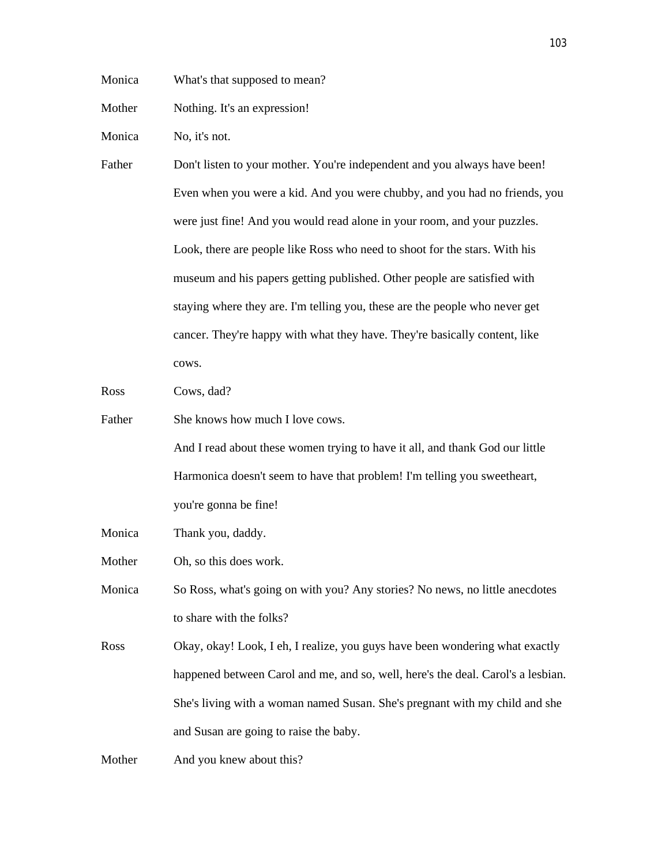Monica What's that supposed to mean?

Mother Nothing. It's an expression!

Monica No, it's not.

Father Don't listen to your mother. You're independent and you always have been! Even when you were a kid. And you were chubby, and you had no friends, you were just fine! And you would read alone in your room, and your puzzles. Look, there are people like Ross who need to shoot for the stars. With his museum and his papers getting published. Other people are satisfied with staying where they are. I'm telling you, these are the people who never get cancer. They're happy with what they have. They're basically content, like cows.

Ross Cows, dad?

Father She knows how much I love cows.

And I read about these women trying to have it all, and thank God our little Harmonica doesn't seem to have that problem! I'm telling you sweetheart, you're gonna be fine!

Monica Thank you, daddy.

Mother Oh, so this does work.

Monica So Ross, what's going on with you? Any stories? No news, no little anecdotes to share with the folks?

Ross Okay, okay! Look, I eh, I realize, you guys have been wondering what exactly happened between Carol and me, and so, well, here's the deal. Carol's a lesbian. She's living with a woman named Susan. She's pregnant with my child and she and Susan are going to raise the baby.

Mother And you knew about this?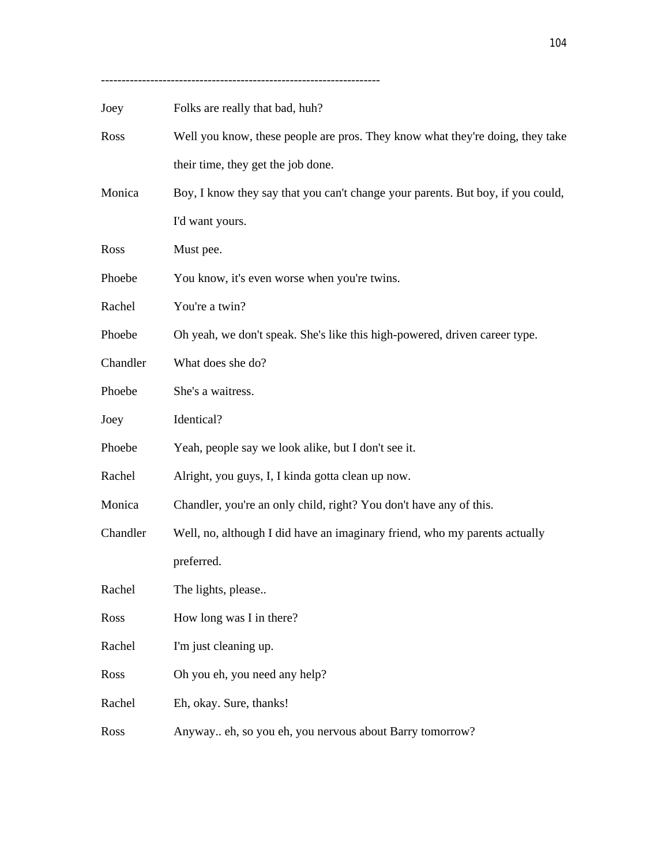-------------------------------------------------------------------- Joey Folks are really that bad, huh?

| JOEY     | FOIKS are really that bad, num.                                                 |
|----------|---------------------------------------------------------------------------------|
| Ross     | Well you know, these people are pros. They know what they're doing, they take   |
|          | their time, they get the job done.                                              |
| Monica   | Boy, I know they say that you can't change your parents. But boy, if you could, |
|          | I'd want yours.                                                                 |
| Ross     | Must pee.                                                                       |
| Phoebe   | You know, it's even worse when you're twins.                                    |
| Rachel   | You're a twin?                                                                  |
| Phoebe   | Oh yeah, we don't speak. She's like this high-powered, driven career type.      |
| Chandler | What does she do?                                                               |
| Phoebe   | She's a waitress.                                                               |
| Joey     | Identical?                                                                      |
| Phoebe   | Yeah, people say we look alike, but I don't see it.                             |
| Rachel   | Alright, you guys, I, I kinda gotta clean up now.                               |
| Monica   | Chandler, you're an only child, right? You don't have any of this.              |
| Chandler | Well, no, although I did have an imaginary friend, who my parents actually      |
|          | preferred.                                                                      |
| Rachel   | The lights, please                                                              |
| Ross     | How long was I in there?                                                        |
| Rachel   | I'm just cleaning up.                                                           |
| Ross     | Oh you eh, you need any help?                                                   |
| Rachel   | Eh, okay. Sure, thanks!                                                         |
| Ross     | Anyway eh, so you eh, you nervous about Barry tomorrow?                         |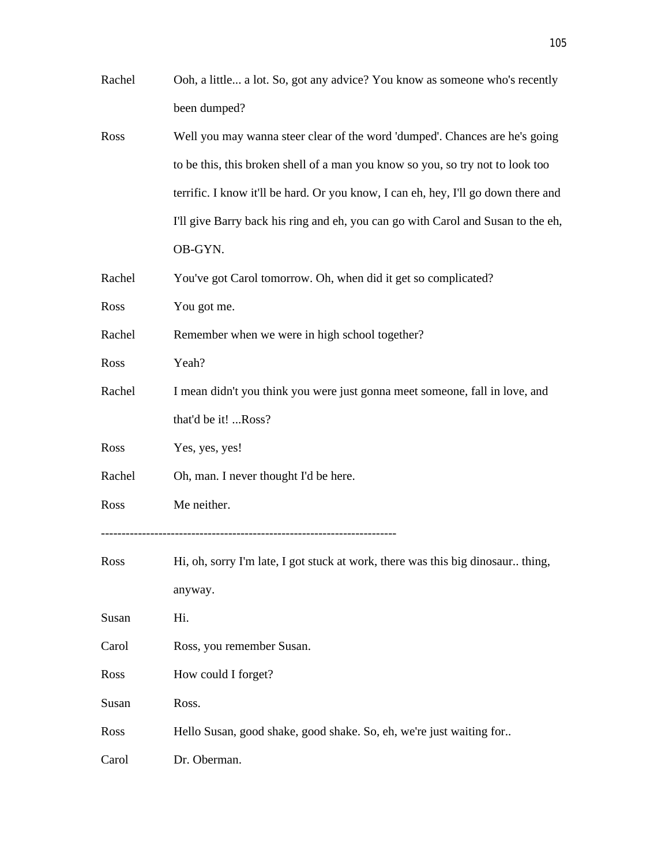| Rachel | Ooh, a little a lot. So, got any advice? You know as someone who's recently        |
|--------|------------------------------------------------------------------------------------|
|        | been dumped?                                                                       |
| Ross   | Well you may wanna steer clear of the word 'dumped'. Chances are he's going        |
|        | to be this, this broken shell of a man you know so you, so try not to look too     |
|        | terrific. I know it'll be hard. Or you know, I can eh, hey, I'll go down there and |
|        | I'll give Barry back his ring and eh, you can go with Carol and Susan to the eh,   |
|        | OB-GYN.                                                                            |
| Rachel | You've got Carol tomorrow. Oh, when did it get so complicated?                     |
| Ross   | You got me.                                                                        |
| Rachel | Remember when we were in high school together?                                     |
| Ross   | Yeah?                                                                              |
| Rachel | I mean didn't you think you were just gonna meet someone, fall in love, and        |
|        | that'd be it! Ross?                                                                |
| Ross   | Yes, yes, yes!                                                                     |
| Rachel | Oh, man. I never thought I'd be here.                                              |
| Ross   | Me neither.                                                                        |
|        |                                                                                    |
| Ross   | Hi, oh, sorry I'm late, I got stuck at work, there was this big dinosaur thing,    |
|        | anyway.                                                                            |
| Susan  | Hi.                                                                                |
| Carol  | Ross, you remember Susan.                                                          |
| Ross   | How could I forget?                                                                |
| Susan  | Ross.                                                                              |
| Ross   | Hello Susan, good shake, good shake. So, eh, we're just waiting for                |
| Carol  | Dr. Oberman.                                                                       |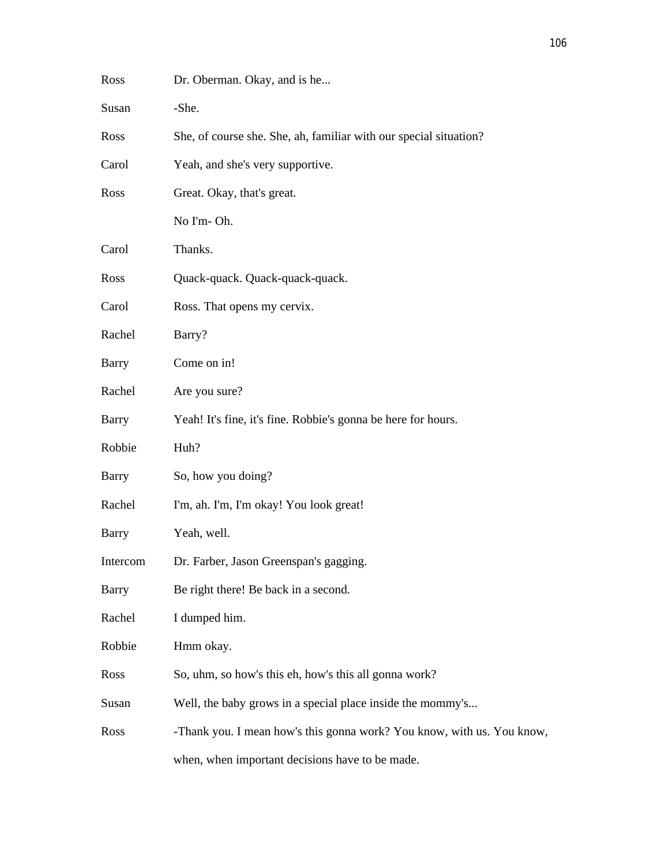| Ross         | Dr. Oberman. Okay, and is he                                           |
|--------------|------------------------------------------------------------------------|
| Susan        | -She.                                                                  |
| Ross         | She, of course she. She, ah, familiar with our special situation?      |
| Carol        | Yeah, and she's very supportive.                                       |
| Ross         | Great. Okay, that's great.                                             |
|              | No I'm-Oh.                                                             |
| Carol        | Thanks.                                                                |
| Ross         | Quack-quack. Quack-quack-quack.                                        |
| Carol        | Ross. That opens my cervix.                                            |
| Rachel       | Barry?                                                                 |
| Barry        | Come on in!                                                            |
| Rachel       | Are you sure?                                                          |
| Barry        | Yeah! It's fine, it's fine. Robbie's gonna be here for hours.          |
| Robbie       | Huh?                                                                   |
| <b>Barry</b> | So, how you doing?                                                     |
| Rachel       | I'm, ah. I'm, I'm okay! You look great!                                |
| <b>Barry</b> | Yeah, well.                                                            |
| Intercom     | Dr. Farber, Jason Greenspan's gagging.                                 |
| <b>Barry</b> | Be right there! Be back in a second.                                   |
| Rachel       | I dumped him.                                                          |
| Robbie       | Hmm okay.                                                              |
| Ross         | So, uhm, so how's this eh, how's this all gonna work?                  |
| Susan        | Well, the baby grows in a special place inside the mommy's             |
| Ross         | -Thank you. I mean how's this gonna work? You know, with us. You know, |
|              | when, when important decisions have to be made.                        |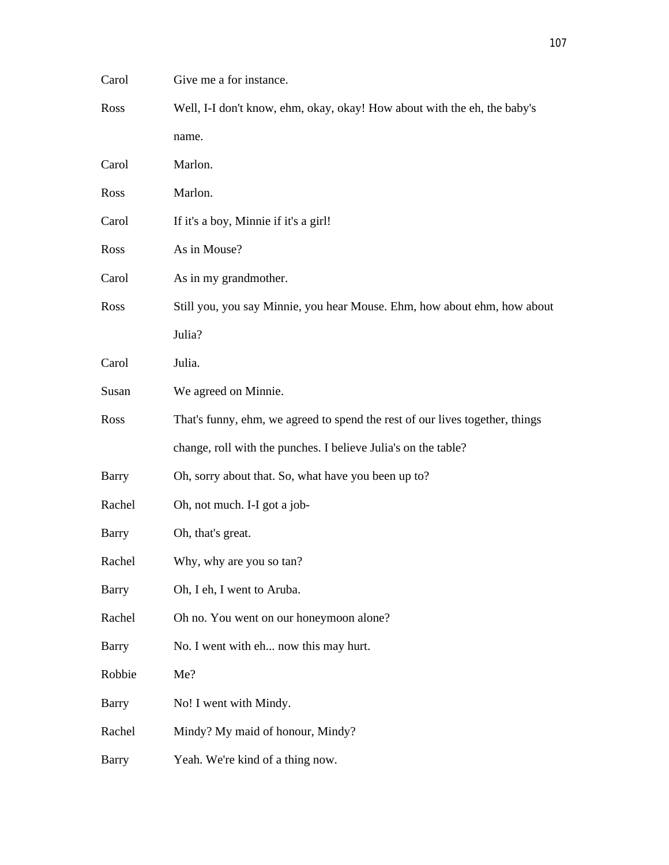| Carol        | Give me a for instance.                                                      |
|--------------|------------------------------------------------------------------------------|
| Ross         | Well, I-I don't know, ehm, okay, okay! How about with the eh, the baby's     |
|              | name.                                                                        |
| Carol        | Marlon.                                                                      |
| Ross         | Marlon.                                                                      |
| Carol        | If it's a boy, Minnie if it's a girl!                                        |
| Ross         | As in Mouse?                                                                 |
| Carol        | As in my grandmother.                                                        |
| Ross         | Still you, you say Minnie, you hear Mouse. Ehm, how about ehm, how about     |
|              | Julia?                                                                       |
| Carol        | Julia.                                                                       |
| Susan        | We agreed on Minnie.                                                         |
| Ross         | That's funny, ehm, we agreed to spend the rest of our lives together, things |
|              | change, roll with the punches. I believe Julia's on the table?               |
| <b>Barry</b> | Oh, sorry about that. So, what have you been up to?                          |
| Rachel       | Oh, not much. I-I got a job-                                                 |
| Barry        | Oh, that's great.                                                            |
| Rachel       | Why, why are you so tan?                                                     |
| Barry        | Oh, I eh, I went to Aruba.                                                   |
| Rachel       | Oh no. You went on our honeymoon alone?                                      |
| <b>Barry</b> | No. I went with eh now this may hurt.                                        |
| Robbie       | Me?                                                                          |
| Barry        | No! I went with Mindy.                                                       |
| Rachel       | Mindy? My maid of honour, Mindy?                                             |
| <b>Barry</b> | Yeah. We're kind of a thing now.                                             |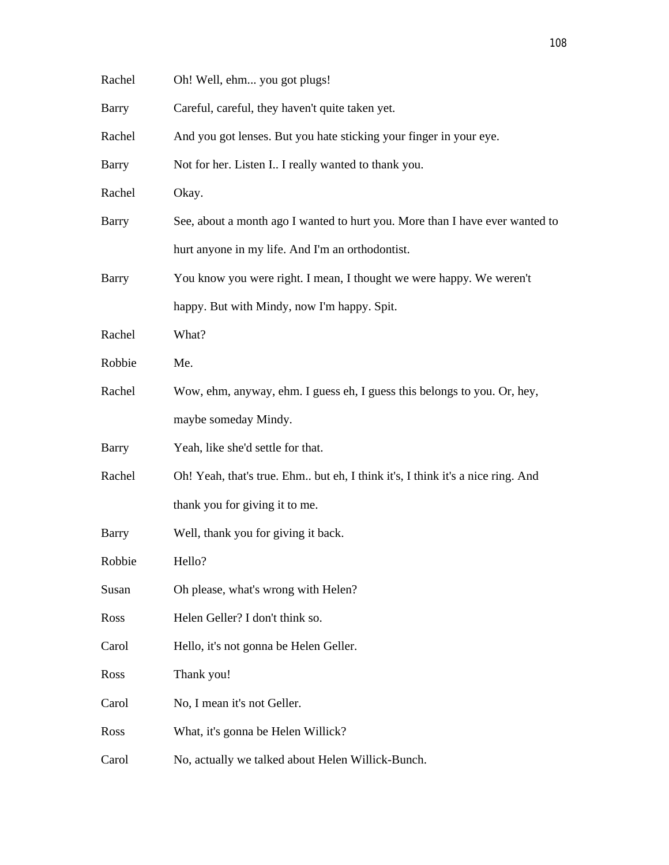| Rachel       | Oh! Well, ehm you got plugs!                                                   |
|--------------|--------------------------------------------------------------------------------|
| Barry        | Careful, careful, they haven't quite taken yet.                                |
| Rachel       | And you got lenses. But you hate sticking your finger in your eye.             |
| Barry        | Not for her. Listen I I really wanted to thank you.                            |
| Rachel       | Okay.                                                                          |
| <b>Barry</b> | See, about a month ago I wanted to hurt you. More than I have ever wanted to   |
|              | hurt anyone in my life. And I'm an orthodontist.                               |
| Barry        | You know you were right. I mean, I thought we were happy. We weren't           |
|              | happy. But with Mindy, now I'm happy. Spit.                                    |
| Rachel       | What?                                                                          |
| Robbie       | Me.                                                                            |
| Rachel       | Wow, ehm, anyway, ehm. I guess eh, I guess this belongs to you. Or, hey,       |
|              | maybe someday Mindy.                                                           |
| Barry        | Yeah, like she'd settle for that.                                              |
| Rachel       | Oh! Yeah, that's true. Ehm but eh, I think it's, I think it's a nice ring. And |
|              | thank you for giving it to me.                                                 |
| <b>Barry</b> | Well, thank you for giving it back.                                            |
| Robbie       | Hello?                                                                         |
| Susan        | Oh please, what's wrong with Helen?                                            |
| Ross         | Helen Geller? I don't think so.                                                |
| Carol        | Hello, it's not gonna be Helen Geller.                                         |
| Ross         | Thank you!                                                                     |
| Carol        | No, I mean it's not Geller.                                                    |
| Ross         | What, it's gonna be Helen Willick?                                             |
| Carol        | No, actually we talked about Helen Willick-Bunch.                              |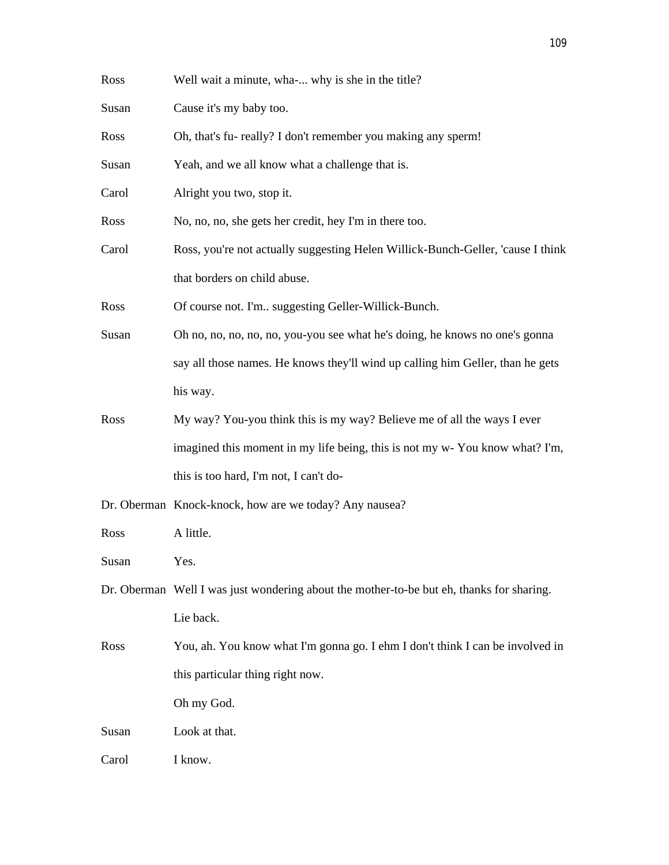| Ross  | Well wait a minute, wha- why is she in the title?                                        |
|-------|------------------------------------------------------------------------------------------|
| Susan | Cause it's my baby too.                                                                  |
| Ross  | Oh, that's fu-really? I don't remember you making any sperm!                             |
| Susan | Yeah, and we all know what a challenge that is.                                          |
| Carol | Alright you two, stop it.                                                                |
| Ross  | No, no, no, she gets her credit, hey I'm in there too.                                   |
| Carol | Ross, you're not actually suggesting Helen Willick-Bunch-Geller, 'cause I think          |
|       | that borders on child abuse.                                                             |
| Ross  | Of course not. I'm suggesting Geller-Willick-Bunch.                                      |
| Susan | Oh no, no, no, no, no, you-you see what he's doing, he knows no one's gonna              |
|       | say all those names. He knows they'll wind up calling him Geller, than he gets           |
|       | his way.                                                                                 |
| Ross  | My way? You-you think this is my way? Believe me of all the ways I ever                  |
|       | imagined this moment in my life being, this is not my w- You know what? I'm,             |
|       | this is too hard, I'm not, I can't do-                                                   |
|       | Dr. Oberman Knock-knock, how are we today? Any nausea?                                   |
| Ross  | A little.                                                                                |
| Susan | Yes.                                                                                     |
|       | Dr. Oberman Well I was just wondering about the mother-to-be but eh, thanks for sharing. |
|       | Lie back.                                                                                |
| Ross  | You, ah. You know what I'm gonna go. I ehm I don't think I can be involved in            |
|       | this particular thing right now.                                                         |
|       | Oh my God.                                                                               |
| Susan | Look at that.                                                                            |
| Carol | I know.                                                                                  |